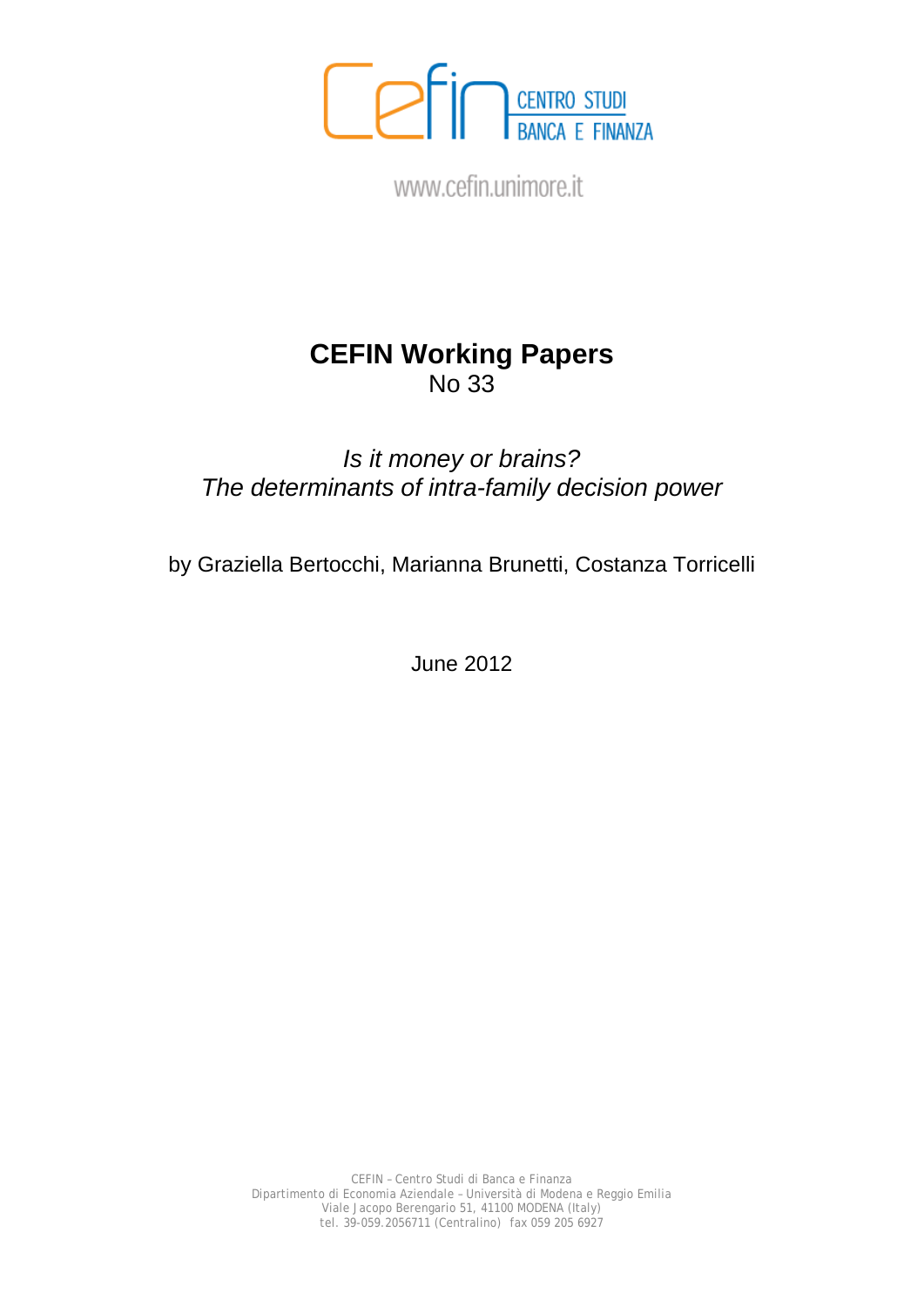**CENTRO STUDI** 

www.cefin.unimore.it

# **CEFIN Working Papers**  No 33

# *Is it money or brains? The determinants of intra-family decision power*

by Graziella Bertocchi, Marianna Brunetti, Costanza Torricelli

June 2012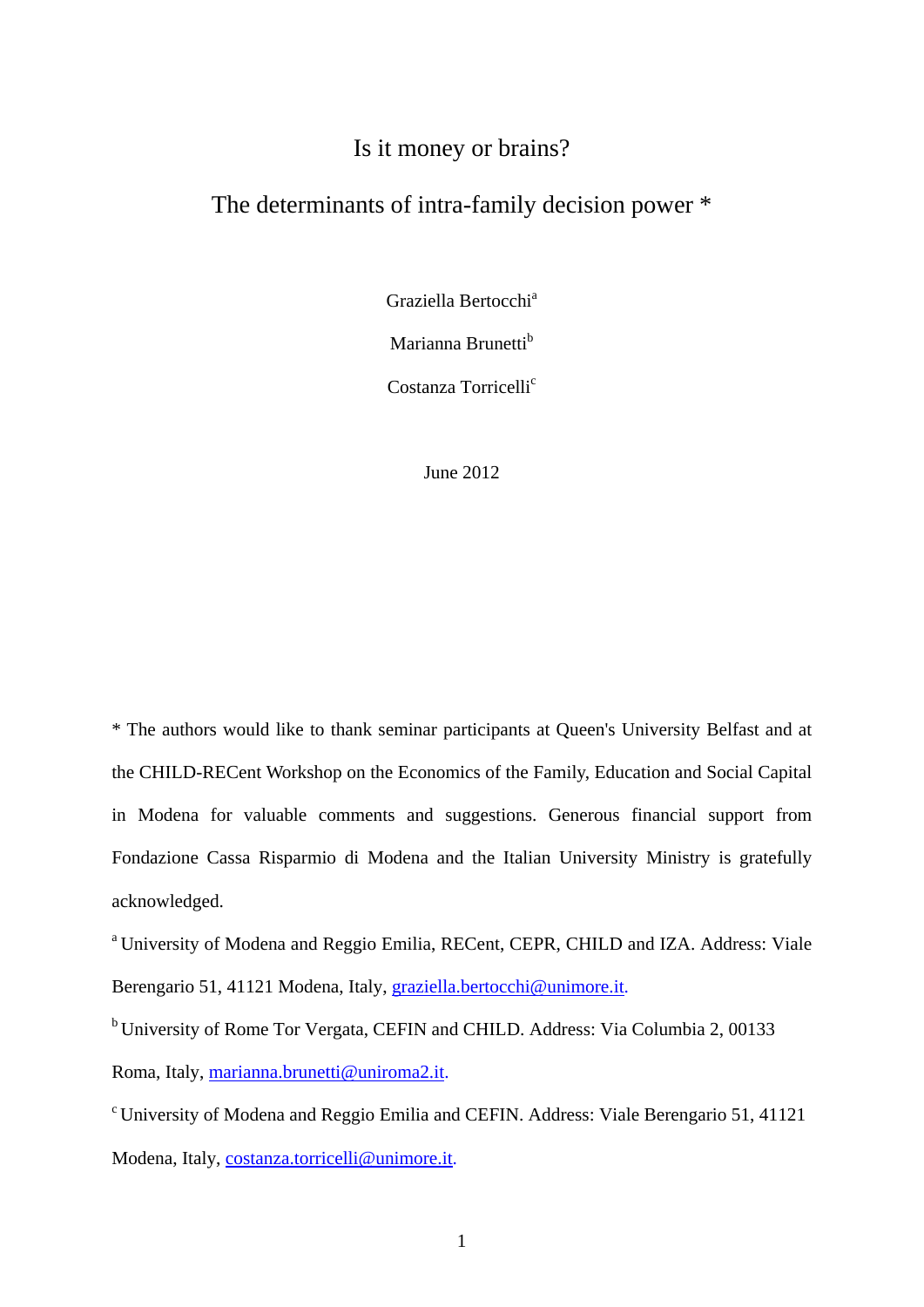## Is it money or brains?

## The determinants of intra-family decision power \*

Graziella Bertocchi<sup>a</sup>

Marianna Brunetti<sup>b</sup>

Costanza Torricelli<sup>c</sup>

June 2012

\* The authors would like to thank seminar participants at Queen's University Belfast and at the CHILD-RECent Workshop on the Economics of the Family, Education and Social Capital in Modena for valuable comments and suggestions. Generous financial support from Fondazione Cassa Risparmio di Modena and the Italian University Ministry is gratefully acknowledged.

<sup>a</sup> University of Modena and Reggio Emilia, RECent, CEPR, CHILD and IZA. Address: Viale Berengario 51, 41121 Modena, Italy, graziella.bertocchi@unimore.it.

b University of Rome Tor Vergata, CEFIN and CHILD. Address: Via Columbia 2, 00133 Roma, Italy, marianna.brunetti@uniroma2.it.

 $\textdegree$  University of Modena and Reggio Emilia and CEFIN. Address: Viale Berengario 51, 41121 Modena, Italy, costanza.torricelli@unimore.it.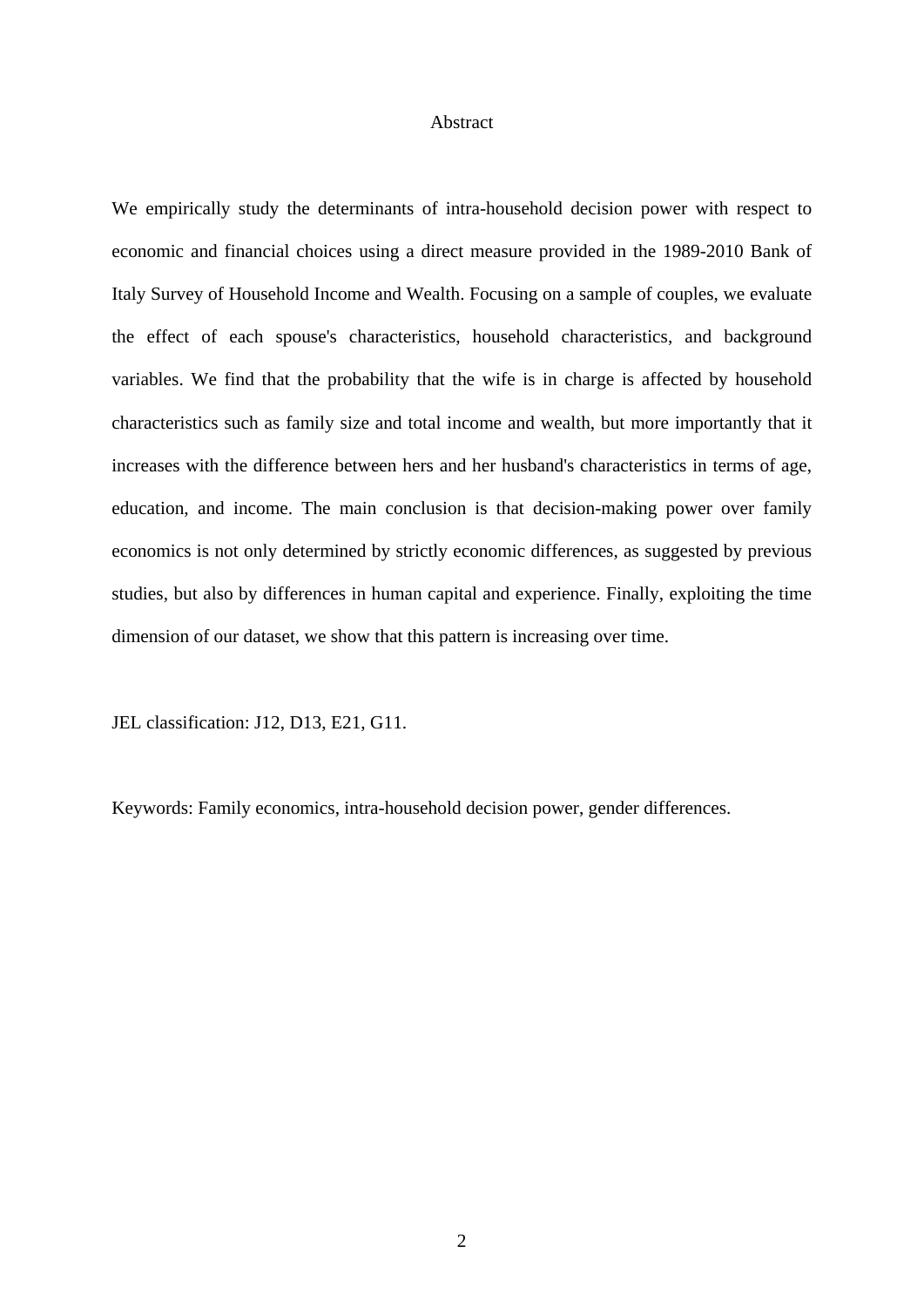#### Abstract

We empirically study the determinants of intra-household decision power with respect to economic and financial choices using a direct measure provided in the 1989-2010 Bank of Italy Survey of Household Income and Wealth. Focusing on a sample of couples, we evaluate the effect of each spouse's characteristics, household characteristics, and background variables. We find that the probability that the wife is in charge is affected by household characteristics such as family size and total income and wealth, but more importantly that it increases with the difference between hers and her husband's characteristics in terms of age, education, and income. The main conclusion is that decision-making power over family economics is not only determined by strictly economic differences, as suggested by previous studies, but also by differences in human capital and experience. Finally, exploiting the time dimension of our dataset, we show that this pattern is increasing over time.

JEL classification: J12, D13, E21, G11.

Keywords: Family economics, intra-household decision power, gender differences.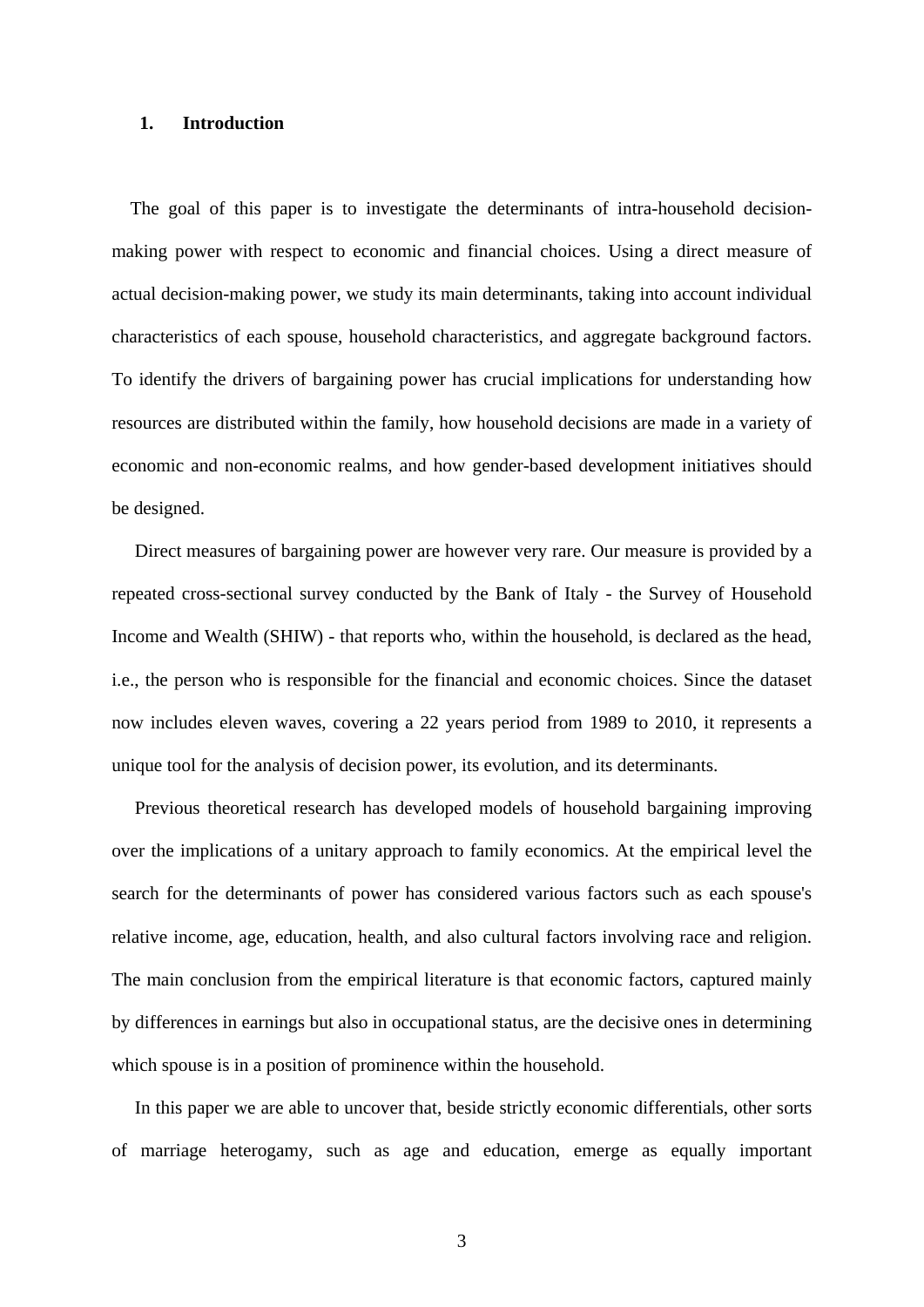#### **1. Introduction**

 The goal of this paper is to investigate the determinants of intra-household decisionmaking power with respect to economic and financial choices. Using a direct measure of actual decision-making power, we study its main determinants, taking into account individual characteristics of each spouse, household characteristics, and aggregate background factors. To identify the drivers of bargaining power has crucial implications for understanding how resources are distributed within the family, how household decisions are made in a variety of economic and non-economic realms, and how gender-based development initiatives should be designed.

 Direct measures of bargaining power are however very rare. Our measure is provided by a repeated cross-sectional survey conducted by the Bank of Italy - the Survey of Household Income and Wealth (SHIW) - that reports who, within the household, is declared as the head, i.e., the person who is responsible for the financial and economic choices. Since the dataset now includes eleven waves, covering a 22 years period from 1989 to 2010, it represents a unique tool for the analysis of decision power, its evolution, and its determinants.

 Previous theoretical research has developed models of household bargaining improving over the implications of a unitary approach to family economics. At the empirical level the search for the determinants of power has considered various factors such as each spouse's relative income, age, education, health, and also cultural factors involving race and religion. The main conclusion from the empirical literature is that economic factors, captured mainly by differences in earnings but also in occupational status, are the decisive ones in determining which spouse is in a position of prominence within the household.

 In this paper we are able to uncover that, beside strictly economic differentials, other sorts of marriage heterogamy, such as age and education, emerge as equally important

3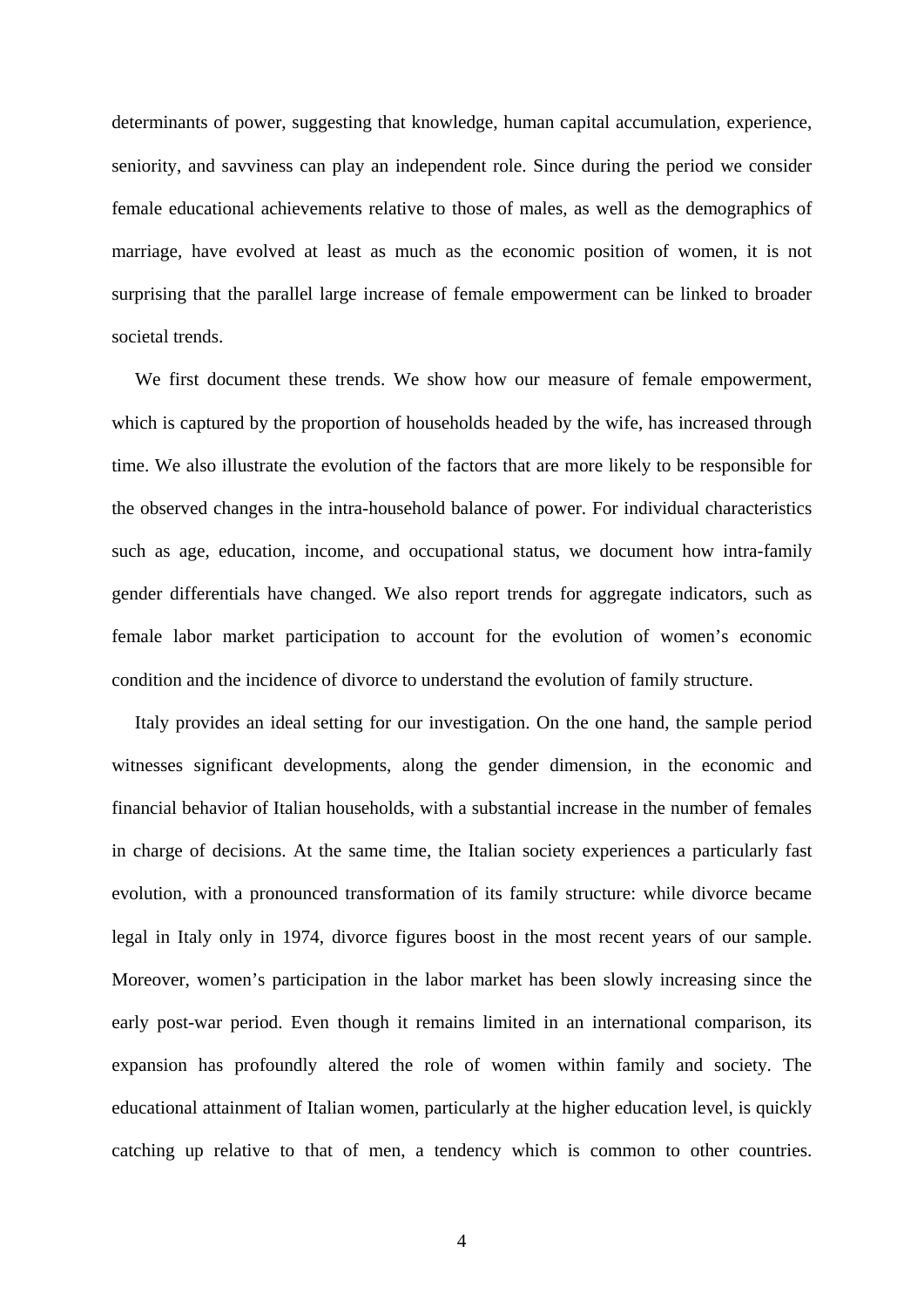determinants of power, suggesting that knowledge, human capital accumulation, experience, seniority, and savviness can play an independent role. Since during the period we consider female educational achievements relative to those of males, as well as the demographics of marriage, have evolved at least as much as the economic position of women, it is not surprising that the parallel large increase of female empowerment can be linked to broader societal trends.

 We first document these trends. We show how our measure of female empowerment, which is captured by the proportion of households headed by the wife, has increased through time. We also illustrate the evolution of the factors that are more likely to be responsible for the observed changes in the intra-household balance of power. For individual characteristics such as age, education, income, and occupational status, we document how intra-family gender differentials have changed. We also report trends for aggregate indicators, such as female labor market participation to account for the evolution of women's economic condition and the incidence of divorce to understand the evolution of family structure.

 Italy provides an ideal setting for our investigation. On the one hand, the sample period witnesses significant developments, along the gender dimension, in the economic and financial behavior of Italian households, with a substantial increase in the number of females in charge of decisions. At the same time, the Italian society experiences a particularly fast evolution, with a pronounced transformation of its family structure: while divorce became legal in Italy only in 1974, divorce figures boost in the most recent years of our sample. Moreover, women's participation in the labor market has been slowly increasing since the early post-war period. Even though it remains limited in an international comparison, its expansion has profoundly altered the role of women within family and society. The educational attainment of Italian women, particularly at the higher education level, is quickly catching up relative to that of men, a tendency which is common to other countries.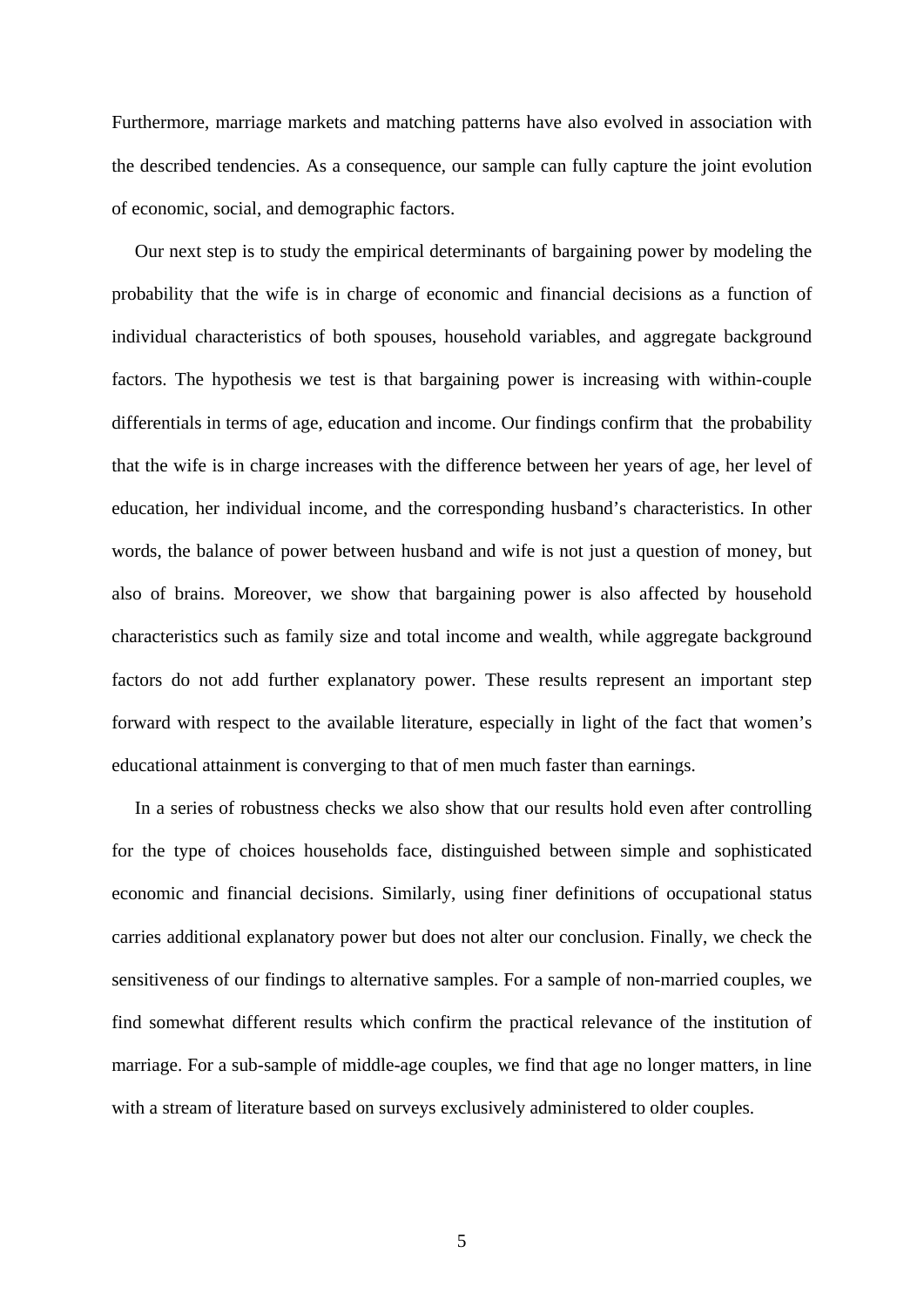Furthermore, marriage markets and matching patterns have also evolved in association with the described tendencies. As a consequence, our sample can fully capture the joint evolution of economic, social, and demographic factors.

 Our next step is to study the empirical determinants of bargaining power by modeling the probability that the wife is in charge of economic and financial decisions as a function of individual characteristics of both spouses, household variables, and aggregate background factors. The hypothesis we test is that bargaining power is increasing with within-couple differentials in terms of age, education and income. Our findings confirm that the probability that the wife is in charge increases with the difference between her years of age, her level of education, her individual income, and the corresponding husband's characteristics. In other words, the balance of power between husband and wife is not just a question of money, but also of brains. Moreover, we show that bargaining power is also affected by household characteristics such as family size and total income and wealth, while aggregate background factors do not add further explanatory power. These results represent an important step forward with respect to the available literature, especially in light of the fact that women's educational attainment is converging to that of men much faster than earnings.

 In a series of robustness checks we also show that our results hold even after controlling for the type of choices households face, distinguished between simple and sophisticated economic and financial decisions. Similarly, using finer definitions of occupational status carries additional explanatory power but does not alter our conclusion. Finally, we check the sensitiveness of our findings to alternative samples. For a sample of non-married couples, we find somewhat different results which confirm the practical relevance of the institution of marriage. For a sub-sample of middle-age couples, we find that age no longer matters, in line with a stream of literature based on surveys exclusively administered to older couples.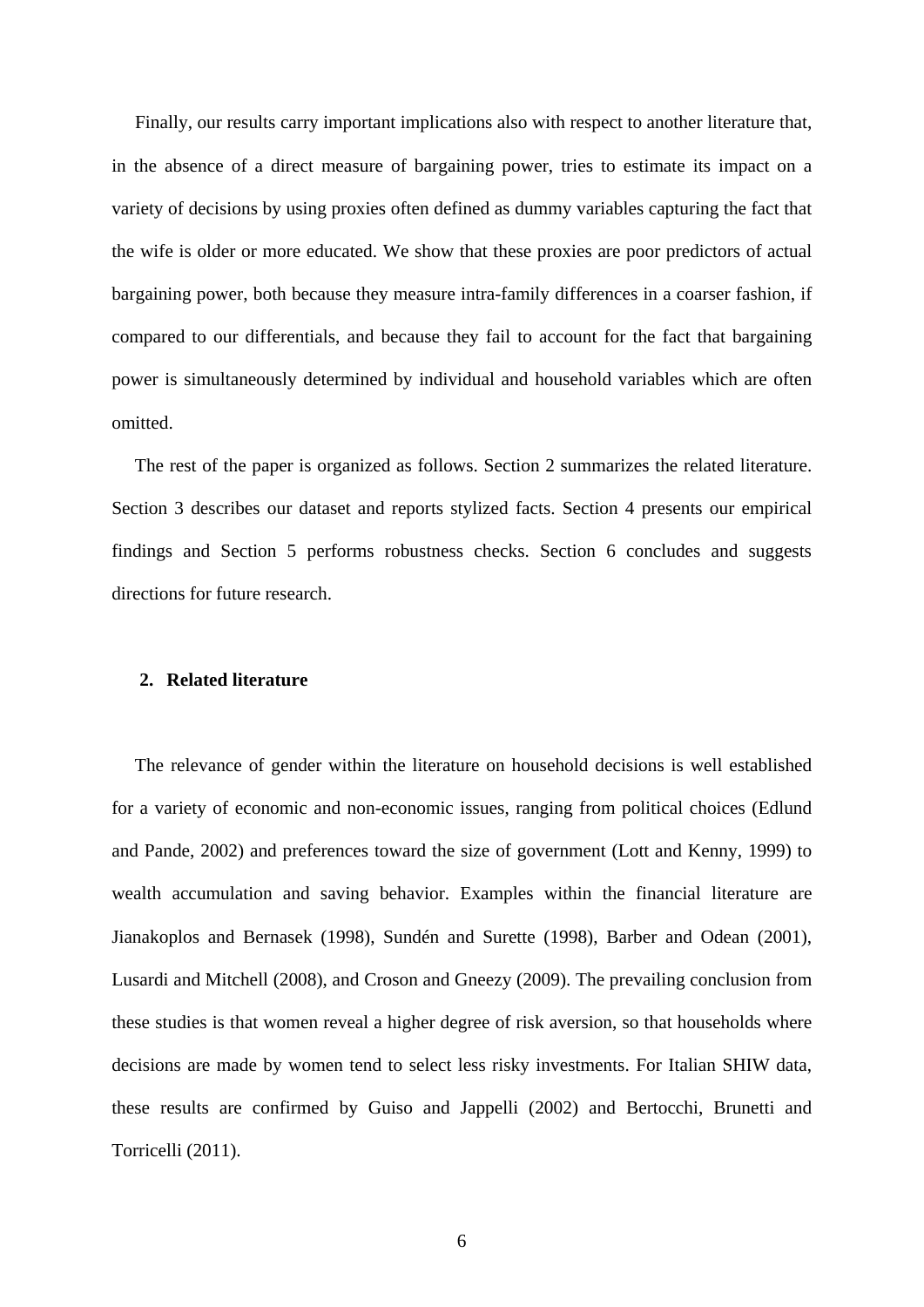Finally, our results carry important implications also with respect to another literature that, in the absence of a direct measure of bargaining power, tries to estimate its impact on a variety of decisions by using proxies often defined as dummy variables capturing the fact that the wife is older or more educated. We show that these proxies are poor predictors of actual bargaining power, both because they measure intra-family differences in a coarser fashion, if compared to our differentials, and because they fail to account for the fact that bargaining power is simultaneously determined by individual and household variables which are often omitted.

 The rest of the paper is organized as follows. Section 2 summarizes the related literature. Section 3 describes our dataset and reports stylized facts. Section 4 presents our empirical findings and Section 5 performs robustness checks. Section 6 concludes and suggests directions for future research.

#### **2. Related literature**

 The relevance of gender within the literature on household decisions is well established for a variety of economic and non-economic issues, ranging from political choices (Edlund and Pande, 2002) and preferences toward the size of government (Lott and Kenny, 1999) to wealth accumulation and saving behavior. Examples within the financial literature are Jianakoplos and Bernasek (1998), Sundén and Surette (1998), Barber and Odean (2001), Lusardi and Mitchell (2008), and Croson and Gneezy (2009). The prevailing conclusion from these studies is that women reveal a higher degree of risk aversion, so that households where decisions are made by women tend to select less risky investments. For Italian SHIW data, these results are confirmed by Guiso and Jappelli (2002) and Bertocchi, Brunetti and Torricelli (2011).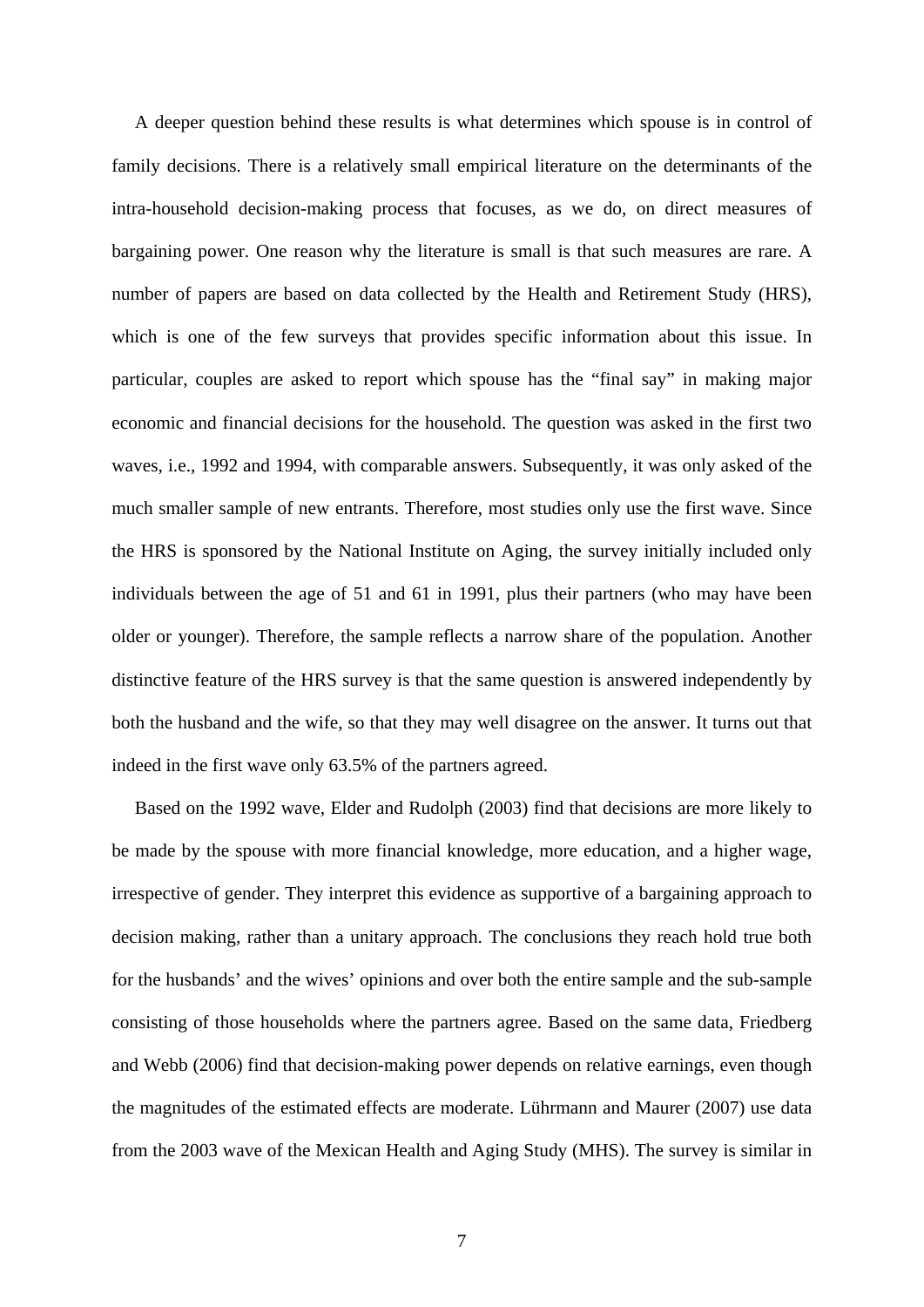A deeper question behind these results is what determines which spouse is in control of family decisions. There is a relatively small empirical literature on the determinants of the intra-household decision-making process that focuses, as we do, on direct measures of bargaining power. One reason why the literature is small is that such measures are rare. A number of papers are based on data collected by the Health and Retirement Study (HRS), which is one of the few surveys that provides specific information about this issue. In particular, couples are asked to report which spouse has the "final say" in making major economic and financial decisions for the household. The question was asked in the first two waves, i.e., 1992 and 1994, with comparable answers. Subsequently, it was only asked of the much smaller sample of new entrants. Therefore, most studies only use the first wave. Since the HRS is sponsored by the National Institute on Aging, the survey initially included only individuals between the age of 51 and 61 in 1991, plus their partners (who may have been older or younger). Therefore, the sample reflects a narrow share of the population. Another distinctive feature of the HRS survey is that the same question is answered independently by both the husband and the wife, so that they may well disagree on the answer. It turns out that indeed in the first wave only 63.5% of the partners agreed.

 Based on the 1992 wave, Elder and Rudolph (2003) find that decisions are more likely to be made by the spouse with more financial knowledge, more education, and a higher wage, irrespective of gender. They interpret this evidence as supportive of a bargaining approach to decision making, rather than a unitary approach. The conclusions they reach hold true both for the husbands' and the wives' opinions and over both the entire sample and the sub-sample consisting of those households where the partners agree. Based on the same data, Friedberg and Webb (2006) find that decision-making power depends on relative earnings, even though the magnitudes of the estimated effects are moderate. Lührmann and Maurer (2007) use data from the 2003 wave of the Mexican Health and Aging Study (MHS). The survey is similar in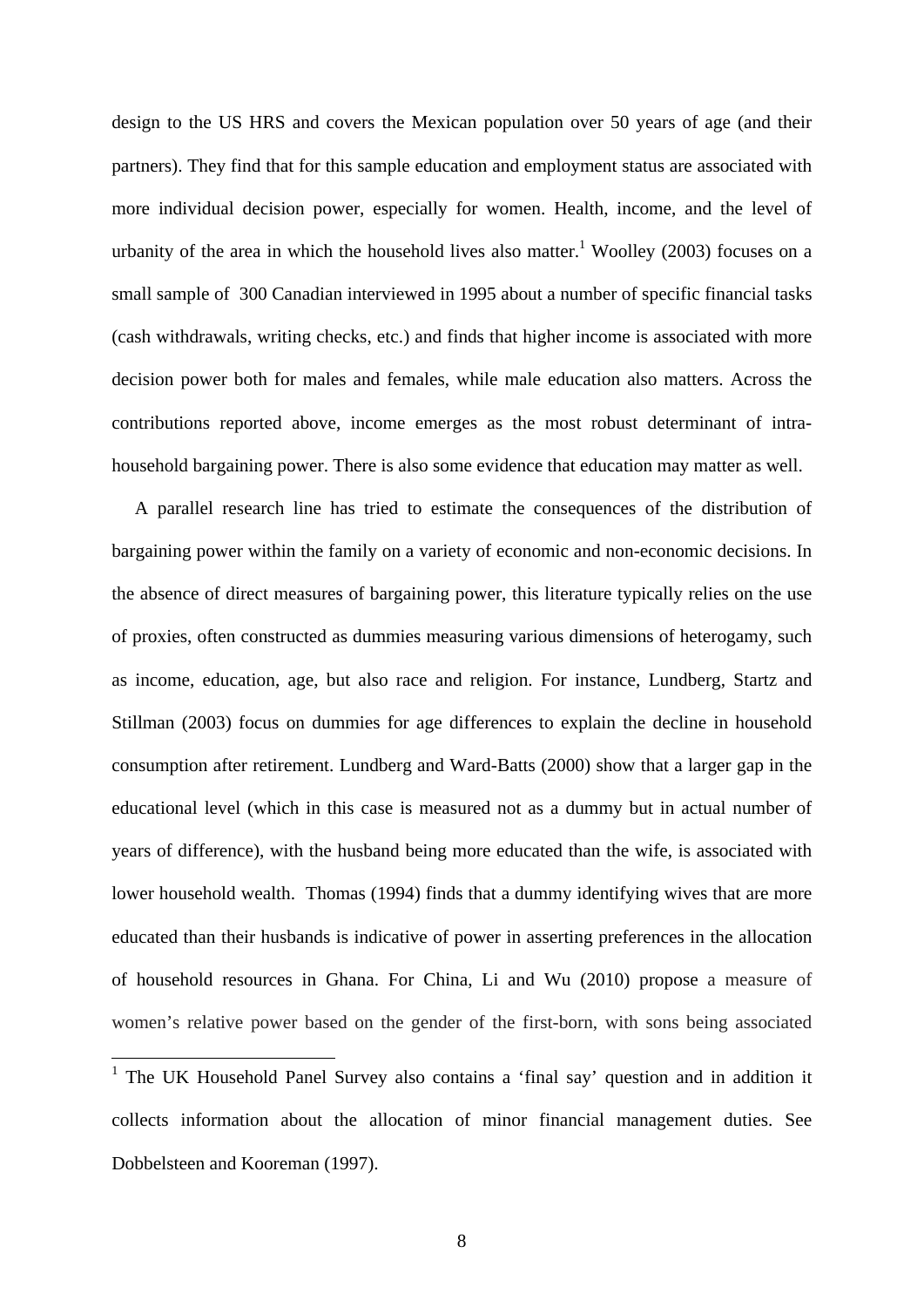design to the US HRS and covers the Mexican population over 50 years of age (and their partners). They find that for this sample education and employment status are associated with more individual decision power, especially for women. Health, income, and the level of urbanity of the area in which the household lives also matter.<sup>1</sup> Woolley (2003) focuses on a small sample of 300 Canadian interviewed in 1995 about a number of specific financial tasks (cash withdrawals, writing checks, etc.) and finds that higher income is associated with more decision power both for males and females, while male education also matters. Across the contributions reported above, income emerges as the most robust determinant of intrahousehold bargaining power. There is also some evidence that education may matter as well.

 A parallel research line has tried to estimate the consequences of the distribution of bargaining power within the family on a variety of economic and non-economic decisions. In the absence of direct measures of bargaining power, this literature typically relies on the use of proxies, often constructed as dummies measuring various dimensions of heterogamy, such as income, education, age, but also race and religion. For instance, Lundberg, Startz and Stillman (2003) focus on dummies for age differences to explain the decline in household consumption after retirement. Lundberg and Ward-Batts (2000) show that a larger gap in the educational level (which in this case is measured not as a dummy but in actual number of years of difference), with the husband being more educated than the wife, is associated with lower household wealth. Thomas (1994) finds that a dummy identifying wives that are more educated than their husbands is indicative of power in asserting preferences in the allocation of household resources in Ghana. For China, Li and Wu (2010) propose a measure of women's relative power based on the gender of the first-born, with sons being associated

The UK Household Panel Survey also contains a 'final say' question and in addition it collects information about the allocation of minor financial management duties. See Dobbelsteen and Kooreman (1997).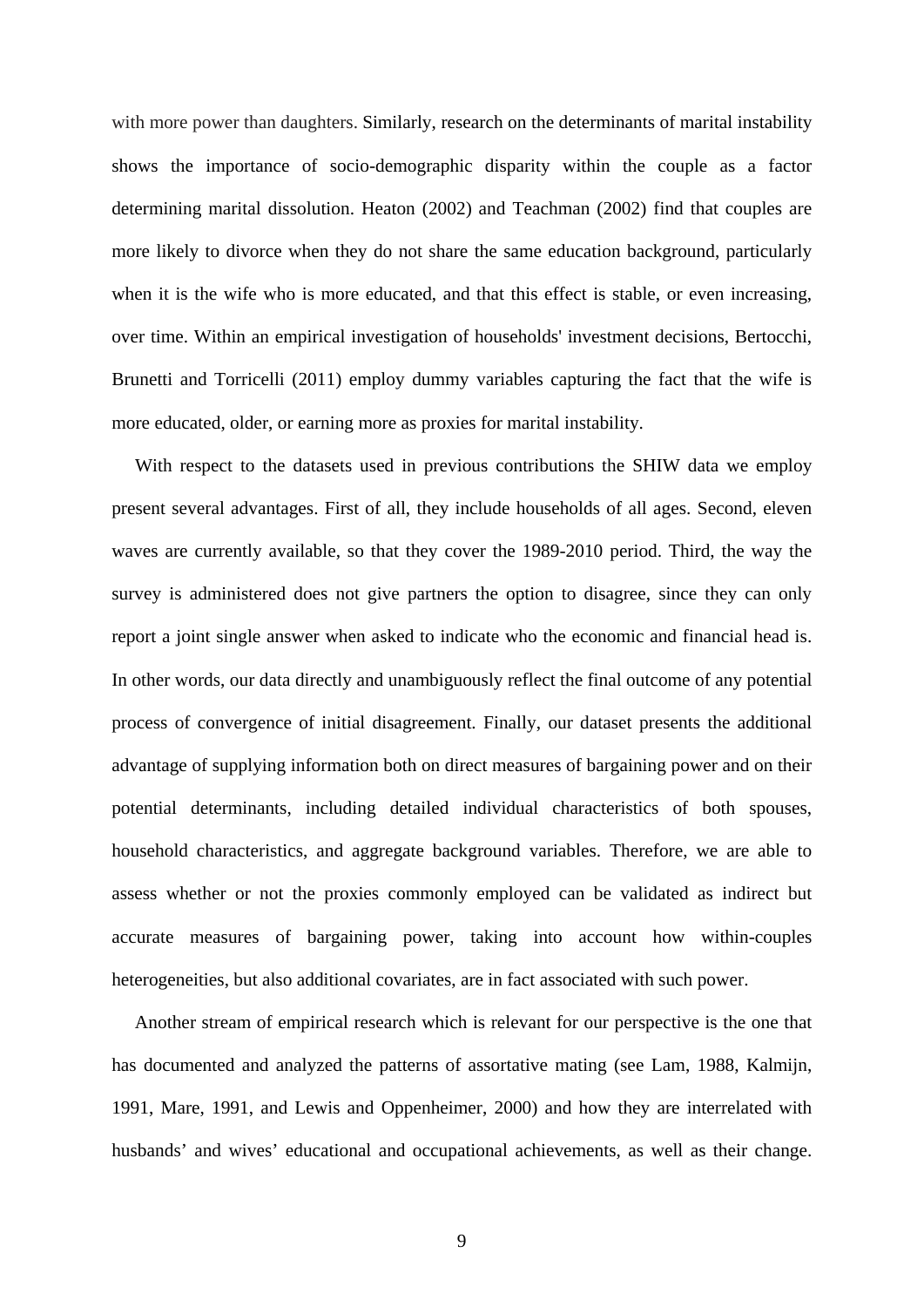with more power than daughters. Similarly, research on the determinants of marital instability shows the importance of socio-demographic disparity within the couple as a factor determining marital dissolution. Heaton (2002) and Teachman (2002) find that couples are more likely to divorce when they do not share the same education background, particularly when it is the wife who is more educated, and that this effect is stable, or even increasing, over time. Within an empirical investigation of households' investment decisions, Bertocchi, Brunetti and Torricelli (2011) employ dummy variables capturing the fact that the wife is more educated, older, or earning more as proxies for marital instability.

 With respect to the datasets used in previous contributions the SHIW data we employ present several advantages. First of all, they include households of all ages. Second, eleven waves are currently available, so that they cover the 1989-2010 period. Third, the way the survey is administered does not give partners the option to disagree, since they can only report a joint single answer when asked to indicate who the economic and financial head is. In other words, our data directly and unambiguously reflect the final outcome of any potential process of convergence of initial disagreement. Finally, our dataset presents the additional advantage of supplying information both on direct measures of bargaining power and on their potential determinants, including detailed individual characteristics of both spouses, household characteristics, and aggregate background variables. Therefore, we are able to assess whether or not the proxies commonly employed can be validated as indirect but accurate measures of bargaining power, taking into account how within-couples heterogeneities, but also additional covariates, are in fact associated with such power.

 Another stream of empirical research which is relevant for our perspective is the one that has documented and analyzed the patterns of assortative mating (see Lam, 1988, Kalmijn, 1991, Mare, 1991, and Lewis and Oppenheimer, 2000) and how they are interrelated with husbands' and wives' educational and occupational achievements, as well as their change.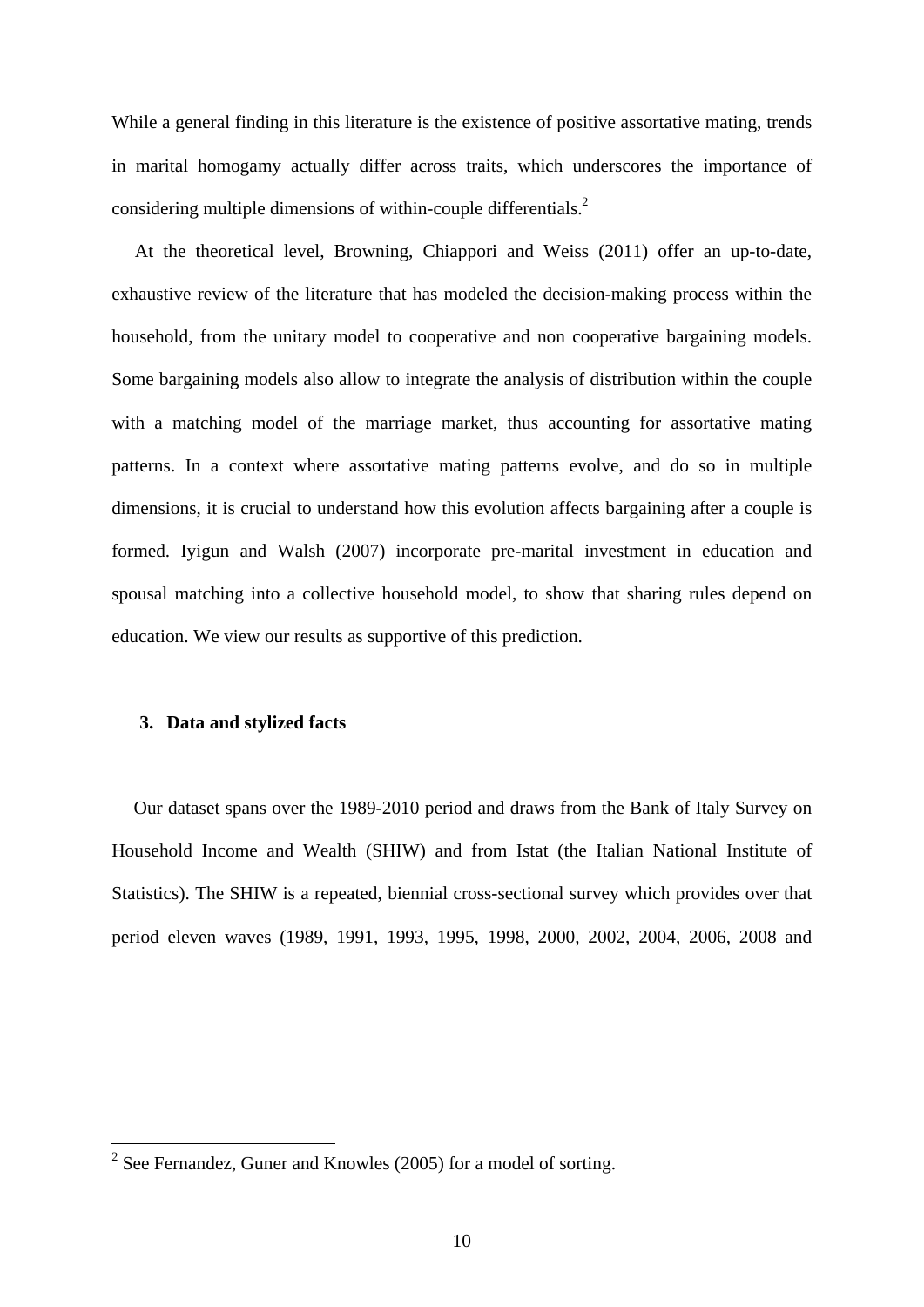While a general finding in this literature is the existence of positive assortative mating, trends in marital homogamy actually differ across traits, which underscores the importance of considering multiple dimensions of within-couple differentials. $^{2}$ 

 At the theoretical level, Browning, Chiappori and Weiss (2011) offer an up-to-date, exhaustive review of the literature that has modeled the decision-making process within the household, from the unitary model to cooperative and non cooperative bargaining models. Some bargaining models also allow to integrate the analysis of distribution within the couple with a matching model of the marriage market, thus accounting for assortative mating patterns. In a context where assortative mating patterns evolve, and do so in multiple dimensions, it is crucial to understand how this evolution affects bargaining after a couple is formed. Iyigun and Walsh (2007) incorporate pre-marital investment in education and spousal matching into a collective household model, to show that sharing rules depend on education. We view our results as supportive of this prediction.

#### **3. Data and stylized facts**

Our dataset spans over the 1989-2010 period and draws from the Bank of Italy Survey on Household Income and Wealth (SHIW) and from Istat (the Italian National Institute of Statistics). The SHIW is a repeated, biennial cross-sectional survey which provides over that period eleven waves (1989, 1991, 1993, 1995, 1998, 2000, 2002, 2004, 2006, 2008 and

<sup>&</sup>lt;sup>2</sup> See Fernandez, Guner and Knowles (2005) for a model of sorting.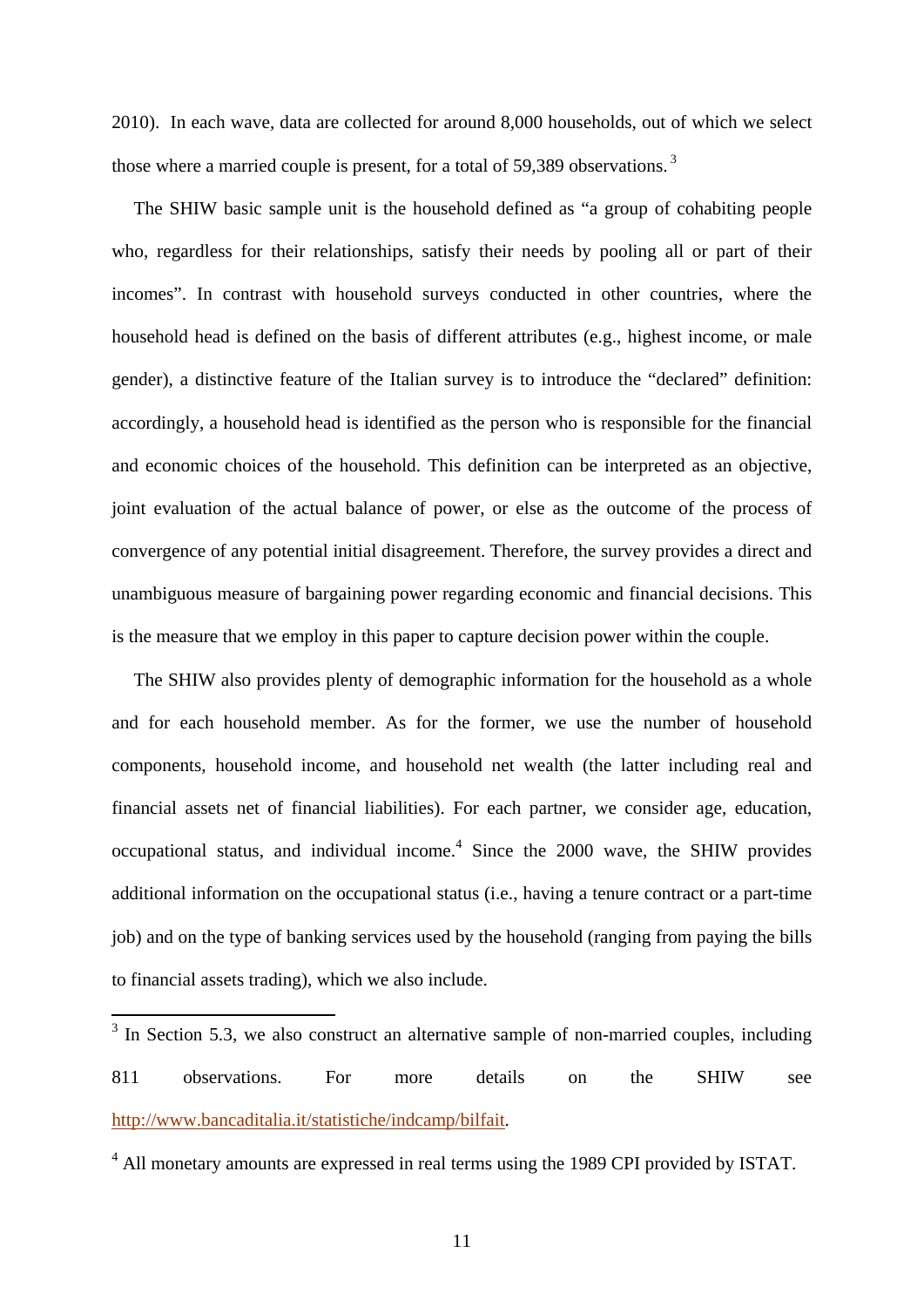2010). In each wave, data are collected for around 8,000 households, out of which we select those where a married couple is present, for a total of 59,389 observations.<sup>3</sup>

The SHIW basic sample unit is the household defined as "a group of cohabiting people who, regardless for their relationships, satisfy their needs by pooling all or part of their incomes". In contrast with household surveys conducted in other countries, where the household head is defined on the basis of different attributes (e.g., highest income, or male gender), a distinctive feature of the Italian survey is to introduce the "declared" definition: accordingly, a household head is identified as the person who is responsible for the financial and economic choices of the household. This definition can be interpreted as an objective, joint evaluation of the actual balance of power, or else as the outcome of the process of convergence of any potential initial disagreement. Therefore, the survey provides a direct and unambiguous measure of bargaining power regarding economic and financial decisions. This is the measure that we employ in this paper to capture decision power within the couple.

The SHIW also provides plenty of demographic information for the household as a whole and for each household member. As for the former, we use the number of household components, household income, and household net wealth (the latter including real and financial assets net of financial liabilities). For each partner, we consider age, education, occupational status, and individual income.<sup>4</sup> Since the 2000 wave, the SHIW provides additional information on the occupational status (i.e., having a tenure contract or a part-time job) and on the type of banking services used by the household (ranging from paying the bills to financial assets trading), which we also include.

<u>.</u>

 $3$  In Section 5.3, we also construct an alternative sample of non-married couples, including 811 observations. For more details on the SHIW see http://www.bancaditalia.it/statistiche/indcamp/bilfait.

 $4$  All monetary amounts are expressed in real terms using the 1989 CPI provided by ISTAT.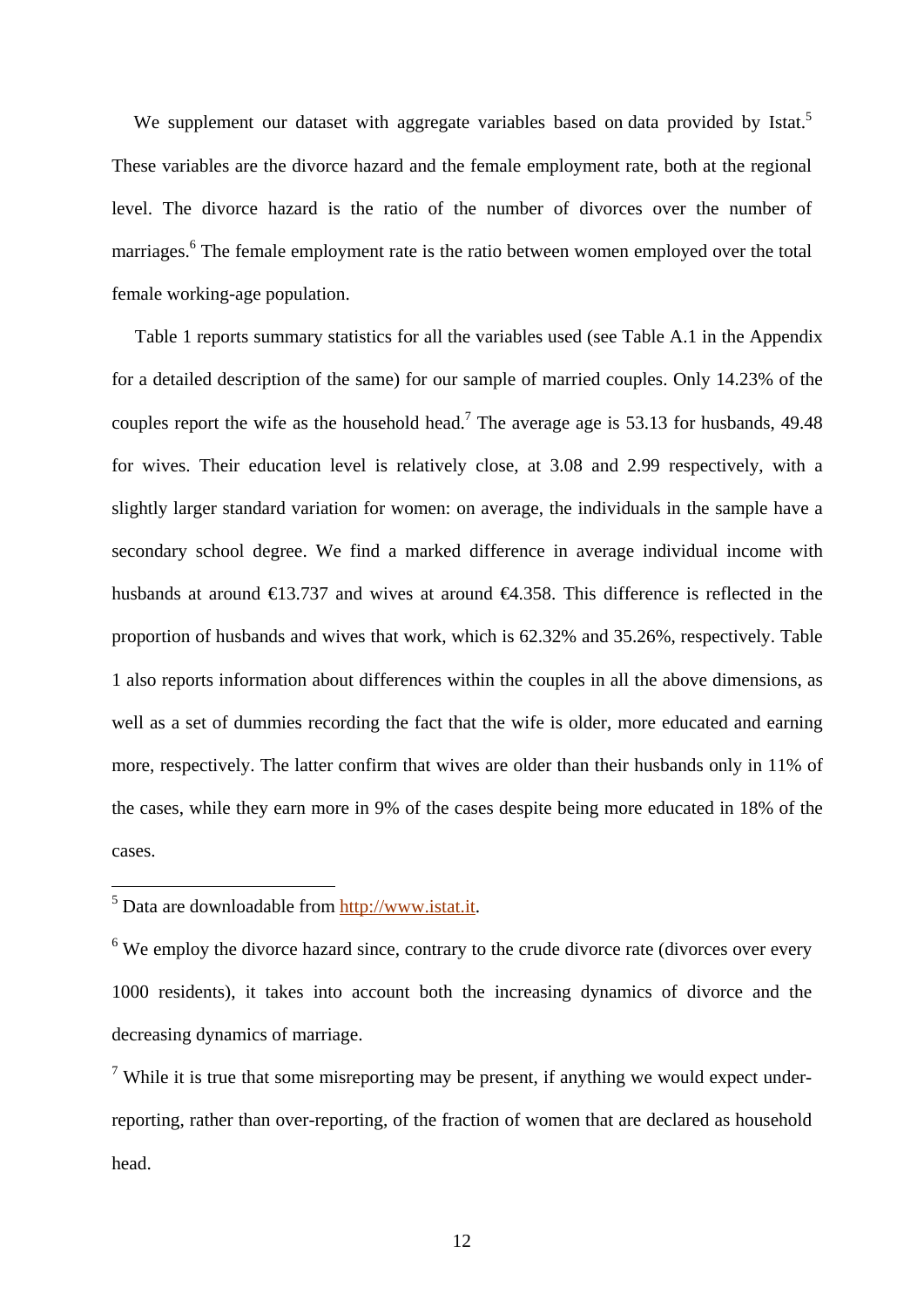We supplement our dataset with aggregate variables based on data provided by Istat.<sup>5</sup> These variables are the divorce hazard and the female employment rate, both at the regional level. The divorce hazard is the ratio of the number of divorces over the number of marriages.<sup>6</sup> The female employment rate is the ratio between women employed over the total female working-age population.

 Table 1 reports summary statistics for all the variables used (see Table A.1 in the Appendix for a detailed description of the same) for our sample of married couples. Only 14.23% of the couples report the wife as the household head.<sup>7</sup> The average age is 53.13 for husbands, 49.48 for wives. Their education level is relatively close, at 3.08 and 2.99 respectively, with a slightly larger standard variation for women: on average, the individuals in the sample have a secondary school degree. We find a marked difference in average individual income with husbands at around €13.737 and wives at around €4.358. This difference is reflected in the proportion of husbands and wives that work, which is 62.32% and 35.26%, respectively. Table 1 also reports information about differences within the couples in all the above dimensions, as well as a set of dummies recording the fact that the wife is older, more educated and earning more, respectively. The latter confirm that wives are older than their husbands only in 11% of the cases, while they earn more in 9% of the cases despite being more educated in 18% of the cases.

 $<sup>5</sup>$  Data are downloadable from  $\frac{http://www.istat.it.}{http://www.istat.it.}$ </sup>

<u>.</u>

<sup>6</sup> We employ the divorce hazard since, contrary to the crude divorce rate (divorces over every 1000 residents), it takes into account both the increasing dynamics of divorce and the decreasing dynamics of marriage.

<sup>7</sup> While it is true that some misreporting may be present, if anything we would expect underreporting, rather than over-reporting, of the fraction of women that are declared as household head.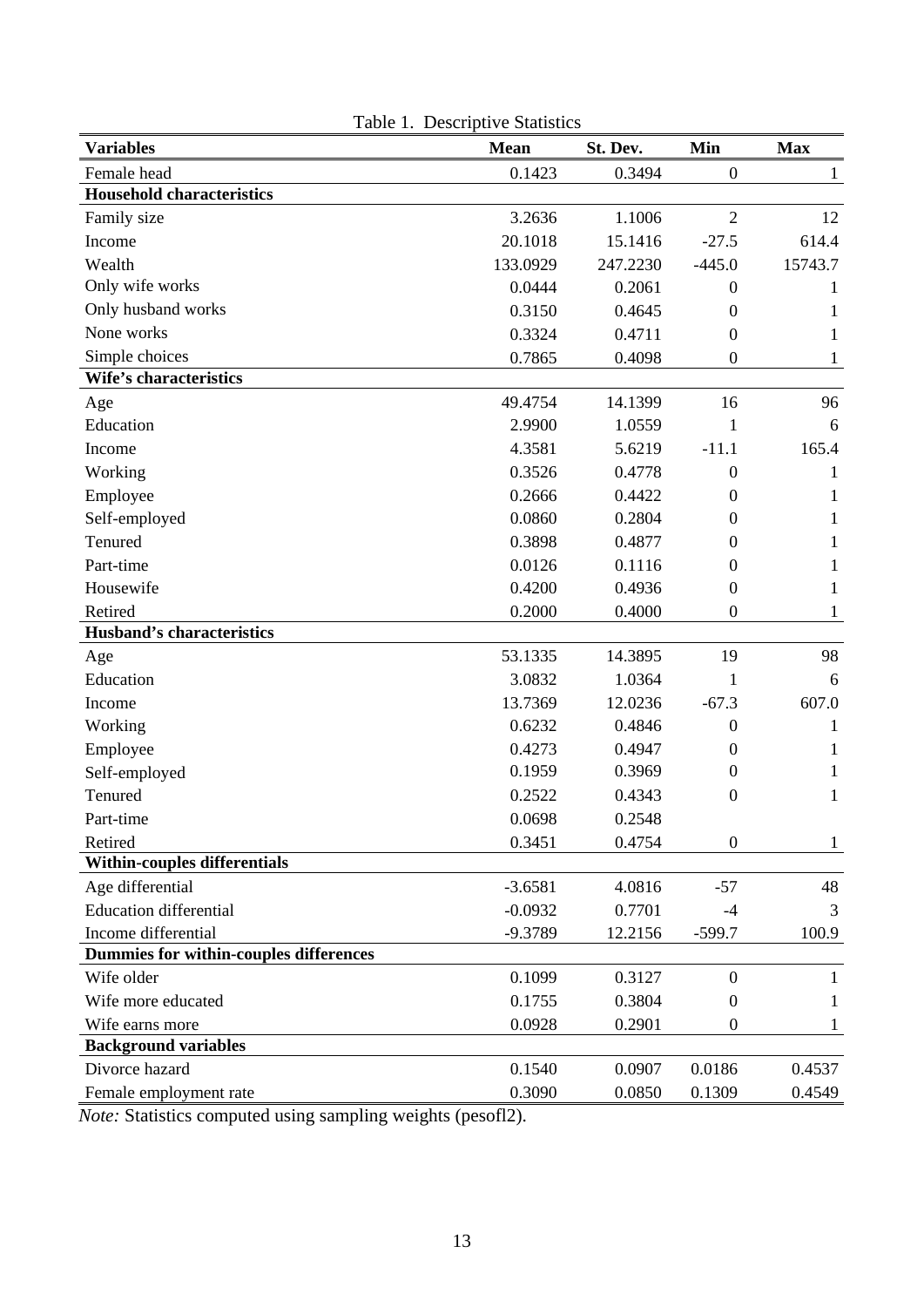| <b>Variables</b>                              | <b>Mean</b> | St. Dev. | Min              | <b>Max</b>   |
|-----------------------------------------------|-------------|----------|------------------|--------------|
| Female head                                   | 0.1423      | 0.3494   | $\overline{0}$   | 1            |
| <b>Household characteristics</b>              |             |          |                  |              |
| Family size                                   | 3.2636      | 1.1006   | $\overline{2}$   | 12           |
| Income                                        | 20.1018     | 15.1416  | $-27.5$          | 614.4        |
| Wealth                                        | 133.0929    | 247.2230 | $-445.0$         | 15743.7      |
| Only wife works                               | 0.0444      | 0.2061   | $\boldsymbol{0}$ | 1            |
| Only husband works                            | 0.3150      | 0.4645   | $\overline{0}$   | 1            |
| None works                                    | 0.3324      | 0.4711   | $\boldsymbol{0}$ | 1            |
| Simple choices                                | 0.7865      | 0.4098   | $\boldsymbol{0}$ | 1            |
| Wife's characteristics                        |             |          |                  |              |
| Age                                           | 49.4754     | 14.1399  | 16               | 96           |
| Education                                     | 2.9900      | 1.0559   | 1                | 6            |
| Income                                        | 4.3581      | 5.6219   | $-11.1$          | 165.4        |
| Working                                       | 0.3526      | 0.4778   | $\boldsymbol{0}$ | 1            |
| Employee                                      | 0.2666      | 0.4422   | $\overline{0}$   | 1            |
| Self-employed                                 | 0.0860      | 0.2804   | $\boldsymbol{0}$ | $\mathbf{1}$ |
| Tenured                                       | 0.3898      | 0.4877   | $\mathbf{0}$     | $\mathbf{1}$ |
| Part-time                                     | 0.0126      | 0.1116   | $\overline{0}$   | $\mathbf{1}$ |
| Housewife                                     | 0.4200      | 0.4936   | $\boldsymbol{0}$ | 1            |
| Retired                                       | 0.2000      | 0.4000   | $\boldsymbol{0}$ | $\mathbf{1}$ |
| <b>Husband's characteristics</b>              |             |          |                  |              |
| Age                                           | 53.1335     | 14.3895  | 19               | 98           |
| Education                                     | 3.0832      | 1.0364   | 1                | 6            |
| Income                                        | 13.7369     | 12.0236  | $-67.3$          | 607.0        |
| Working                                       | 0.6232      | 0.4846   | $\boldsymbol{0}$ | $\mathbf{1}$ |
| Employee                                      | 0.4273      | 0.4947   | $\boldsymbol{0}$ | 1            |
| Self-employed                                 | 0.1959      | 0.3969   | $\boldsymbol{0}$ | $\mathbf{1}$ |
| Tenured                                       | 0.2522      | 0.4343   | $\boldsymbol{0}$ | $\mathbf{1}$ |
| Part-time                                     | 0.0698      | 0.2548   |                  |              |
| Retired                                       | 0.3451      | 0.4754   | $\boldsymbol{0}$ | $\mathbf{1}$ |
| <b>Within-couples differentials</b>           |             |          |                  |              |
| Age differential                              | $-3.6581$   | 4.0816   | $-57$            | 48           |
| <b>Education differential</b>                 | $-0.0932$   | 0.7701   | $-4$             | 3            |
| Income differential                           | -9.3789     | 12.2156  | $-599.7$         | 100.9        |
| <b>Dummies for within-couples differences</b> |             |          |                  |              |
| Wife older                                    | 0.1099      | 0.3127   | $\boldsymbol{0}$ | 1            |
| Wife more educated                            | 0.1755      | 0.3804   | $\boldsymbol{0}$ | 1            |
| Wife earns more                               | 0.0928      | 0.2901   | $\boldsymbol{0}$ | 1            |
| <b>Background variables</b>                   |             |          |                  |              |
| Divorce hazard                                | 0.1540      | 0.0907   | 0.0186           | 0.4537       |
| Female employment rate                        | 0.3090      | 0.0850   | 0.1309           | 0.4549       |

Table 1. Descriptive Statistics

*Note:* Statistics computed using sampling weights (pesofl2).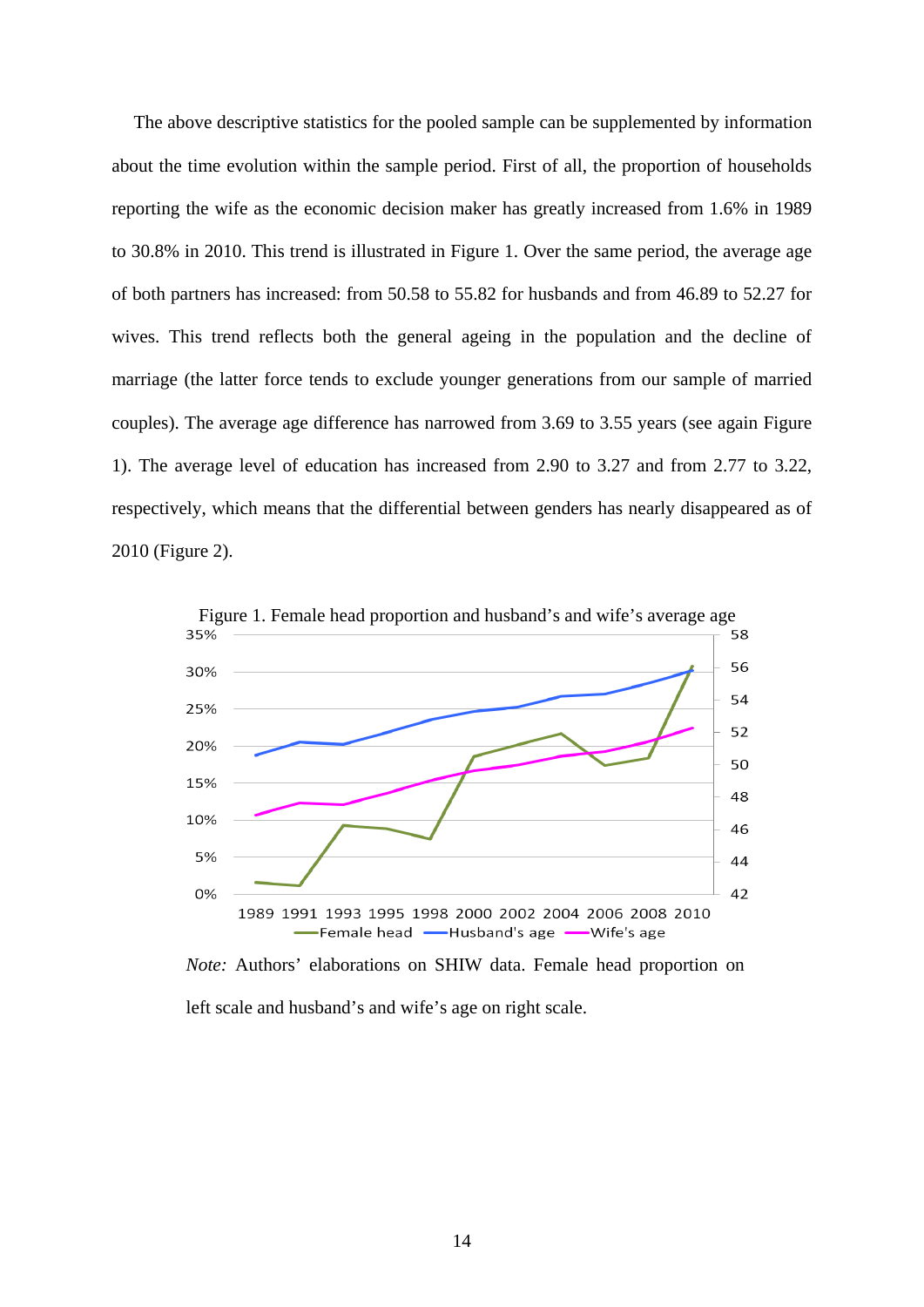The above descriptive statistics for the pooled sample can be supplemented by information about the time evolution within the sample period. First of all, the proportion of households reporting the wife as the economic decision maker has greatly increased from 1.6% in 1989 to 30.8% in 2010. This trend is illustrated in Figure 1. Over the same period, the average age of both partners has increased: from 50.58 to 55.82 for husbands and from 46.89 to 52.27 for wives. This trend reflects both the general ageing in the population and the decline of marriage (the latter force tends to exclude younger generations from our sample of married couples). The average age difference has narrowed from 3.69 to 3.55 years (see again Figure 1). The average level of education has increased from 2.90 to 3.27 and from 2.77 to 3.22, respectively, which means that the differential between genders has nearly disappeared as of 2010 (Figure 2).



*Note:* Authors' elaborations on SHIW data. Female head proportion on left scale and husband's and wife's age on right scale.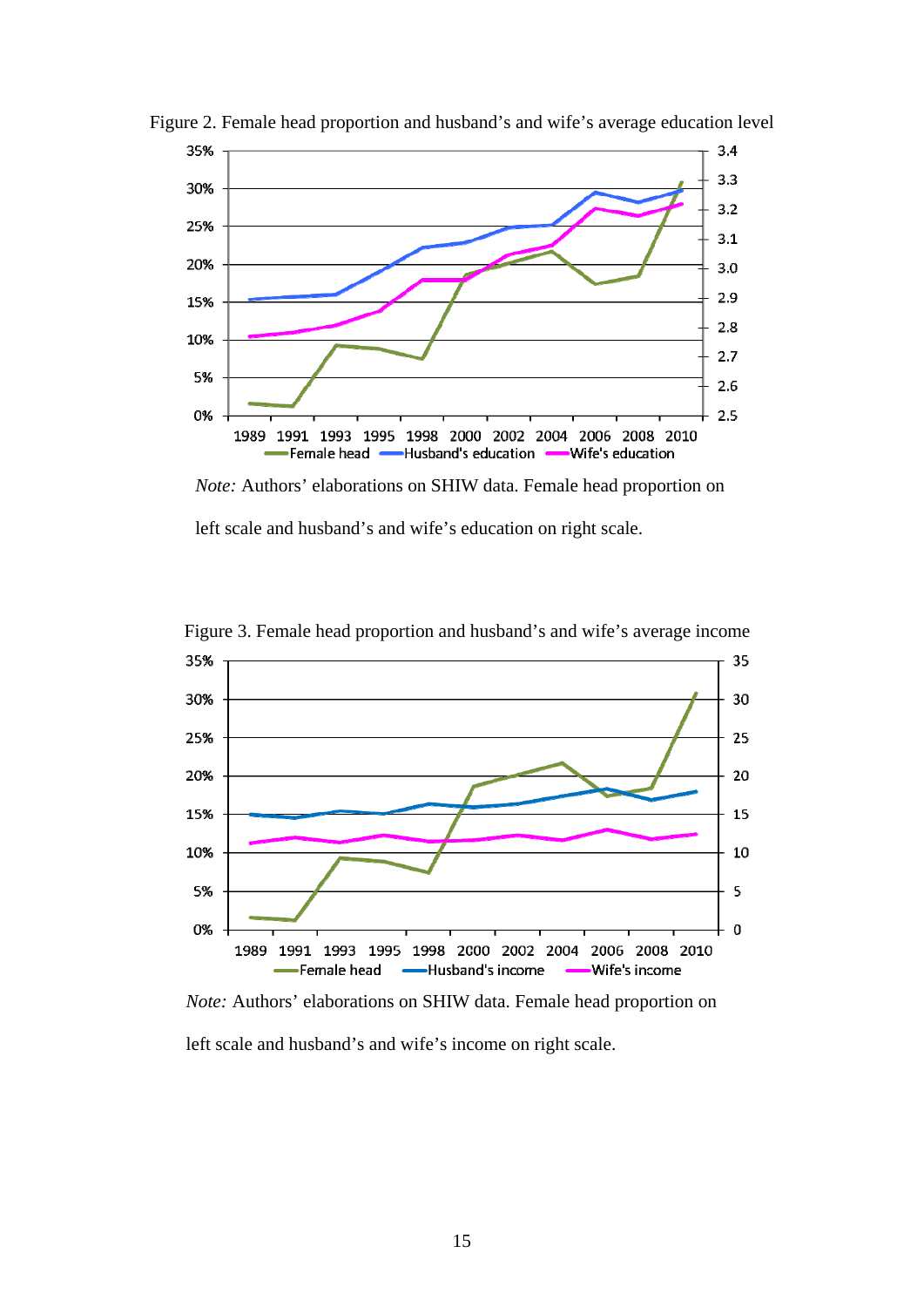

Figure 2. Female head proportion and husband's and wife's average education level

*Note:* Authors' elaborations on SHIW data. Female head proportion on left scale and husband's and wife's education on right scale.



Figure 3. Female head proportion and husband's and wife's average income

*Note:* Authors' elaborations on SHIW data. Female head proportion on left scale and husband's and wife's income on right scale.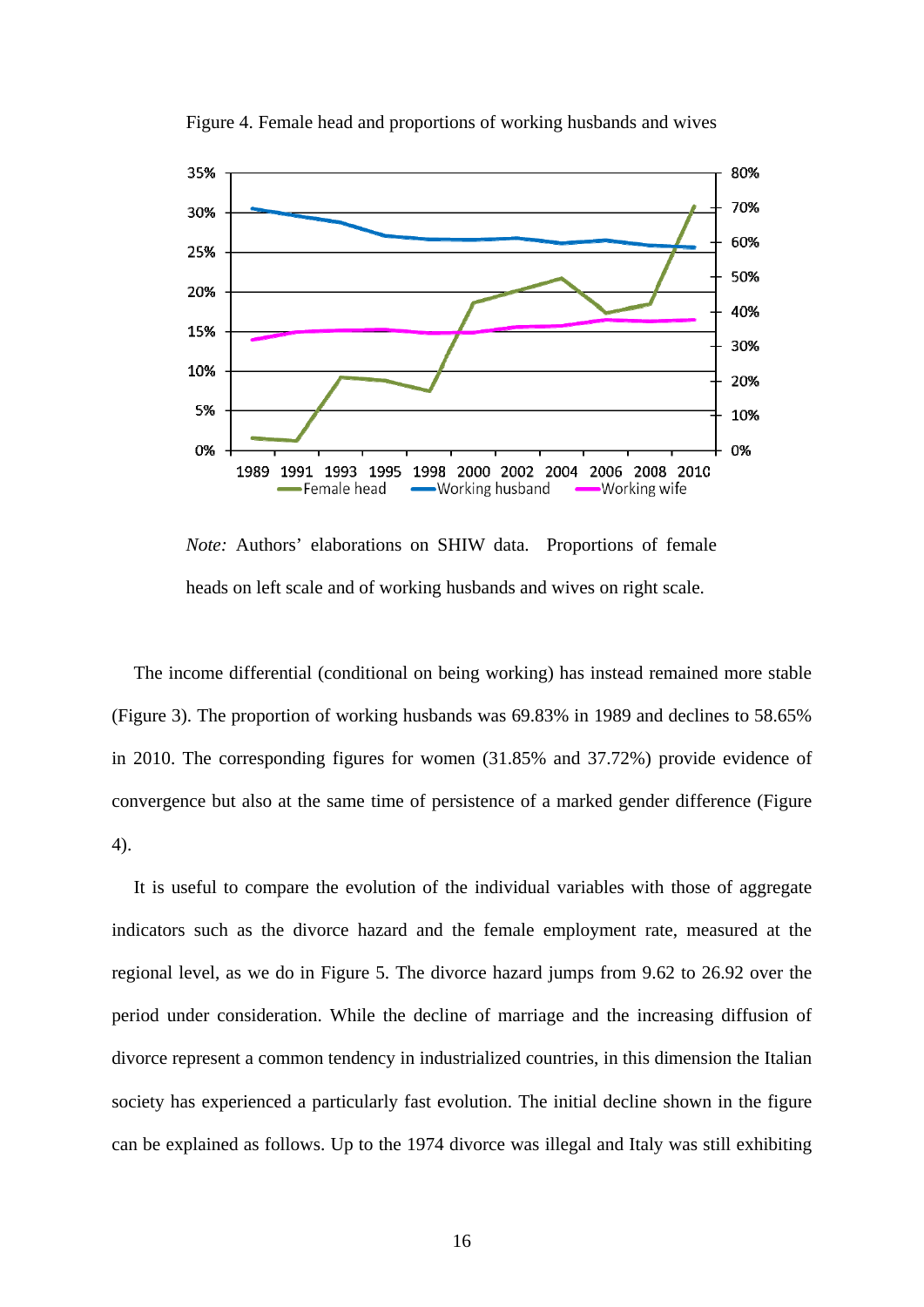

Figure 4. Female head and proportions of working husbands and wives

*Note:* Authors' elaborations on SHIW data. Proportions of female heads on left scale and of working husbands and wives on right scale.

The income differential (conditional on being working) has instead remained more stable (Figure 3). The proportion of working husbands was 69.83% in 1989 and declines to 58.65% in 2010. The corresponding figures for women (31.85% and 37.72%) provide evidence of convergence but also at the same time of persistence of a marked gender difference (Figure 4).

It is useful to compare the evolution of the individual variables with those of aggregate indicators such as the divorce hazard and the female employment rate, measured at the regional level, as we do in Figure 5. The divorce hazard jumps from 9.62 to 26.92 over the period under consideration. While the decline of marriage and the increasing diffusion of divorce represent a common tendency in industrialized countries, in this dimension the Italian society has experienced a particularly fast evolution. The initial decline shown in the figure can be explained as follows. Up to the 1974 divorce was illegal and Italy was still exhibiting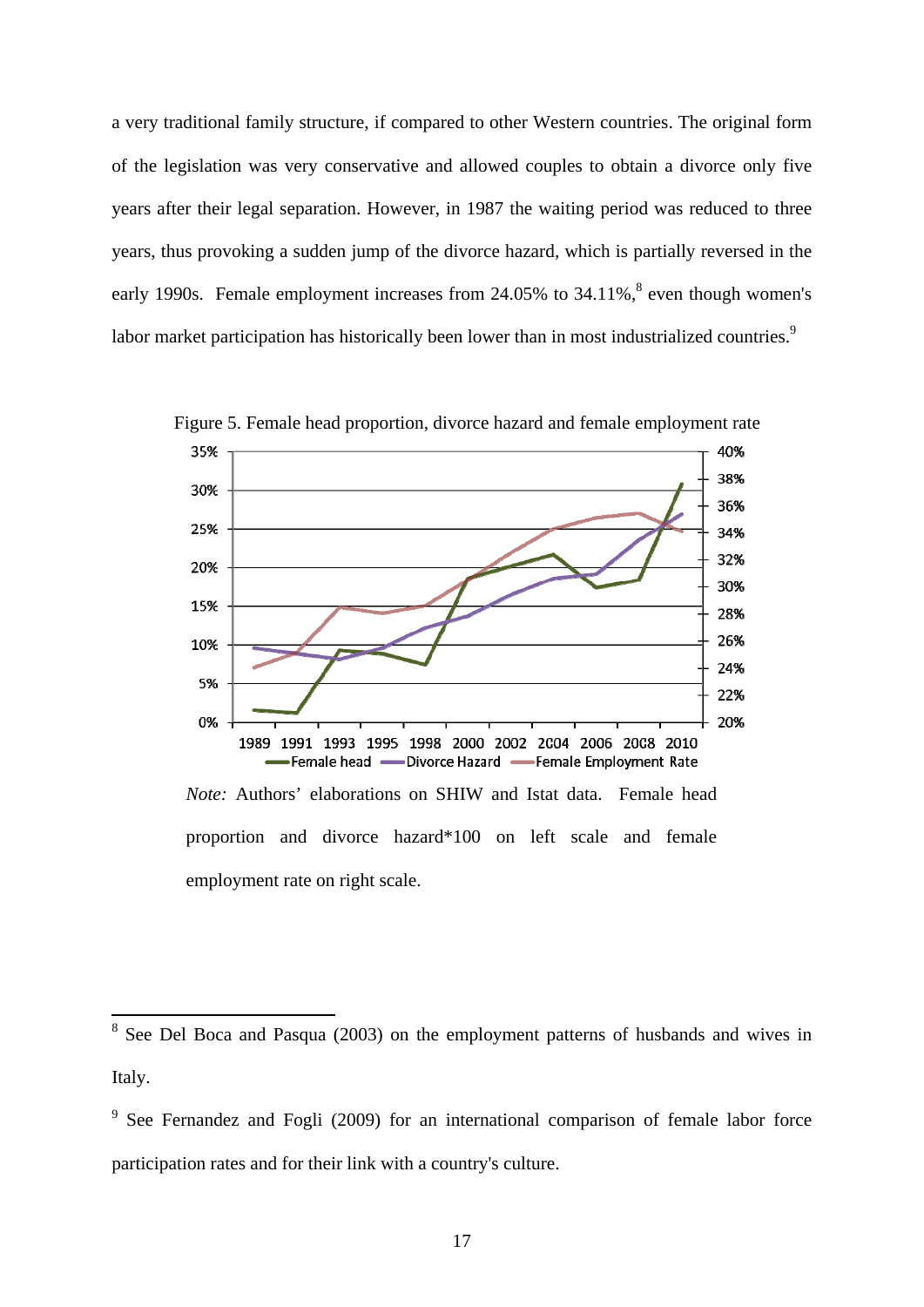a very traditional family structure, if compared to other Western countries. The original form of the legislation was very conservative and allowed couples to obtain a divorce only five years after their legal separation. However, in 1987 the waiting period was reduced to three years, thus provoking a sudden jump of the divorce hazard, which is partially reversed in the early 1990s. Female employment increases from  $24.05\%$  to  $34.11\%$ , even though women's labor market participation has historically been lower than in most industrialized countries.<sup>9</sup>



Figure 5. Female head proportion, divorce hazard and female employment rate

<u>.</u>

<sup>&</sup>lt;sup>8</sup> See Del Boca and Pasqua (2003) on the employment patterns of husbands and wives in Italy.

<sup>&</sup>lt;sup>9</sup> See Fernandez and Fogli (2009) for an international comparison of female labor force participation rates and for their link with a country's culture.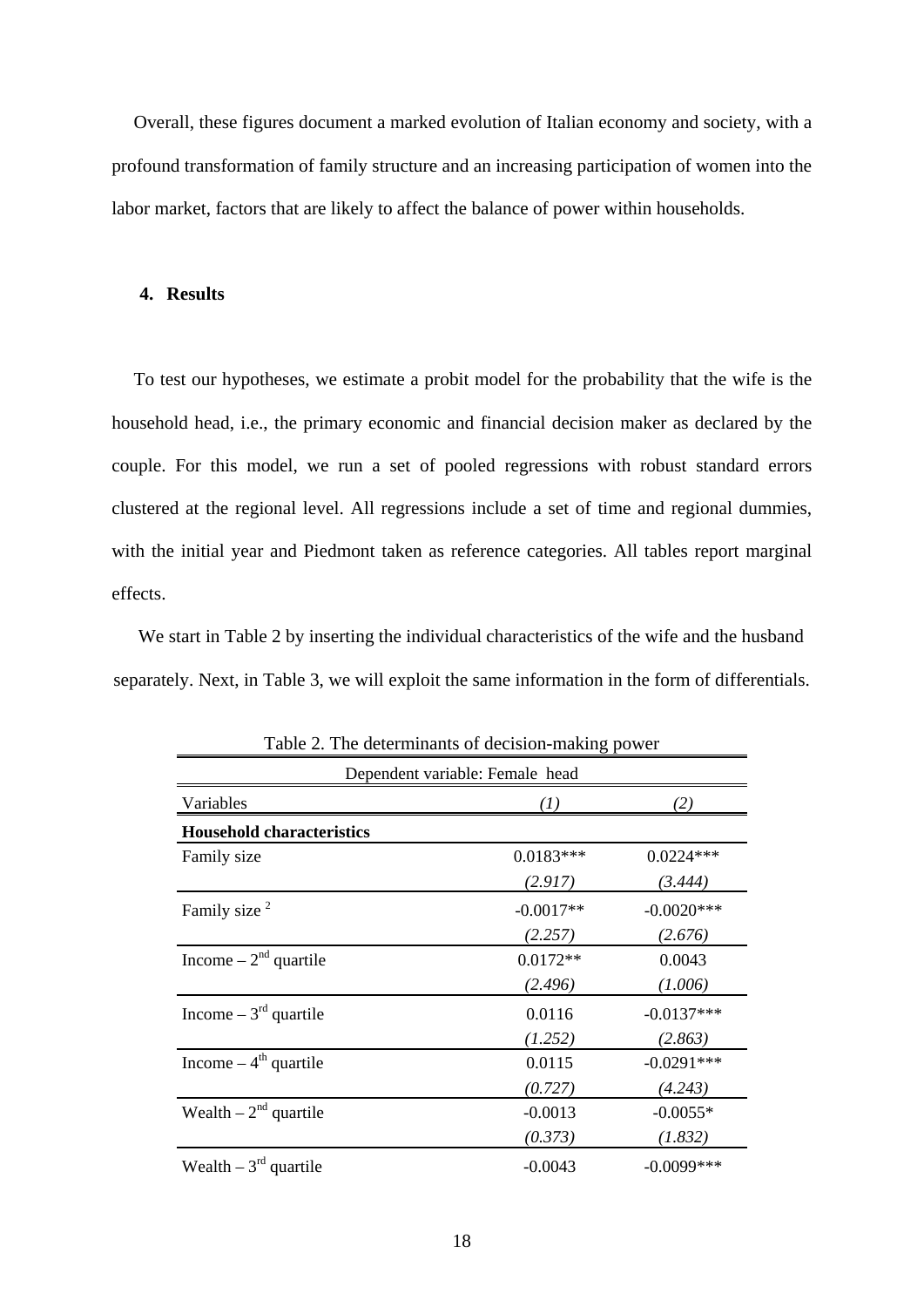Overall, these figures document a marked evolution of Italian economy and society, with a profound transformation of family structure and an increasing participation of women into the labor market, factors that are likely to affect the balance of power within households.

#### **4. Results**

To test our hypotheses, we estimate a probit model for the probability that the wife is the household head, i.e., the primary economic and financial decision maker as declared by the couple. For this model, we run a set of pooled regressions with robust standard errors clustered at the regional level. All regressions include a set of time and regional dummies, with the initial year and Piedmont taken as reference categories. All tables report marginal effects.

 We start in Table 2 by inserting the individual characteristics of the wife and the husband separately. Next, in Table 3, we will exploit the same information in the form of differentials.

| Dependent variable: Female head  |             |               |  |  |
|----------------------------------|-------------|---------------|--|--|
| Variables                        | (I)         | (2)           |  |  |
| <b>Household characteristics</b> |             |               |  |  |
| Family size                      | $0.0183***$ | $0.0224***$   |  |  |
|                                  | (2.917)     | (3.444)       |  |  |
| Family size <sup>2</sup>         | $-0.0017**$ | $-0.0020$ *** |  |  |
|                                  | (2.257)     | (2.676)       |  |  |
| Income $-2^{nd}$ quartile        | $0.0172**$  | 0.0043        |  |  |
|                                  | (2.496)     | (1.006)       |  |  |
| Income $-3^{rd}$ quartile        | 0.0116      | $-0.0137***$  |  |  |
|                                  | (1.252)     | (2.863)       |  |  |
| Income $-4th$ quartile           | 0.0115      | $-0.0291***$  |  |  |
|                                  | (0.727)     | (4.243)       |  |  |
| Wealth $-2^{nd}$ quartile        | $-0.0013$   | $-0.0055*$    |  |  |
|                                  | (0.373)     | (1.832)       |  |  |
| Wealth $-3^{rd}$ quartile        | $-0.0043$   | $-0.0099$ *** |  |  |

Table 2. The determinants of decision-making power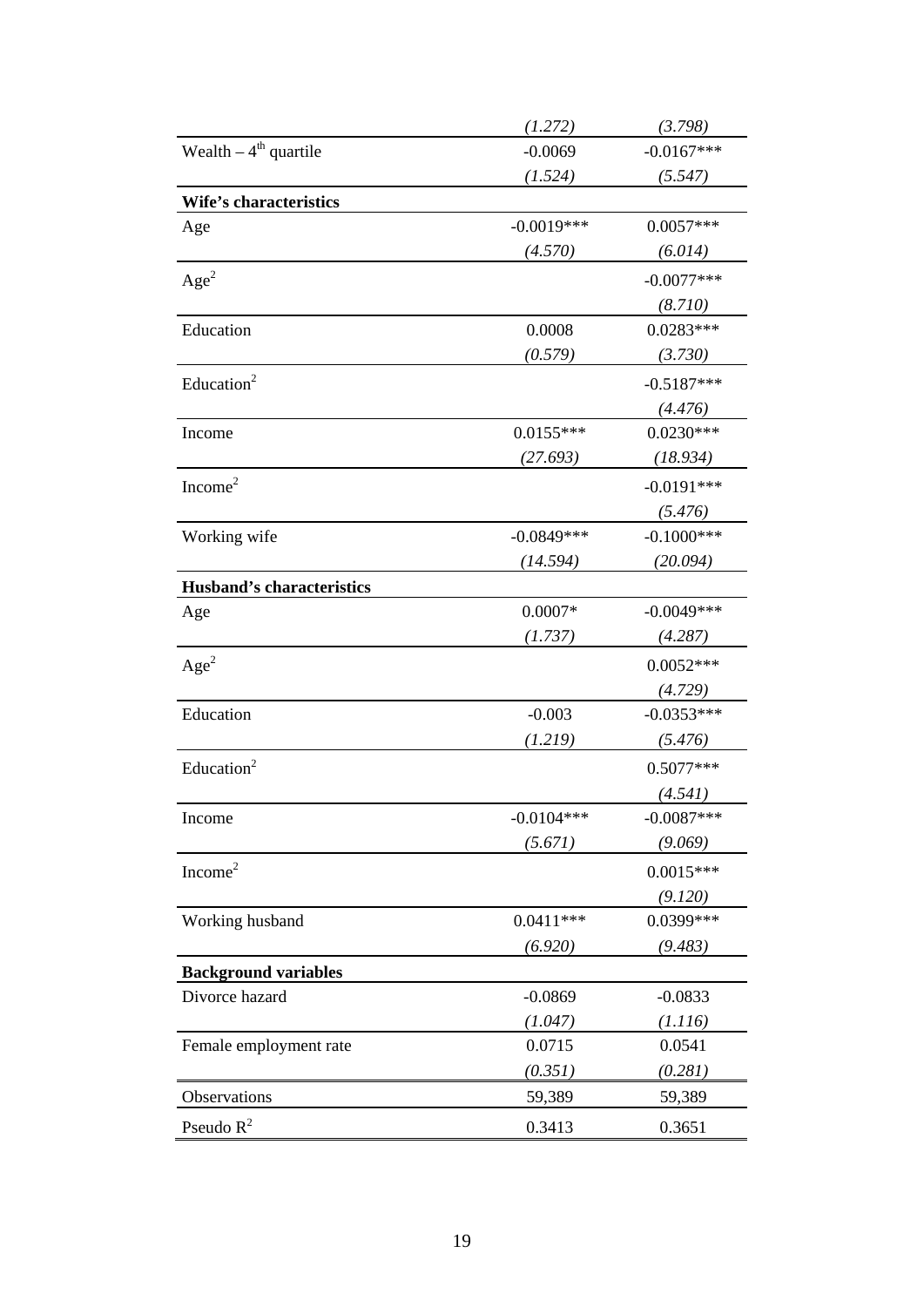|                                    | (1.272)      | (3.798)       |
|------------------------------------|--------------|---------------|
| Wealth $-4$ <sup>th</sup> quartile | $-0.0069$    | $-0.0167***$  |
|                                    | (1.524)      | (5.547)       |
| Wife's characteristics             |              |               |
| Age                                | $-0.0019***$ | $0.0057***$   |
|                                    | (4.570)      | (6.014)       |
| Age <sup>2</sup>                   |              | $-0.0077***$  |
|                                    |              | (8.710)       |
| Education                          | 0.0008       | $0.0283***$   |
|                                    | (0.579)      | (3.730)       |
| Education <sup>2</sup>             |              | $-0.5187***$  |
|                                    |              | (4.476)       |
| Income                             | $0.0155***$  | $0.0230***$   |
|                                    | (27.693)     | (18.934)      |
| Income $2$                         |              | $-0.0191***$  |
|                                    |              | (5.476)       |
| Working wife                       | $-0.0849***$ | $-0.1000$ *** |
|                                    | (14.594)     | (20.094)      |
| Husband's characteristics          |              |               |
| Age                                | $0.0007*$    | $-0.0049***$  |
|                                    | (1.737)      | (4.287)       |
| Age <sup>2</sup>                   |              | $0.0052***$   |
|                                    |              | (4.729)       |
| Education                          | $-0.003$     | $-0.0353***$  |
|                                    | (1.219)      | (5.476)       |
| Education <sup>2</sup>             |              | $0.5077***$   |
|                                    |              | (4.541)       |
| Income                             | $-0.0104***$ | $-0.0087$ *** |
|                                    | (5.671)      | (9.069)       |
| Income <sup>2</sup>                |              | $0.0015***$   |
|                                    |              | (9.120)       |
| Working husband                    | $0.0411***$  | 0.0399***     |
|                                    | (6.920)      | (9.483)       |
| <b>Background variables</b>        |              |               |
| Divorce hazard                     | $-0.0869$    | $-0.0833$     |
|                                    | (1.047)      | (1.116)       |
| Female employment rate             | 0.0715       | 0.0541        |
|                                    | (0.351)      | (0.281)       |
| Observations                       | 59,389       | 59,389        |
| Pseudo $R^2$                       | 0.3413       | 0.3651        |
|                                    |              |               |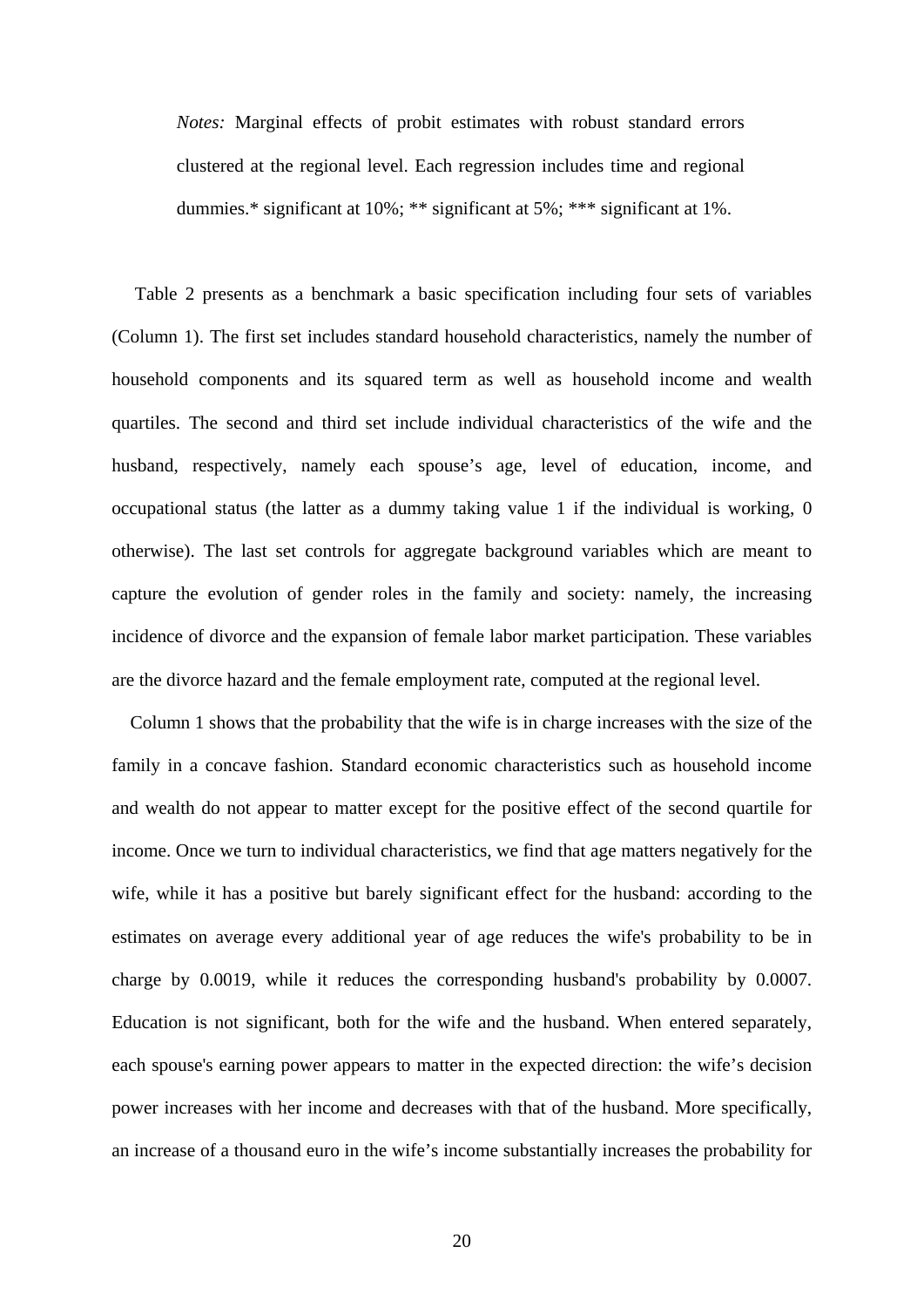*Notes:* Marginal effects of probit estimates with robust standard errors clustered at the regional level. Each regression includes time and regional dummies.\* significant at 10%; \*\* significant at 5%; \*\*\* significant at 1%.

 Table 2 presents as a benchmark a basic specification including four sets of variables (Column 1). The first set includes standard household characteristics, namely the number of household components and its squared term as well as household income and wealth quartiles. The second and third set include individual characteristics of the wife and the husband, respectively, namely each spouse's age, level of education, income, and occupational status (the latter as a dummy taking value 1 if the individual is working, 0 otherwise). The last set controls for aggregate background variables which are meant to capture the evolution of gender roles in the family and society: namely, the increasing incidence of divorce and the expansion of female labor market participation. These variables are the divorce hazard and the female employment rate, computed at the regional level.

 Column 1 shows that the probability that the wife is in charge increases with the size of the family in a concave fashion. Standard economic characteristics such as household income and wealth do not appear to matter except for the positive effect of the second quartile for income. Once we turn to individual characteristics, we find that age matters negatively for the wife, while it has a positive but barely significant effect for the husband: according to the estimates on average every additional year of age reduces the wife's probability to be in charge by 0.0019, while it reduces the corresponding husband's probability by 0.0007. Education is not significant, both for the wife and the husband. When entered separately, each spouse's earning power appears to matter in the expected direction: the wife's decision power increases with her income and decreases with that of the husband. More specifically, an increase of a thousand euro in the wife's income substantially increases the probability for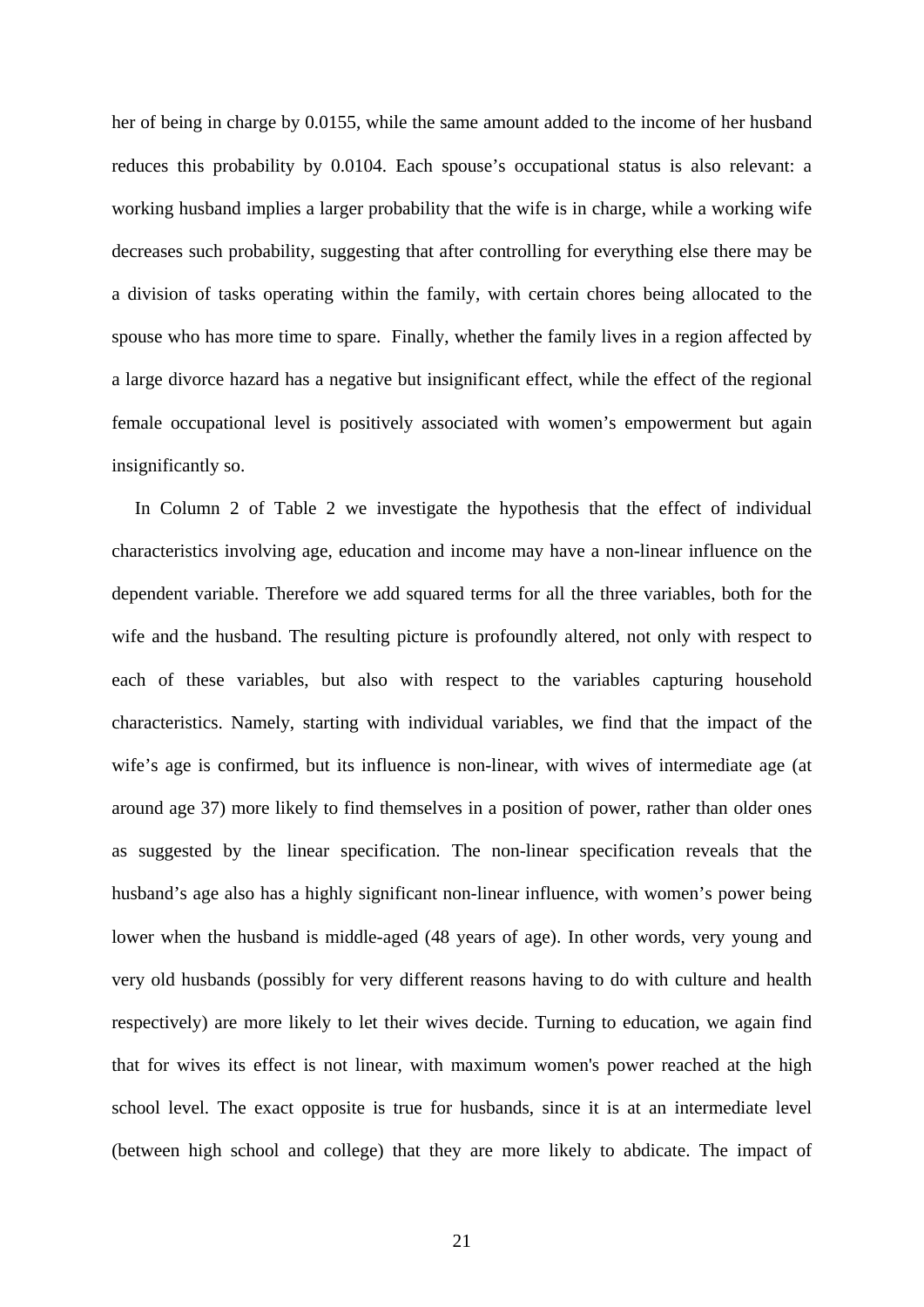her of being in charge by 0.0155, while the same amount added to the income of her husband reduces this probability by 0.0104. Each spouse's occupational status is also relevant: a working husband implies a larger probability that the wife is in charge, while a working wife decreases such probability, suggesting that after controlling for everything else there may be a division of tasks operating within the family, with certain chores being allocated to the spouse who has more time to spare. Finally, whether the family lives in a region affected by a large divorce hazard has a negative but insignificant effect, while the effect of the regional female occupational level is positively associated with women's empowerment but again insignificantly so.

 In Column 2 of Table 2 we investigate the hypothesis that the effect of individual characteristics involving age, education and income may have a non-linear influence on the dependent variable. Therefore we add squared terms for all the three variables, both for the wife and the husband. The resulting picture is profoundly altered, not only with respect to each of these variables, but also with respect to the variables capturing household characteristics. Namely, starting with individual variables, we find that the impact of the wife's age is confirmed, but its influence is non-linear, with wives of intermediate age (at around age 37) more likely to find themselves in a position of power, rather than older ones as suggested by the linear specification. The non-linear specification reveals that the husband's age also has a highly significant non-linear influence, with women's power being lower when the husband is middle-aged (48 years of age). In other words, very young and very old husbands (possibly for very different reasons having to do with culture and health respectively) are more likely to let their wives decide. Turning to education, we again find that for wives its effect is not linear, with maximum women's power reached at the high school level. The exact opposite is true for husbands, since it is at an intermediate level (between high school and college) that they are more likely to abdicate. The impact of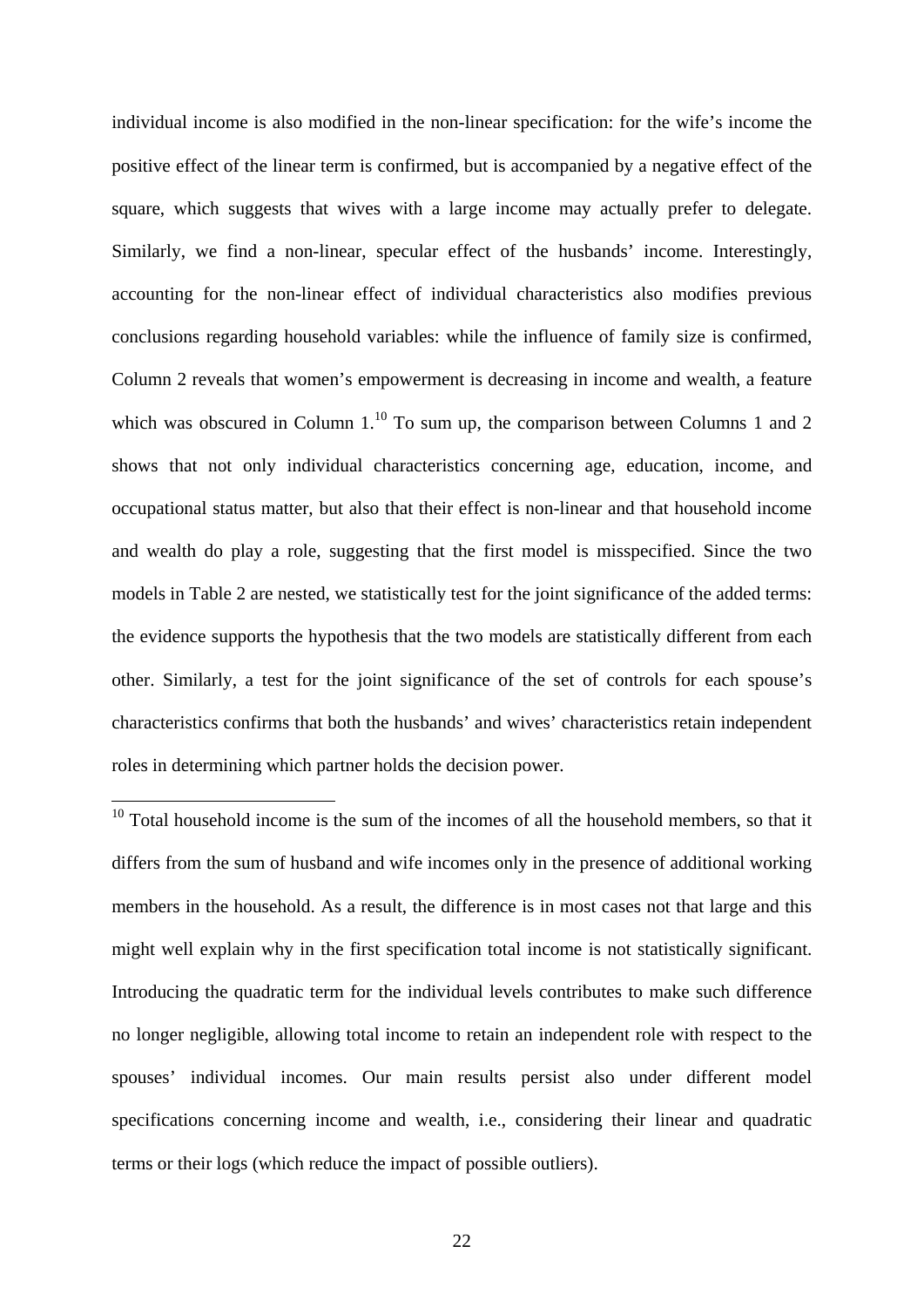individual income is also modified in the non-linear specification: for the wife's income the positive effect of the linear term is confirmed, but is accompanied by a negative effect of the square, which suggests that wives with a large income may actually prefer to delegate. Similarly, we find a non-linear, specular effect of the husbands' income. Interestingly, accounting for the non-linear effect of individual characteristics also modifies previous conclusions regarding household variables: while the influence of family size is confirmed, Column 2 reveals that women's empowerment is decreasing in income and wealth, a feature which was obscured in Column  $1<sup>10</sup>$  To sum up, the comparison between Columns 1 and 2 shows that not only individual characteristics concerning age, education, income, and occupational status matter, but also that their effect is non-linear and that household income and wealth do play a role, suggesting that the first model is misspecified. Since the two models in Table 2 are nested, we statistically test for the joint significance of the added terms: the evidence supports the hypothesis that the two models are statistically different from each other. Similarly, a test for the joint significance of the set of controls for each spouse's characteristics confirms that both the husbands' and wives' characteristics retain independent roles in determining which partner holds the decision power.

<u>.</u>

 $10$  Total household income is the sum of the incomes of all the household members, so that it differs from the sum of husband and wife incomes only in the presence of additional working members in the household. As a result, the difference is in most cases not that large and this might well explain why in the first specification total income is not statistically significant. Introducing the quadratic term for the individual levels contributes to make such difference no longer negligible, allowing total income to retain an independent role with respect to the spouses' individual incomes. Our main results persist also under different model specifications concerning income and wealth, i.e., considering their linear and quadratic terms or their logs (which reduce the impact of possible outliers).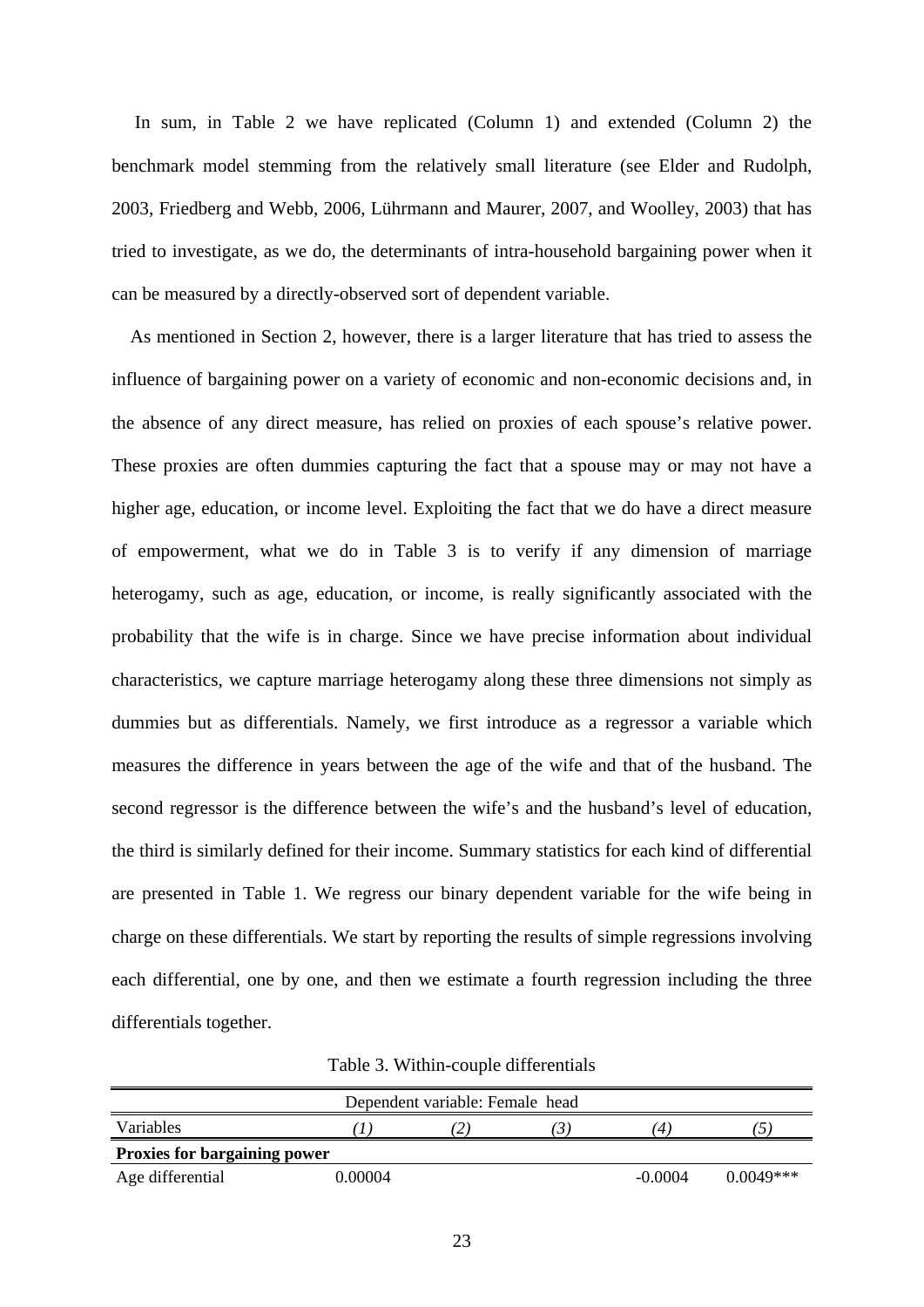In sum, in Table 2 we have replicated (Column 1) and extended (Column 2) the benchmark model stemming from the relatively small literature (see Elder and Rudolph, 2003, Friedberg and Webb, 2006, Lührmann and Maurer, 2007, and Woolley, 2003) that has tried to investigate, as we do, the determinants of intra-household bargaining power when it can be measured by a directly-observed sort of dependent variable.

As mentioned in Section 2, however, there is a larger literature that has tried to assess the influence of bargaining power on a variety of economic and non-economic decisions and, in the absence of any direct measure, has relied on proxies of each spouse's relative power. These proxies are often dummies capturing the fact that a spouse may or may not have a higher age, education, or income level. Exploiting the fact that we do have a direct measure of empowerment, what we do in Table 3 is to verify if any dimension of marriage heterogamy, such as age, education, or income, is really significantly associated with the probability that the wife is in charge. Since we have precise information about individual characteristics, we capture marriage heterogamy along these three dimensions not simply as dummies but as differentials. Namely, we first introduce as a regressor a variable which measures the difference in years between the age of the wife and that of the husband. The second regressor is the difference between the wife's and the husband's level of education, the third is similarly defined for their income. Summary statistics for each kind of differential are presented in Table 1. We regress our binary dependent variable for the wife being in charge on these differentials. We start by reporting the results of simple regressions involving each differential, one by one, and then we estimate a fourth regression including the three differentials together.

Table 3. Within-couple differentials

|                                     |         | Dependent variable: Female head |           |             |
|-------------------------------------|---------|---------------------------------|-----------|-------------|
| Variables                           |         |                                 | 4         |             |
| <b>Proxies for bargaining power</b> |         |                                 |           |             |
| Age differential                    | 0.00004 |                                 | $-0.0004$ | $0.0049***$ |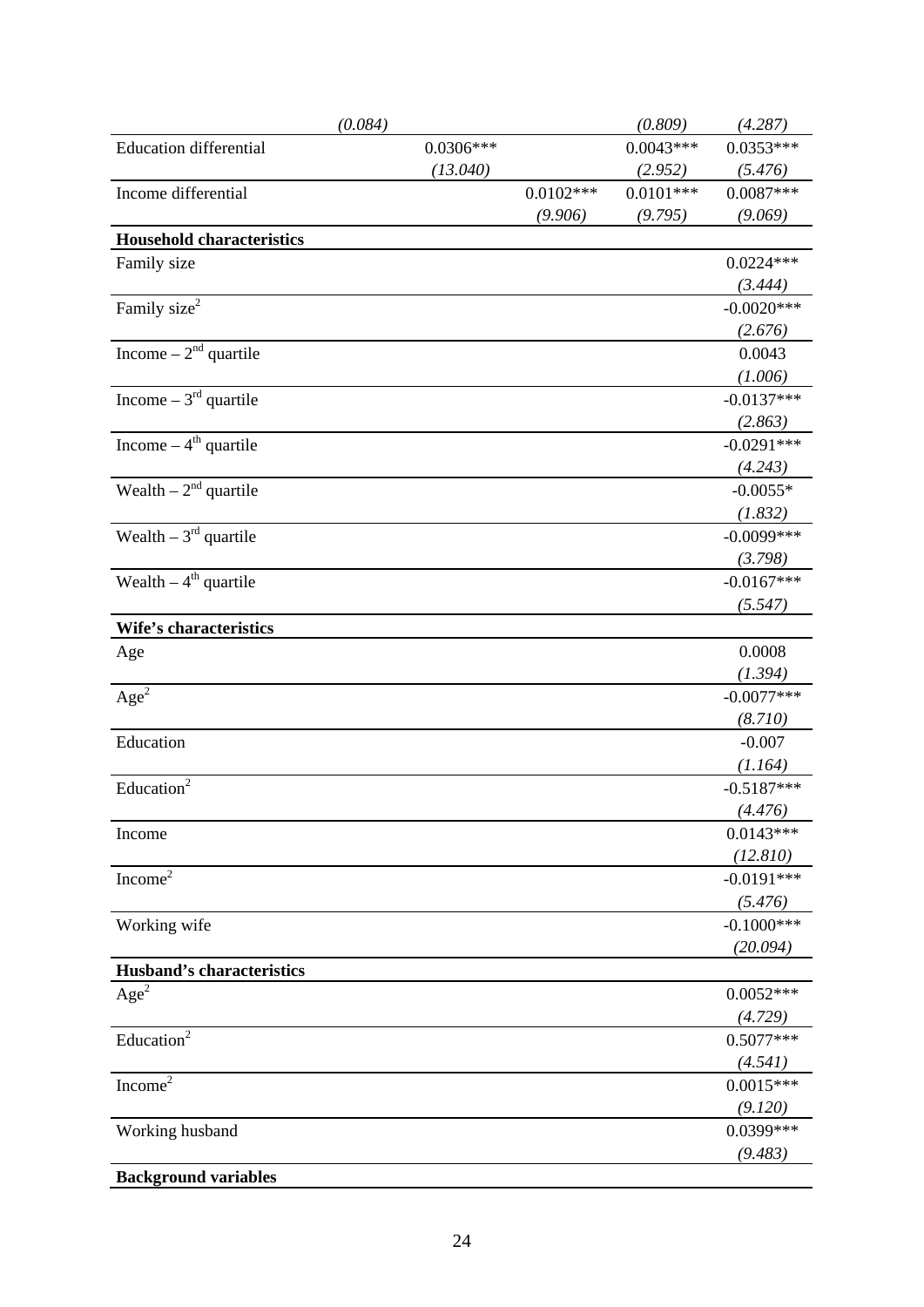|                                    | (0.084)     |             | (0.809)     | (4.287)                 |
|------------------------------------|-------------|-------------|-------------|-------------------------|
| <b>Education differential</b>      | $0.0306***$ |             | $0.0043***$ | $0.0353***$             |
|                                    | (13.040)    |             | (2.952)     | (5.476)                 |
| Income differential                |             | $0.0102***$ | $0.0101***$ | $0.0087***$             |
|                                    |             | (9.906)     | (9.795)     | (9.069)                 |
| <b>Household characteristics</b>   |             |             |             |                         |
| Family size                        |             |             |             | $0.0224***$             |
|                                    |             |             |             | (3.444)                 |
| Family size <sup>2</sup>           |             |             |             | $-0.0020***$            |
|                                    |             |             |             | (2.676)                 |
| Income $-2nd$ quartile             |             |             |             | 0.0043                  |
|                                    |             |             |             | (1.006)                 |
| Income $-3^{rd}$ quartile          |             |             |             | $-0.0137***$            |
|                                    |             |             |             | (2.863)                 |
| Income $-4$ <sup>th</sup> quartile |             |             |             | $-0.0291***$            |
|                                    |             |             |             | (4.243)                 |
| Wealth $-2^{nd}$ quartile          |             |             |             | $-0.0055*$              |
|                                    |             |             |             | (1.832)                 |
| Wealth $-3^{rd}$ quartile          |             |             |             | $-0.0099***$            |
|                                    |             |             |             | (3.798)                 |
| Wealth $-4$ <sup>th</sup> quartile |             |             |             | $-0.0167***$            |
|                                    |             |             |             | (5.547)                 |
| Wife's characteristics             |             |             |             |                         |
| Age                                |             |             |             | 0.0008                  |
|                                    |             |             |             | (1.394)                 |
| Age <sup>2</sup>                   |             |             |             | $-0.0077***$            |
|                                    |             |             |             | (8.710)                 |
| Education                          |             |             |             | $-0.007$                |
| Education <sup>2</sup>             |             |             |             | (1.164)<br>$-0.5187***$ |
|                                    |             |             |             | (4.476)                 |
| Income                             |             |             |             | $0.0143***$             |
|                                    |             |             |             | (12.810)                |
| Income <sup>2</sup>                |             |             |             | $-0.0191***$            |
|                                    |             |             |             | (5.476)                 |
| Working wife                       |             |             |             | $-0.1000$ ***           |
|                                    |             |             |             | (20.094)                |
| <b>Husband's characteristics</b>   |             |             |             |                         |
| Age <sup>2</sup>                   |             |             |             | $0.0052***$             |
|                                    |             |             |             | (4.729)                 |
| Education <sup>2</sup>             |             |             |             | $0.5077***$             |
|                                    |             |             |             | (4.541)                 |
| Income <sup>2</sup>                |             |             |             | $0.0015***$             |
|                                    |             |             |             | (9.120)                 |
| Working husband                    |             |             |             | $0.0399***$             |
|                                    |             |             |             | (9.483)                 |
| <b>Background variables</b>        |             |             |             |                         |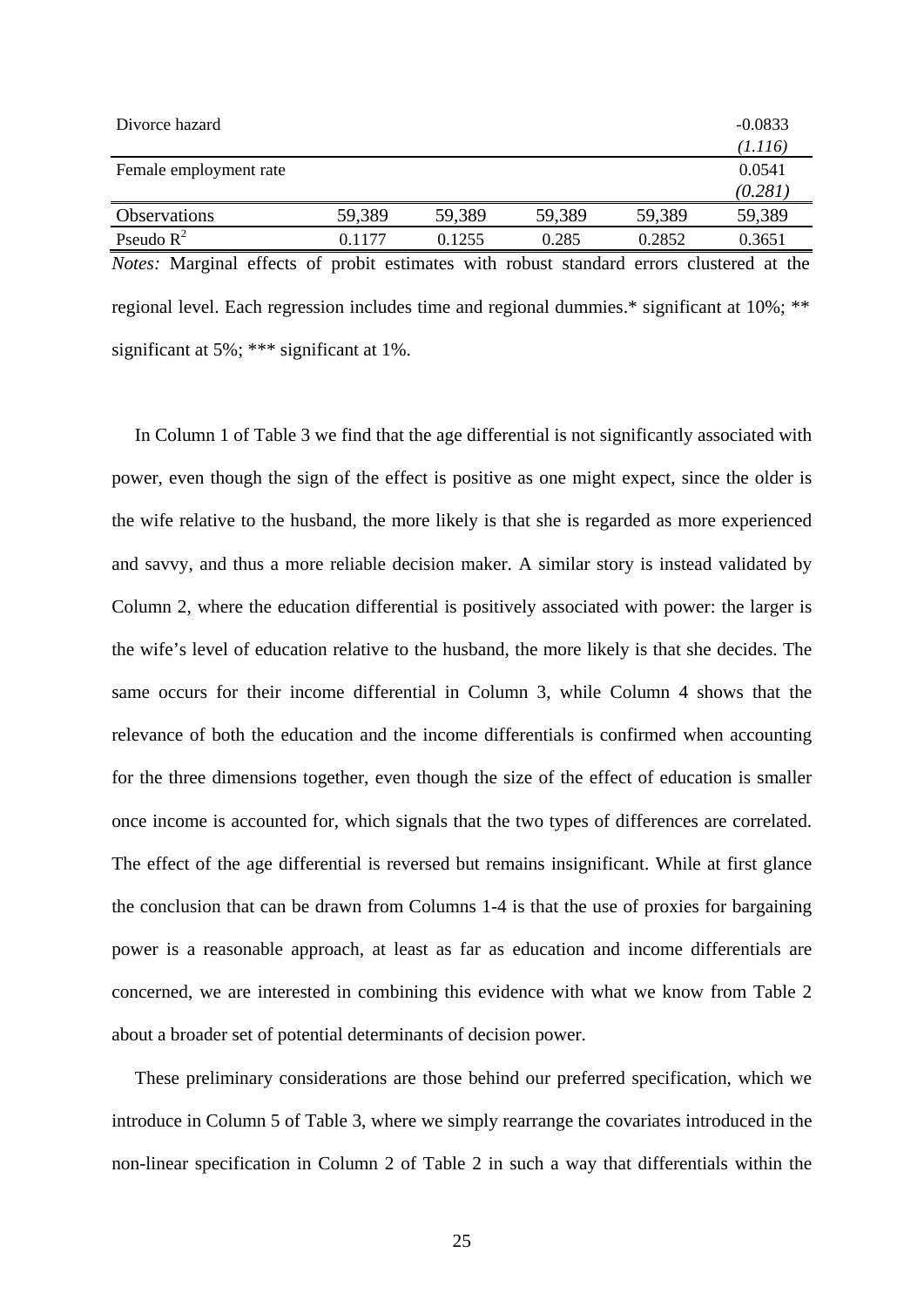|        |        |        |        | $-0.0833$ |
|--------|--------|--------|--------|-----------|
|        |        |        |        | (1.116)   |
|        |        |        |        | 0.0541    |
|        |        |        |        | (0.281)   |
| 59,389 | 59,389 | 59,389 | 59,389 | 59,389    |
| 0.1177 | 0.1255 | 0.285  | 0.2852 | 0.3651    |
|        |        |        |        |           |

*Notes:* Marginal effects of probit estimates with robust standard errors clustered at the regional level. Each regression includes time and regional dummies.\* significant at 10%; \*\* significant at 5%; \*\*\* significant at 1%.

 In Column 1 of Table 3 we find that the age differential is not significantly associated with power, even though the sign of the effect is positive as one might expect, since the older is the wife relative to the husband, the more likely is that she is regarded as more experienced and savvy, and thus a more reliable decision maker. A similar story is instead validated by Column 2, where the education differential is positively associated with power: the larger is the wife's level of education relative to the husband, the more likely is that she decides. The same occurs for their income differential in Column 3, while Column 4 shows that the relevance of both the education and the income differentials is confirmed when accounting for the three dimensions together, even though the size of the effect of education is smaller once income is accounted for, which signals that the two types of differences are correlated. The effect of the age differential is reversed but remains insignificant. While at first glance the conclusion that can be drawn from Columns 1-4 is that the use of proxies for bargaining power is a reasonable approach, at least as far as education and income differentials are concerned, we are interested in combining this evidence with what we know from Table 2 about a broader set of potential determinants of decision power.

 These preliminary considerations are those behind our preferred specification, which we introduce in Column 5 of Table 3, where we simply rearrange the covariates introduced in the non-linear specification in Column 2 of Table 2 in such a way that differentials within the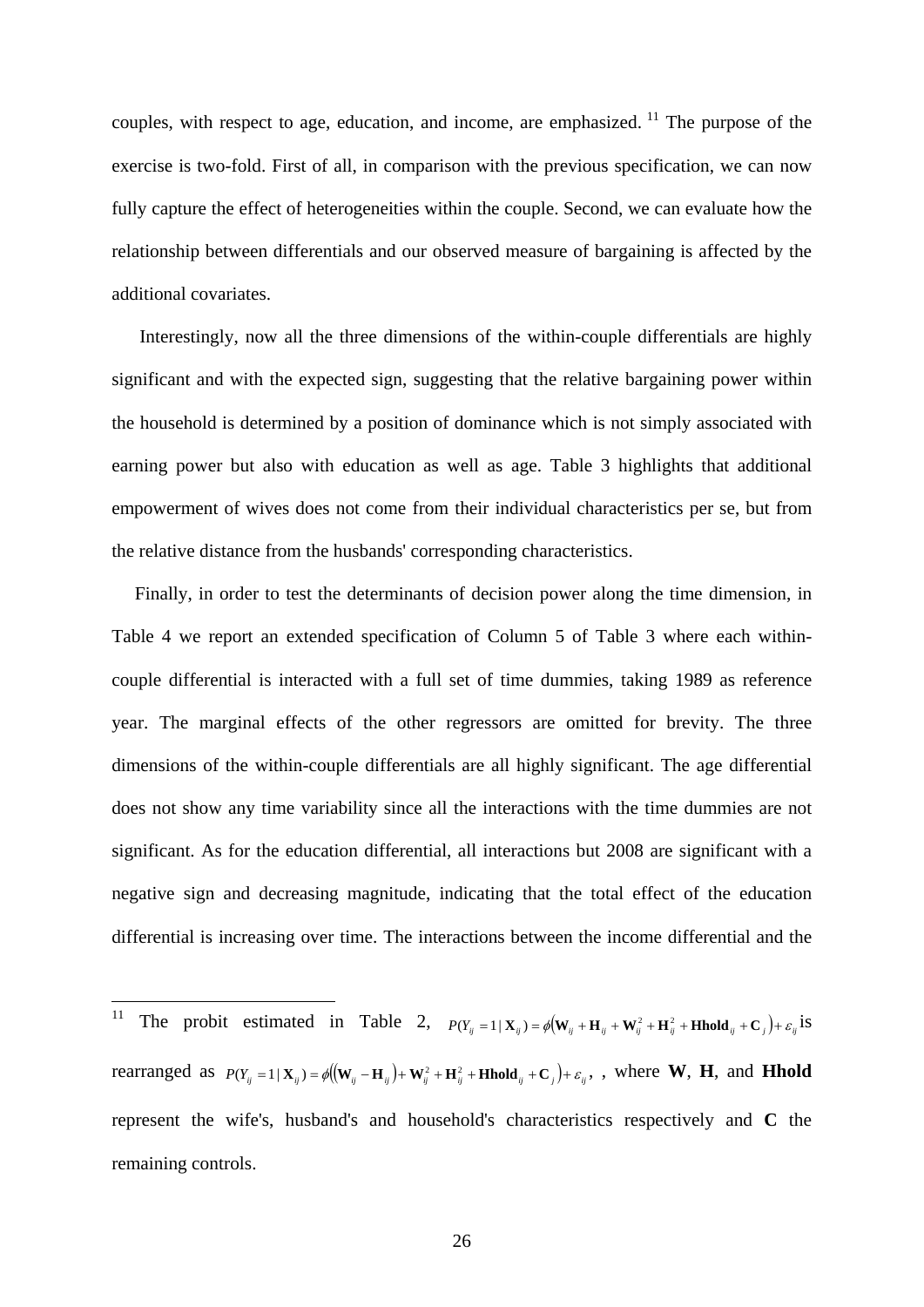couples, with respect to age, education, and income, are emphasized.  $11$  The purpose of the exercise is two-fold. First of all, in comparison with the previous specification, we can now fully capture the effect of heterogeneities within the couple. Second, we can evaluate how the relationship between differentials and our observed measure of bargaining is affected by the additional covariates.

Interestingly, now all the three dimensions of the within-couple differentials are highly significant and with the expected sign, suggesting that the relative bargaining power within the household is determined by a position of dominance which is not simply associated with earning power but also with education as well as age. Table 3 highlights that additional empowerment of wives does not come from their individual characteristics per se, but from the relative distance from the husbands' corresponding characteristics.

 Finally, in order to test the determinants of decision power along the time dimension, in Table 4 we report an extended specification of Column 5 of Table 3 where each withincouple differential is interacted with a full set of time dummies, taking 1989 as reference year. The marginal effects of the other regressors are omitted for brevity. The three dimensions of the within-couple differentials are all highly significant. The age differential does not show any time variability since all the interactions with the time dummies are not significant. As for the education differential, all interactions but 2008 are significant with a negative sign and decreasing magnitude, indicating that the total effect of the education differential is increasing over time. The interactions between the income differential and the

 $11$ The probit estimated in Table 2,  $P(Y_{ij} = 1 | \mathbf{X}_{ij}) = \phi(\mathbf{W}_{ij} + \mathbf{H}_{ij} + \mathbf{W}_{ij}^2 + \mathbf{H}_{ij}^2 + \mathbf{H} \cdot \mathbf{h} \cdot \mathbf{d} \cdot \mathbf{d}_{ij} + \mathbf{C}_j) + \varepsilon_{ij}$  is rearranged as  $P(Y_{ij} = 1 | \mathbf{X}_{ij}) = \phi((\mathbf{W}_{ij} - \mathbf{H}_{ij}) + \mathbf{W}_{ij}^2 + \mathbf{H}_{ij}^2 + \text{Hhold}_{ij} + \mathbf{C}_{ij}) + \varepsilon_{ij}$ , where **W**, **H**, and **Hhold** represent the wife's, husband's and household's characteristics respectively and **C** the remaining controls.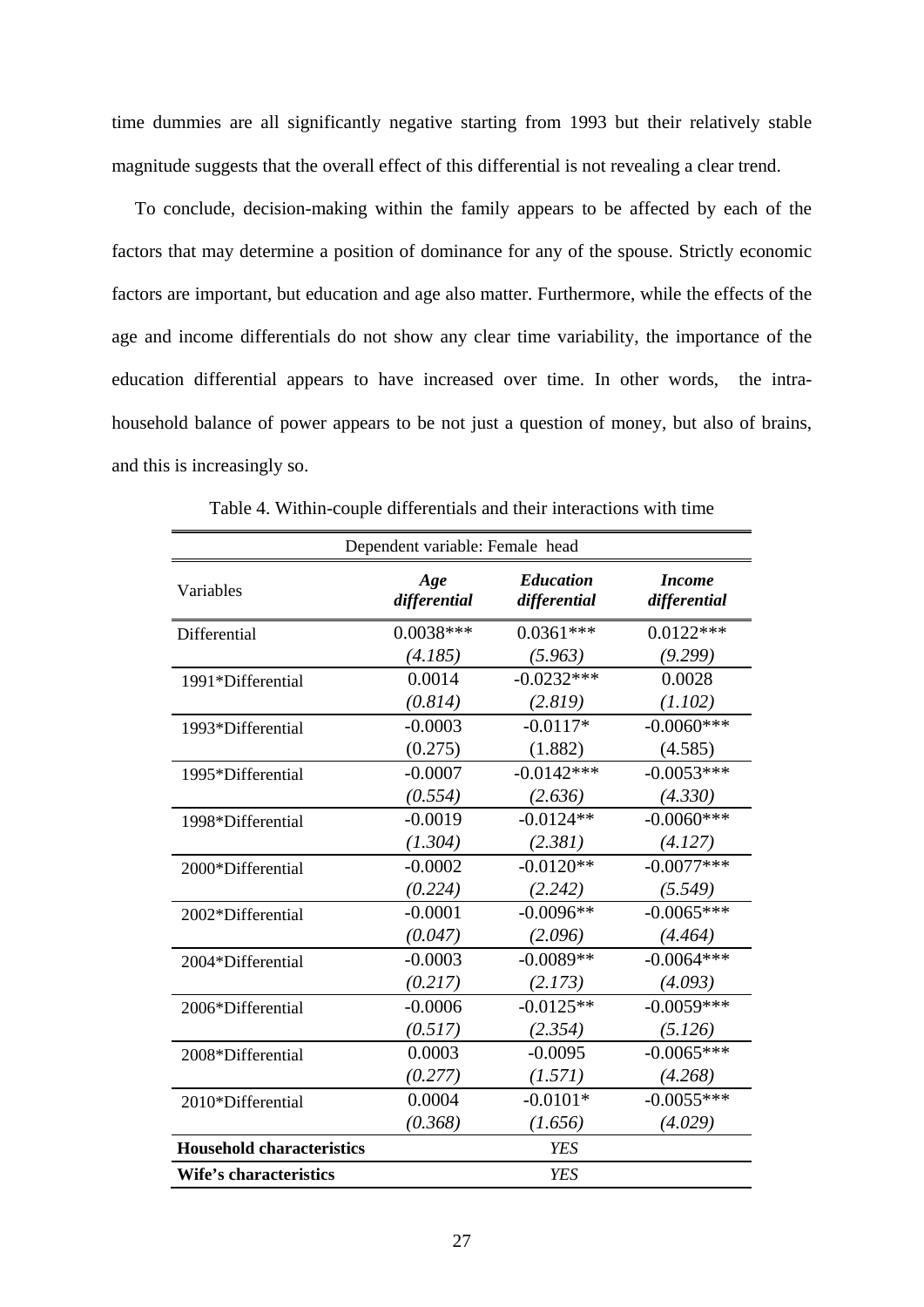time dummies are all significantly negative starting from 1993 but their relatively stable magnitude suggests that the overall effect of this differential is not revealing a clear trend.

 To conclude, decision-making within the family appears to be affected by each of the factors that may determine a position of dominance for any of the spouse. Strictly economic factors are important, but education and age also matter. Furthermore, while the effects of the age and income differentials do not show any clear time variability, the importance of the education differential appears to have increased over time. In other words, the intrahousehold balance of power appears to be not just a question of money, but also of brains, and this is increasingly so.

| Dependent variable: Female head  |                     |                                  |                               |  |
|----------------------------------|---------------------|----------------------------------|-------------------------------|--|
| Variables                        | Age<br>differential | <b>Education</b><br>differential | <b>Income</b><br>differential |  |
| Differential                     | $0.0038***$         | $0.0361***$                      | $0.0122***$                   |  |
|                                  | (4.185)             | (5.963)                          | (9.299)                       |  |
| 1991*Differential                | 0.0014              | $-0.0232***$                     | 0.0028                        |  |
|                                  | (0.814)             | (2.819)                          | (1.102)                       |  |
| 1993*Differential                | $-0.0003$           | $-0.0117*$                       | $-0.0060***$                  |  |
|                                  | (0.275)             | (1.882)                          | (4.585)                       |  |
| 1995*Differential                | $-0.0007$           | $-0.0142***$                     | $-0.0053***$                  |  |
|                                  | (0.554)             | (2.636)                          | (4.330)                       |  |
| 1998*Differential                | $-0.0019$           | $-0.0124**$                      | $-0.0060$ ***                 |  |
|                                  | (1.304)             | (2.381)                          | (4.127)                       |  |
| 2000*Differential                | $-0.0002$           | $-0.0120**$                      | $-0.0077***$                  |  |
|                                  | (0.224)             | (2.242)                          | (5.549)                       |  |
| 2002*Differential                | $-0.0001$           | $-0.0096**$                      | $-0.0065***$                  |  |
|                                  | (0.047)             | (2.096)                          | (4.464)                       |  |
| 2004*Differential                | $-0.0003$           | $-0.0089**$                      | $-0.0064***$                  |  |
|                                  | (0.217)             | (2.173)                          | (4.093)                       |  |
| 2006*Differential                | $-0.0006$           | $-0.0125**$                      | $-0.0059***$                  |  |
|                                  | (0.517)             | (2.354)                          | (5.126)                       |  |
| 2008*Differential                | 0.0003              | $-0.0095$                        | $-0.0065***$                  |  |
|                                  | (0.277)             | (1.571)                          | (4.268)                       |  |
| 2010*Differential                | 0.0004              | $-0.0101*$                       | $-0.0055***$                  |  |
|                                  | (0.368)             | (1.656)                          | (4.029)                       |  |
| <b>Household characteristics</b> |                     | <b>YES</b>                       |                               |  |
| Wife's characteristics           |                     | <b>YES</b>                       |                               |  |

Table 4. Within-couple differentials and their interactions with time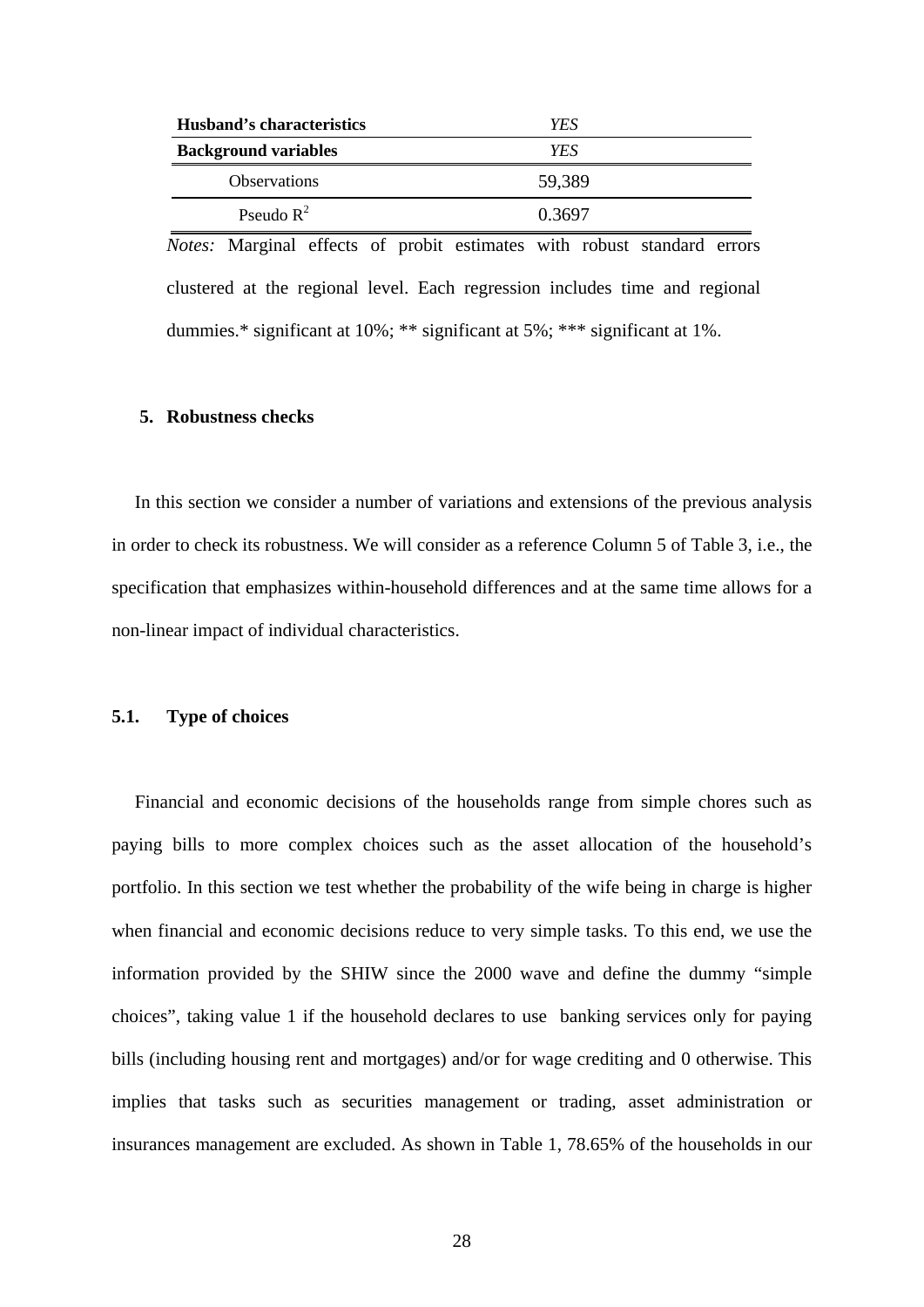| Husband's characteristics   | YES    |
|-----------------------------|--------|
| <b>Background variables</b> | YES.   |
| <b>Observations</b>         | 59,389 |
| Pseudo $R^2$                | 0.3697 |

*Notes:* Marginal effects of probit estimates with robust standard errors clustered at the regional level. Each regression includes time and regional dummies.\* significant at 10%; \*\* significant at 5%; \*\*\* significant at 1%.

#### **5. Robustness checks**

 In this section we consider a number of variations and extensions of the previous analysis in order to check its robustness. We will consider as a reference Column 5 of Table 3, i.e., the specification that emphasizes within-household differences and at the same time allows for a non-linear impact of individual characteristics.

#### **5.1. Type of choices**

 Financial and economic decisions of the households range from simple chores such as paying bills to more complex choices such as the asset allocation of the household's portfolio. In this section we test whether the probability of the wife being in charge is higher when financial and economic decisions reduce to very simple tasks. To this end, we use the information provided by the SHIW since the 2000 wave and define the dummy "simple choices", taking value 1 if the household declares to use banking services only for paying bills (including housing rent and mortgages) and/or for wage crediting and 0 otherwise. This implies that tasks such as securities management or trading, asset administration or insurances management are excluded. As shown in Table 1, 78.65% of the households in our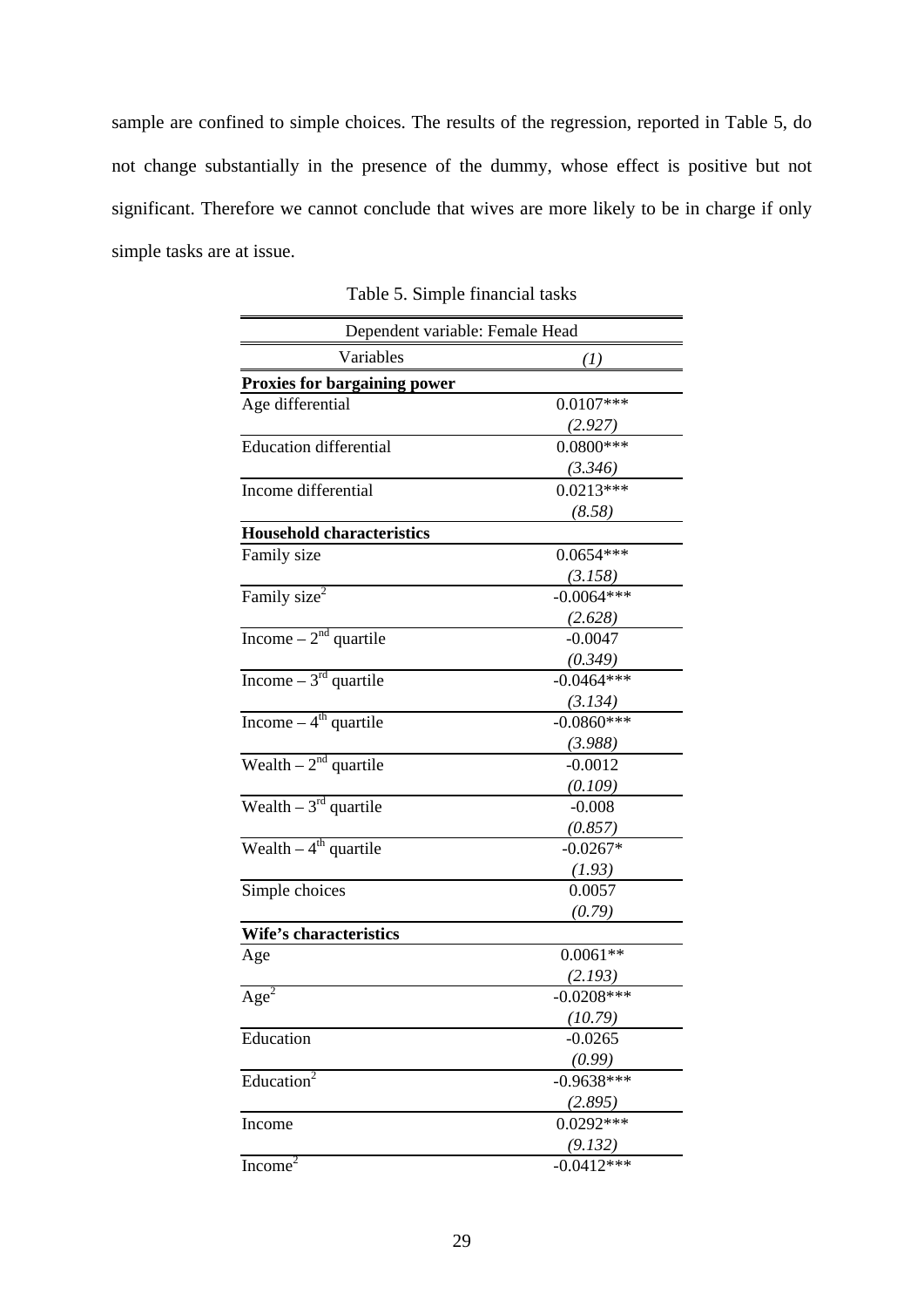sample are confined to simple choices. The results of the regression, reported in Table 5, do not change substantially in the presence of the dummy, whose effect is positive but not significant. Therefore we cannot conclude that wives are more likely to be in charge if only simple tasks are at issue.

| Dependent variable: Female Head     |              |  |  |
|-------------------------------------|--------------|--|--|
| Variables                           | (1)          |  |  |
| <b>Proxies for bargaining power</b> |              |  |  |
| Age differential                    | $0.0107***$  |  |  |
|                                     | (2.927)      |  |  |
| <b>Education differential</b>       | $0.0800***$  |  |  |
|                                     | (3.346)      |  |  |
| Income differential                 | $0.0213***$  |  |  |
|                                     | (8.58)       |  |  |
| <b>Household characteristics</b>    |              |  |  |
| Family size                         | $0.0654***$  |  |  |
|                                     | (3.158)      |  |  |
| Family size <sup>2</sup>            | $-0.0064***$ |  |  |
|                                     | (2.628)      |  |  |
| Income $-2nd$ quartile              | $-0.0047$    |  |  |
|                                     | (0.349)      |  |  |
| Income $-3^{rd}$ quartile           | $-0.0464***$ |  |  |
|                                     | (3.134)      |  |  |
| Income $-4$ <sup>th</sup> quartile  | $-0.0860***$ |  |  |
|                                     | (3.988)      |  |  |
| Wealth $-2^{nd}$ quartile           | $-0.0012$    |  |  |
|                                     | (0.109)      |  |  |
| Wealth $-3^{rd}$ quartile           | $-0.008$     |  |  |
|                                     | (0.857)      |  |  |
| Wealth $-4$ <sup>th</sup> quartile  | $-0.0267*$   |  |  |
|                                     | (1.93)       |  |  |
| Simple choices                      | 0.0057       |  |  |
|                                     | (0.79)       |  |  |
| <b>Wife's characteristics</b>       |              |  |  |
| Age                                 | $0.0061**$   |  |  |
|                                     | (2.193)      |  |  |
| Age <sup>2</sup>                    | $-0.0208***$ |  |  |
|                                     | (10.79)      |  |  |
| Education                           | $-0.0265$    |  |  |
|                                     | (0.99)       |  |  |
| Education <sup>2</sup>              | $-0.9638***$ |  |  |
|                                     | (2.895)      |  |  |
| Income                              | $0.0292***$  |  |  |
|                                     | (9.132)      |  |  |
| Income $\overline{e}^2$             | $-0.0412***$ |  |  |

Table 5. Simple financial tasks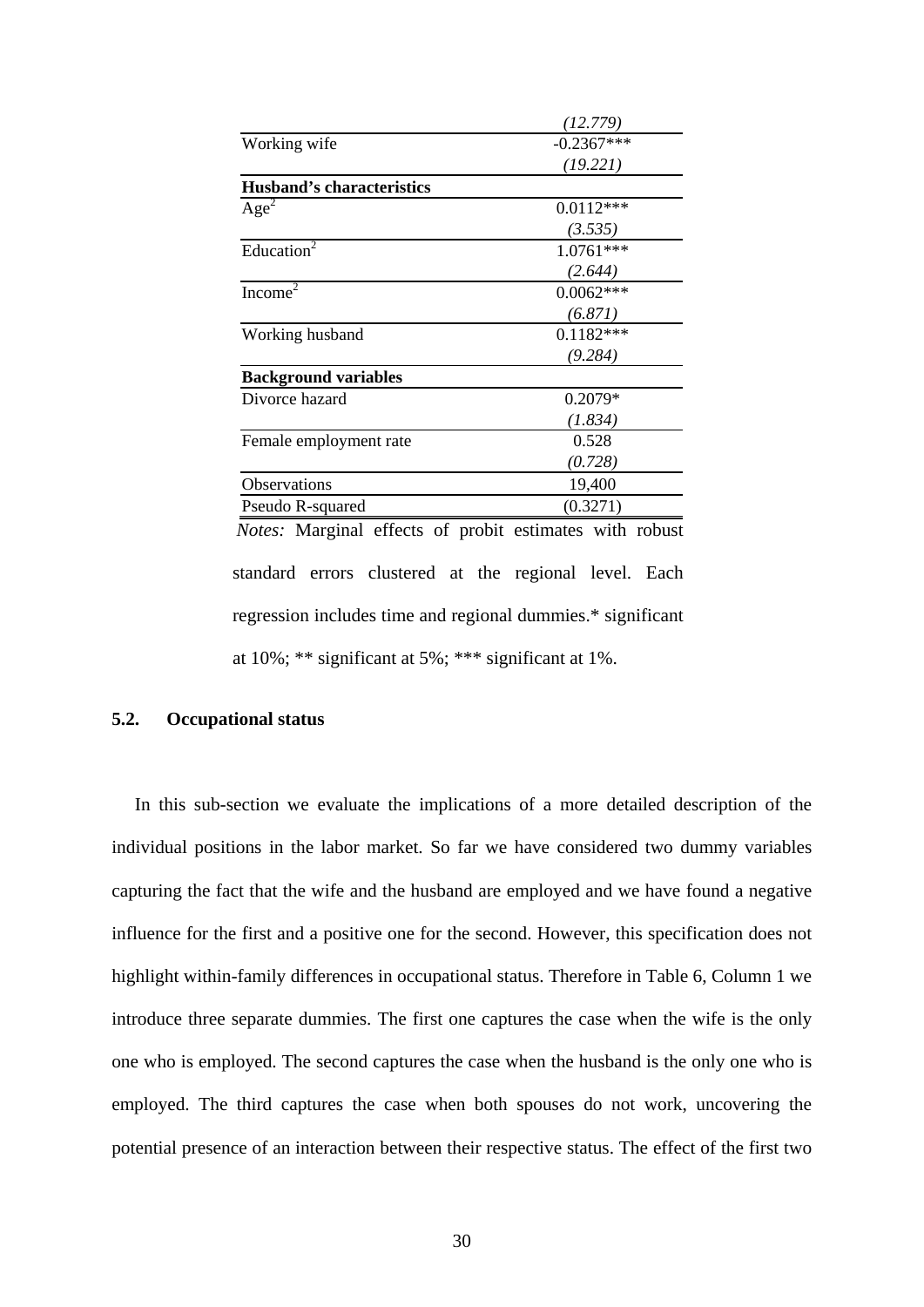|                                                         | (12.779)     |
|---------------------------------------------------------|--------------|
| Working wife                                            | $-0.2367***$ |
|                                                         | (19.221)     |
| <b>Husband's characteristics</b>                        |              |
| Age <sup>2</sup>                                        | $0.0112***$  |
|                                                         | (3.535)      |
| Education <sup>2</sup>                                  | $1.0761***$  |
|                                                         | (2.644)      |
| Income <sup>2</sup>                                     | $0.0062***$  |
|                                                         | (6.871)      |
| Working husband                                         | $0.1182***$  |
|                                                         | (9.284)      |
| <b>Background variables</b>                             |              |
| Divorce hazard                                          | 0.2079*      |
|                                                         | (1.834)      |
| Female employment rate                                  | 0.528        |
|                                                         | (0.728)      |
| Observations                                            | 19,400       |
| Pseudo R-squared                                        | (0.3271)     |
| Notes: Marginal effects of probit estimates with robust |              |

standard errors clustered at the regional level. Each regression includes time and regional dummies.\* significant at 10%; \*\* significant at 5%; \*\*\* significant at 1%.

#### **5.2. Occupational status**

 In this sub-section we evaluate the implications of a more detailed description of the individual positions in the labor market. So far we have considered two dummy variables capturing the fact that the wife and the husband are employed and we have found a negative influence for the first and a positive one for the second. However, this specification does not highlight within-family differences in occupational status. Therefore in Table 6, Column 1 we introduce three separate dummies. The first one captures the case when the wife is the only one who is employed. The second captures the case when the husband is the only one who is employed. The third captures the case when both spouses do not work, uncovering the potential presence of an interaction between their respective status. The effect of the first two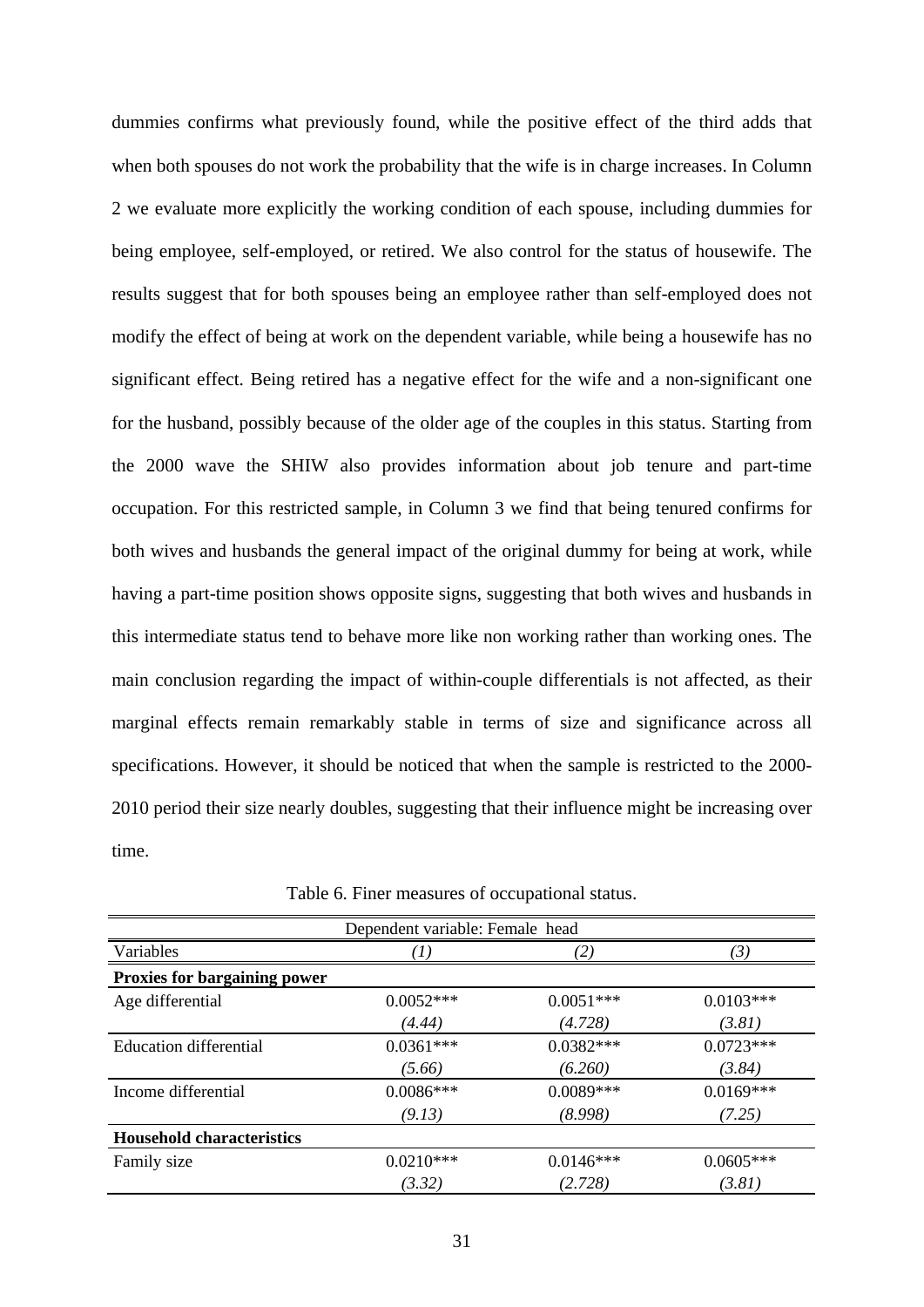dummies confirms what previously found, while the positive effect of the third adds that when both spouses do not work the probability that the wife is in charge increases. In Column 2 we evaluate more explicitly the working condition of each spouse, including dummies for being employee, self-employed, or retired. We also control for the status of housewife. The results suggest that for both spouses being an employee rather than self-employed does not modify the effect of being at work on the dependent variable, while being a housewife has no significant effect. Being retired has a negative effect for the wife and a non-significant one for the husband, possibly because of the older age of the couples in this status. Starting from the 2000 wave the SHIW also provides information about job tenure and part-time occupation. For this restricted sample, in Column 3 we find that being tenured confirms for both wives and husbands the general impact of the original dummy for being at work, while having a part-time position shows opposite signs, suggesting that both wives and husbands in this intermediate status tend to behave more like non working rather than working ones. The main conclusion regarding the impact of within-couple differentials is not affected, as their marginal effects remain remarkably stable in terms of size and significance across all specifications. However, it should be noticed that when the sample is restricted to the 2000- 2010 period their size nearly doubles, suggesting that their influence might be increasing over time.

| Dependent variable: Female head  |                              |             |             |  |  |
|----------------------------------|------------------------------|-------------|-------------|--|--|
| Variables                        | $\left( \frac{1}{2} \right)$ | $\sp(2)$    | (3)         |  |  |
| Proxies for bargaining power     |                              |             |             |  |  |
| Age differential                 | $0.0052***$                  | $0.0051***$ | $0.0103***$ |  |  |
|                                  | (4.44)                       | (4.728)     | (3.81)      |  |  |
| Education differential           | $0.0361***$                  | $0.0382***$ | $0.0723***$ |  |  |
|                                  | (5.66)                       | (6.260)     | (3.84)      |  |  |
| Income differential              | $0.0086***$                  | $0.0089***$ | $0.0169***$ |  |  |
|                                  | (9.13)                       | (8.998)     | (7.25)      |  |  |
| <b>Household characteristics</b> |                              |             |             |  |  |
| Family size                      | $0.0210***$                  | $0.0146***$ | $0.0605***$ |  |  |
|                                  | (3.32)                       | (2.728)     | (3.81)      |  |  |

Table 6. Finer measures of occupational status.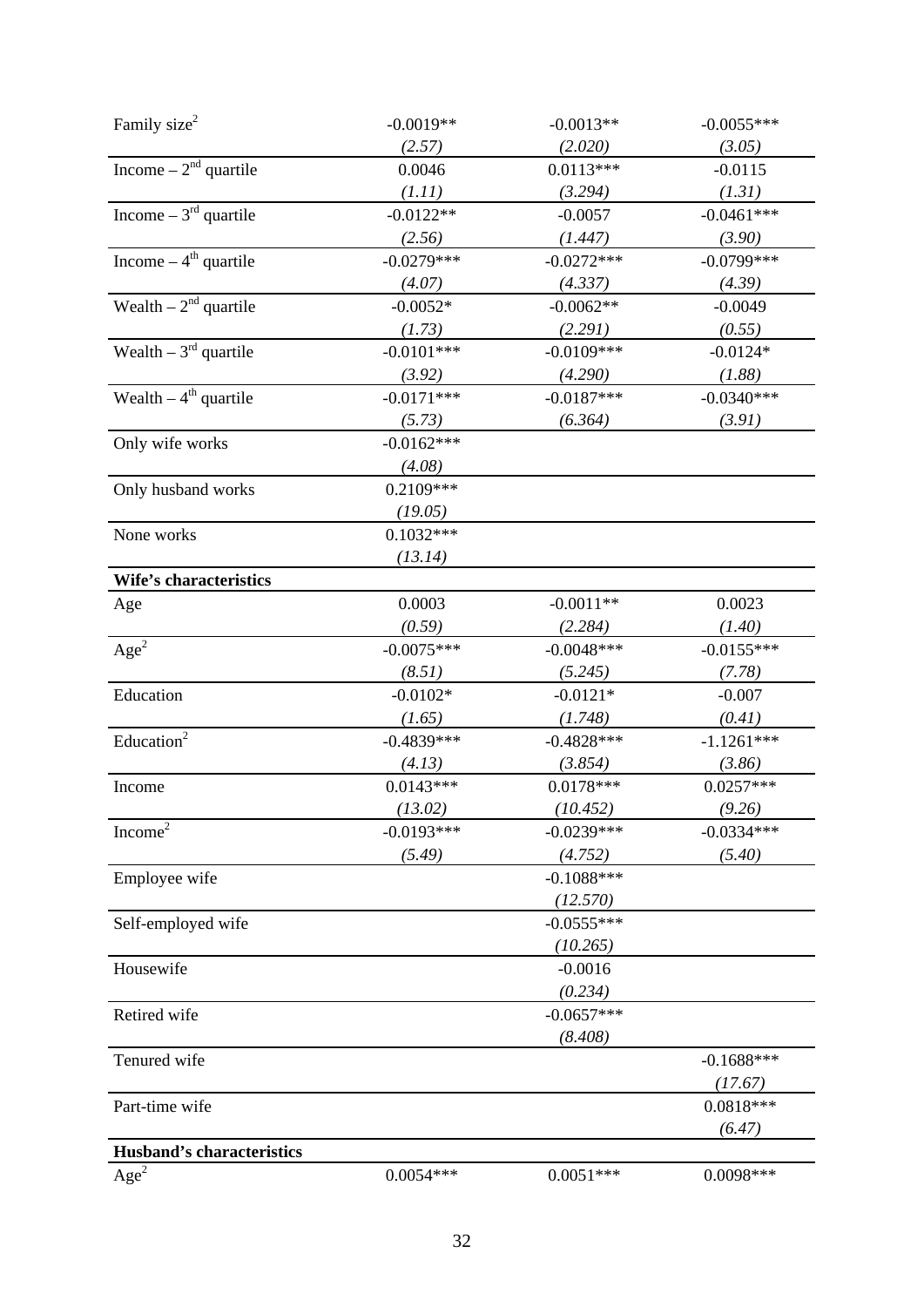| Family size <sup>2</sup>           | $-0.0019**$  | $-0.0013**$  | $-0.0055***$ |
|------------------------------------|--------------|--------------|--------------|
|                                    | (2.57)       | (2.020)      | (3.05)       |
| Income $-2nd$ quartile             | 0.0046       | $0.0113***$  | $-0.0115$    |
|                                    | (1.11)       | (3.294)      | (1.31)       |
| Income $-3^{rd}$ quartile          | $-0.0122**$  | $-0.0057$    | $-0.0461***$ |
|                                    | (2.56)       | (1.447)      | (3.90)       |
| Income $-4$ <sup>th</sup> quartile | $-0.0279***$ | $-0.0272***$ | $-0.0799***$ |
|                                    | (4.07)       | (4.337)      | (4.39)       |
| Wealth $-2^{nd}$ quartile          | $-0.0052*$   | $-0.0062**$  | $-0.0049$    |
|                                    | (1.73)       | (2.291)      | (0.55)       |
| Wealth $-3^{rd}$ quartile          | $-0.0101***$ | $-0.0109***$ | $-0.0124*$   |
|                                    | (3.92)       | (4.290)      | (1.88)       |
| Wealth $-4$ <sup>th</sup> quartile | $-0.0171***$ | $-0.0187***$ | $-0.0340***$ |
|                                    | (5.73)       | (6.364)      | (3.91)       |
| Only wife works                    | $-0.0162***$ |              |              |
|                                    | (4.08)       |              |              |
| Only husband works                 | $0.2109***$  |              |              |
|                                    | (19.05)      |              |              |
| None works                         | $0.1032***$  |              |              |
|                                    | (13.14)      |              |              |
| Wife's characteristics             |              |              |              |
| Age                                | 0.0003       | $-0.0011**$  | 0.0023       |
|                                    | (0.59)       | (2.284)      | (1.40)       |
| Age <sup>2</sup>                   | $-0.0075***$ | $-0.0048***$ | $-0.0155***$ |
|                                    | (8.51)       | (5.245)      | (7.78)       |
| Education                          | $-0.0102*$   | $-0.0121*$   | $-0.007$     |
|                                    | (1.65)       | (1.748)      | (0.41)       |
| Education <sup>2</sup>             | $-0.4839***$ | $-0.4828***$ | $-1.1261***$ |
|                                    | (4.13)       | (3.854)      | (3.86)       |
| Income                             | $0.0143***$  | $0.0178***$  | $0.0257***$  |
|                                    | (13.02)      | (10.452)     | (9.26)       |
| Income <sup>2</sup>                | $-0.0193***$ | $-0.0239***$ | $-0.0334***$ |
|                                    | (5.49)       | (4.752)      | (5.40)       |
| Employee wife                      |              | $-0.1088***$ |              |
|                                    |              | (12.570)     |              |
| Self-employed wife                 |              | $-0.0555***$ |              |
|                                    |              | (10.265)     |              |
| Housewife                          |              | $-0.0016$    |              |
|                                    |              | (0.234)      |              |
| Retired wife                       |              | $-0.0657***$ |              |
|                                    |              | (8.408)      |              |
| Tenured wife                       |              |              | $-0.1688***$ |
|                                    |              |              | (17.67)      |
| Part-time wife                     |              |              | $0.0818***$  |
|                                    |              |              | (6.47)       |
| <b>Husband's characteristics</b>   |              |              |              |
| Age <sup>2</sup>                   | $0.0054***$  | $0.0051***$  | $0.0098***$  |
|                                    |              |              |              |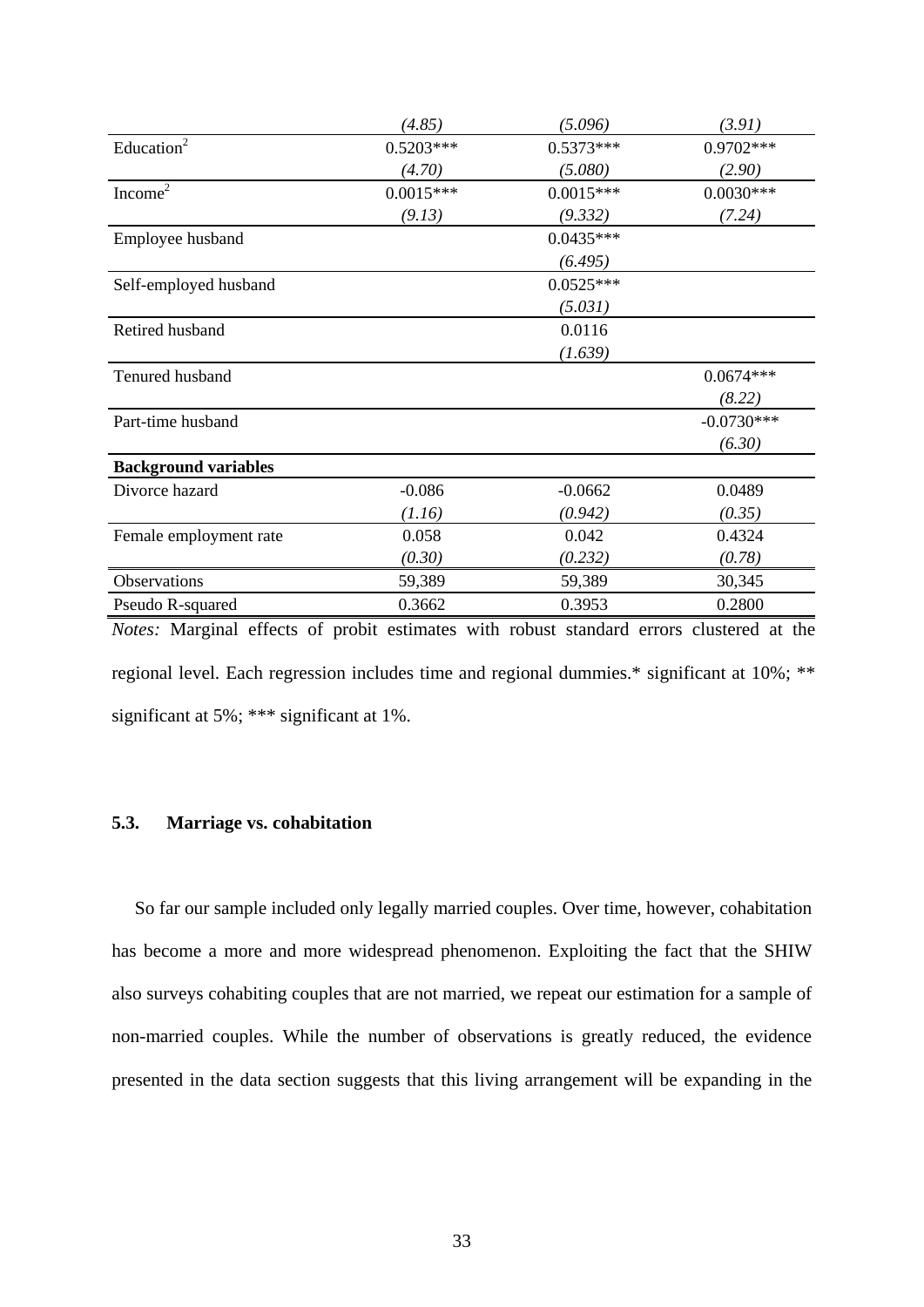| (4.85)      | (5.096)     | (3.91)       |
|-------------|-------------|--------------|
| $0.5203***$ | $0.5373***$ | $0.9702***$  |
| (4.70)      | (5.080)     | (2.90)       |
| $0.0015***$ | $0.0015***$ | $0.0030***$  |
| (9.13)      | (9.332)     | (7.24)       |
|             | $0.0435***$ |              |
|             | (6.495)     |              |
|             | $0.0525***$ |              |
|             | (5.031)     |              |
|             | 0.0116      |              |
|             | (1.639)     |              |
|             |             | $0.0674***$  |
|             |             | (8.22)       |
|             |             | $-0.0730***$ |
|             |             | (6.30)       |
|             |             |              |
| $-0.086$    | $-0.0662$   | 0.0489       |
| (1.16)      | (0.942)     | (0.35)       |
| 0.058       | 0.042       | 0.4324       |
| (0.30)      | (0.232)     | (0.78)       |
| 59,389      | 59,389      | 30,345       |
| 0.3662      | 0.3953      | 0.2800       |
|             |             |              |

*Notes:* Marginal effects of probit estimates with robust standard errors clustered at the regional level. Each regression includes time and regional dummies.\* significant at 10%; \*\* significant at 5%; \*\*\* significant at 1%.

#### **5.3. Marriage vs. cohabitation**

 So far our sample included only legally married couples. Over time, however, cohabitation has become a more and more widespread phenomenon. Exploiting the fact that the SHIW also surveys cohabiting couples that are not married, we repeat our estimation for a sample of non-married couples. While the number of observations is greatly reduced, the evidence presented in the data section suggests that this living arrangement will be expanding in the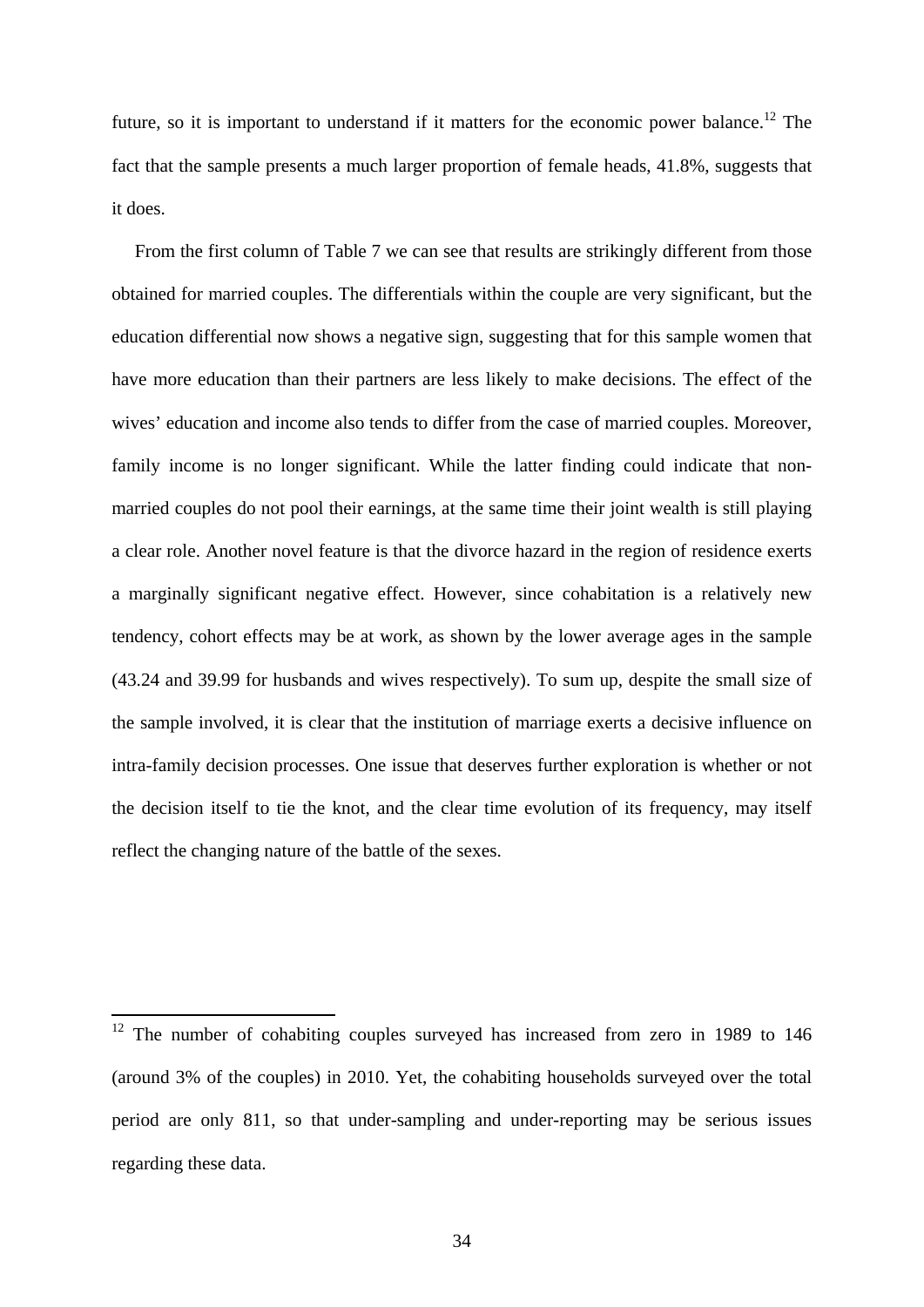future, so it is important to understand if it matters for the economic power balance.<sup>12</sup> The fact that the sample presents a much larger proportion of female heads, 41.8%, suggests that it does.

 From the first column of Table 7 we can see that results are strikingly different from those obtained for married couples. The differentials within the couple are very significant, but the education differential now shows a negative sign, suggesting that for this sample women that have more education than their partners are less likely to make decisions. The effect of the wives' education and income also tends to differ from the case of married couples. Moreover, family income is no longer significant. While the latter finding could indicate that nonmarried couples do not pool their earnings, at the same time their joint wealth is still playing a clear role. Another novel feature is that the divorce hazard in the region of residence exerts a marginally significant negative effect. However, since cohabitation is a relatively new tendency, cohort effects may be at work, as shown by the lower average ages in the sample (43.24 and 39.99 for husbands and wives respectively). To sum up, despite the small size of the sample involved, it is clear that the institution of marriage exerts a decisive influence on intra-family decision processes. One issue that deserves further exploration is whether or not the decision itself to tie the knot, and the clear time evolution of its frequency, may itself reflect the changing nature of the battle of the sexes.

<u>.</u>

 $12$  The number of cohabiting couples surveyed has increased from zero in 1989 to 146 (around 3% of the couples) in 2010. Yet, the cohabiting households surveyed over the total period are only 811, so that under-sampling and under-reporting may be serious issues regarding these data.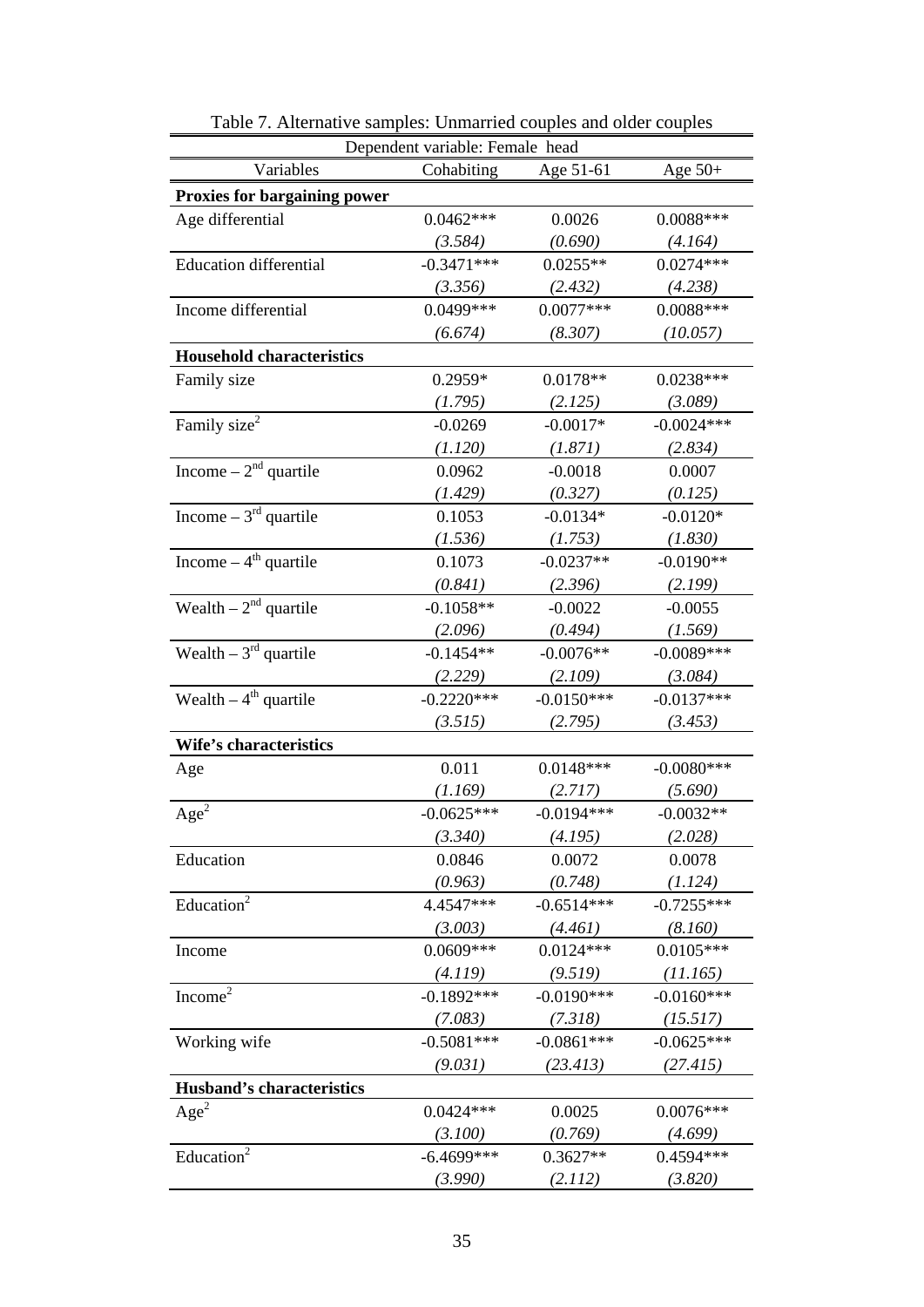| Dependent variable: Female head    |              |              |               |  |
|------------------------------------|--------------|--------------|---------------|--|
| Variables                          | Cohabiting   | Age 51-61    | Age $50+$     |  |
| Proxies for bargaining power       |              |              |               |  |
| Age differential                   | $0.0462***$  | 0.0026       | $0.0088***$   |  |
|                                    | (3.584)      | (0.690)      | (4.164)       |  |
| <b>Education differential</b>      | $-0.3471***$ | $0.0255**$   | $0.0274***$   |  |
|                                    | (3.356)      | (2.432)      | (4.238)       |  |
| Income differential                | 0.0499***    | $0.0077***$  | $0.0088***$   |  |
|                                    | (6.674)      | (8.307)      | (10.057)      |  |
| <b>Household characteristics</b>   |              |              |               |  |
| Family size                        | 0.2959*      | $0.0178**$   | $0.0238***$   |  |
|                                    | (1.795)      | (2.125)      | (3.089)       |  |
| Family size <sup>2</sup>           | $-0.0269$    | $-0.0017*$   | $-0.0024***$  |  |
|                                    | (1.120)      | (1.871)      | (2.834)       |  |
| Income $-2nd$ quartile             | 0.0962       | $-0.0018$    | 0.0007        |  |
|                                    | (1.429)      | (0.327)      | (0.125)       |  |
| Income $-3^{rd}$ quartile          | 0.1053       | $-0.0134*$   | $-0.0120*$    |  |
|                                    | (1.536)      | (1.753)      | (1.830)       |  |
| Income $-4$ <sup>th</sup> quartile | 0.1073       | $-0.0237**$  | $-0.0190**$   |  |
|                                    | (0.841)      | (2.396)      | (2.199)       |  |
| Wealth $-2^{nd}$ quartile          | $-0.1058**$  | $-0.0022$    | $-0.0055$     |  |
|                                    | (2.096)      | (0.494)      | (1.569)       |  |
| Wealth $-3^{rd}$ quartile          | $-0.1454**$  | $-0.0076**$  | $-0.0089***$  |  |
|                                    | (2.229)      | (2.109)      | (3.084)       |  |
| Wealth $-4$ <sup>th</sup> quartile | $-0.2220***$ | $-0.0150***$ | $-0.0137***$  |  |
|                                    | (3.515)      | (2.795)      | (3.453)       |  |
| Wife's characteristics             |              |              |               |  |
| Age                                | 0.011        | $0.0148***$  | $-0.0080$ *** |  |
|                                    | (1.169)      | (2.717)      | (5.690)       |  |
| Age <sup>2</sup>                   | $-0.0625***$ | $-0.0194***$ | $-0.0032**$   |  |
|                                    | (3.340)      | (4.195)      | (2.028)       |  |
| Education                          | 0.0846       | 0.0072       | 0.0078        |  |
|                                    | (0.963)      | (0.748)      | (1.124)       |  |
| Education <sup>2</sup>             | 4.4547***    | $-0.6514***$ | $-0.7255***$  |  |
|                                    | (3.003)      | (4.461)      | (8.160)       |  |
| Income                             | $0.0609***$  | $0.0124***$  | $0.0105***$   |  |
|                                    | (4.119)      | (9.519)      | (11.165)      |  |
| Income <sup>2</sup>                | $-0.1892***$ | $-0.0190***$ | $-0.0160***$  |  |
|                                    | (7.083)      | (7.318)      | (15.517)      |  |
| Working wife                       | $-0.5081***$ | $-0.0861***$ | $-0.0625***$  |  |
|                                    | (9.031)      | (23.413)     | (27.415)      |  |
| <b>Husband's characteristics</b>   |              |              |               |  |
| Age <sup>2</sup>                   | $0.0424***$  | 0.0025       | $0.0076***$   |  |
|                                    | (3.100)      | (0.769)      | (4.699)       |  |
| Education <sup>2</sup>             | $-6.4699***$ | $0.3627**$   | 0.4594***     |  |
|                                    | (3.990)      | (2.112)      | (3.820)       |  |

Table 7. Alternative samples: Unmarried couples and older couples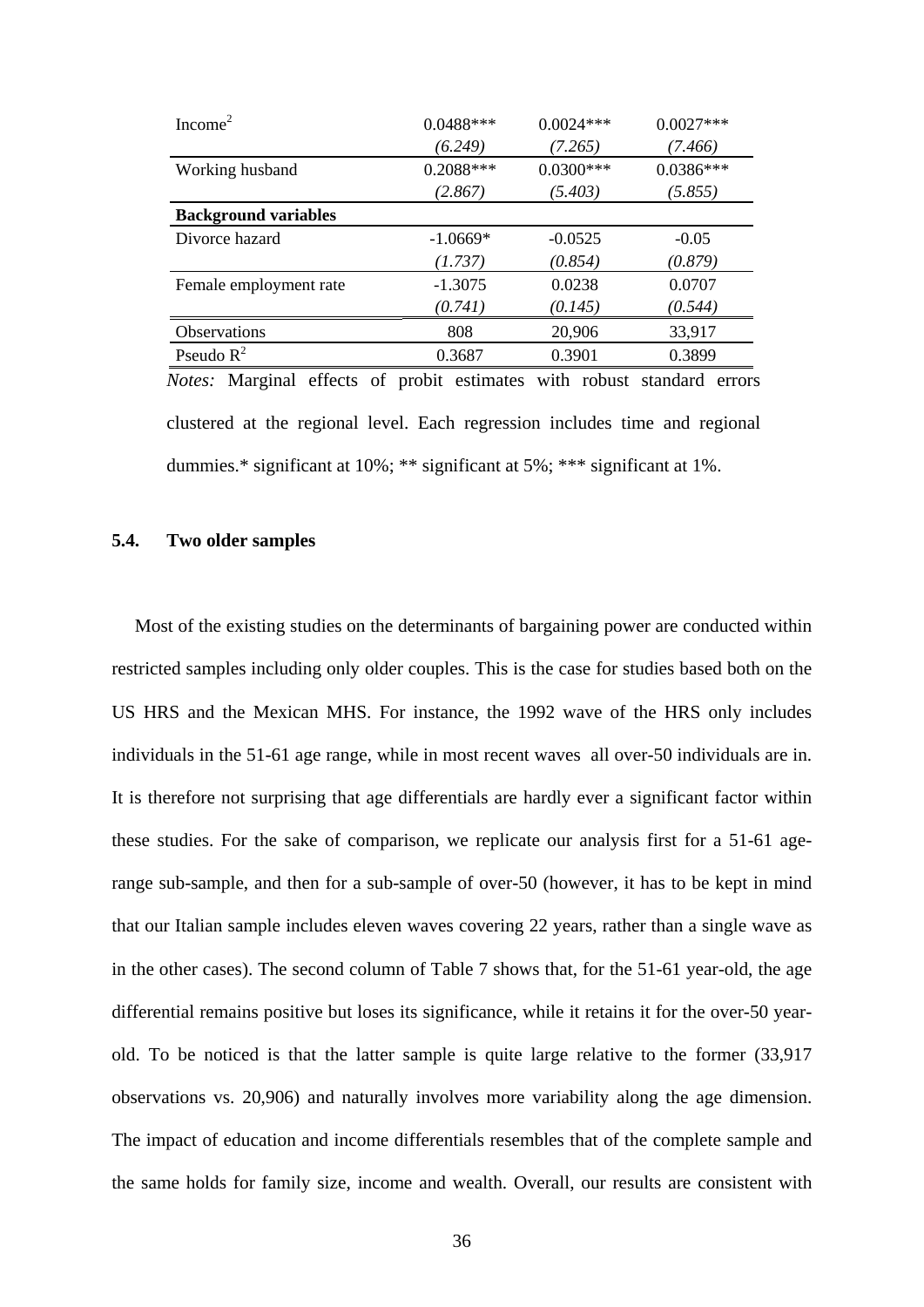| Income <sup>2</sup>                                | $0.0488***$ | $0.0024***$ | $0.0027***$        |
|----------------------------------------------------|-------------|-------------|--------------------|
|                                                    | (6.249)     | (7.265)     | (7.466)            |
| Working husband                                    | $0.2088***$ | $0.0300***$ | 0.0386***          |
|                                                    | (2.867)     | (5.403)     | (5.855)            |
| <b>Background variables</b>                        |             |             |                    |
| Divorce hazard                                     | $-1.0669*$  | $-0.0525$   | $-0.05$            |
|                                                    | (1.737)     | (0.854)     | (0.879)            |
| Female employment rate                             | $-1.3075$   | 0.0238      | 0.0707             |
|                                                    | (0.741)     | (0.145)     | (0.544)            |
| <b>Observations</b>                                | 808         | 20,906      | 33,917             |
| Pseudo $R^2$                                       | 0.3687      | 0.3901      | 0.3899             |
| <i>Notes:</i> Marginal effects of probit estimates |             | with robust | standard<br>errors |

clustered at the regional level. Each regression includes time and regional dummies.\* significant at 10%; \*\* significant at 5%; \*\*\* significant at 1%.

#### **5.4. Two older samples**

 Most of the existing studies on the determinants of bargaining power are conducted within restricted samples including only older couples. This is the case for studies based both on the US HRS and the Mexican MHS. For instance, the 1992 wave of the HRS only includes individuals in the 51-61 age range, while in most recent waves all over-50 individuals are in. It is therefore not surprising that age differentials are hardly ever a significant factor within these studies. For the sake of comparison, we replicate our analysis first for a 51-61 agerange sub-sample, and then for a sub-sample of over-50 (however, it has to be kept in mind that our Italian sample includes eleven waves covering 22 years, rather than a single wave as in the other cases). The second column of Table 7 shows that, for the 51-61 year-old, the age differential remains positive but loses its significance, while it retains it for the over-50 yearold. To be noticed is that the latter sample is quite large relative to the former (33,917 observations vs. 20,906) and naturally involves more variability along the age dimension. The impact of education and income differentials resembles that of the complete sample and the same holds for family size, income and wealth. Overall, our results are consistent with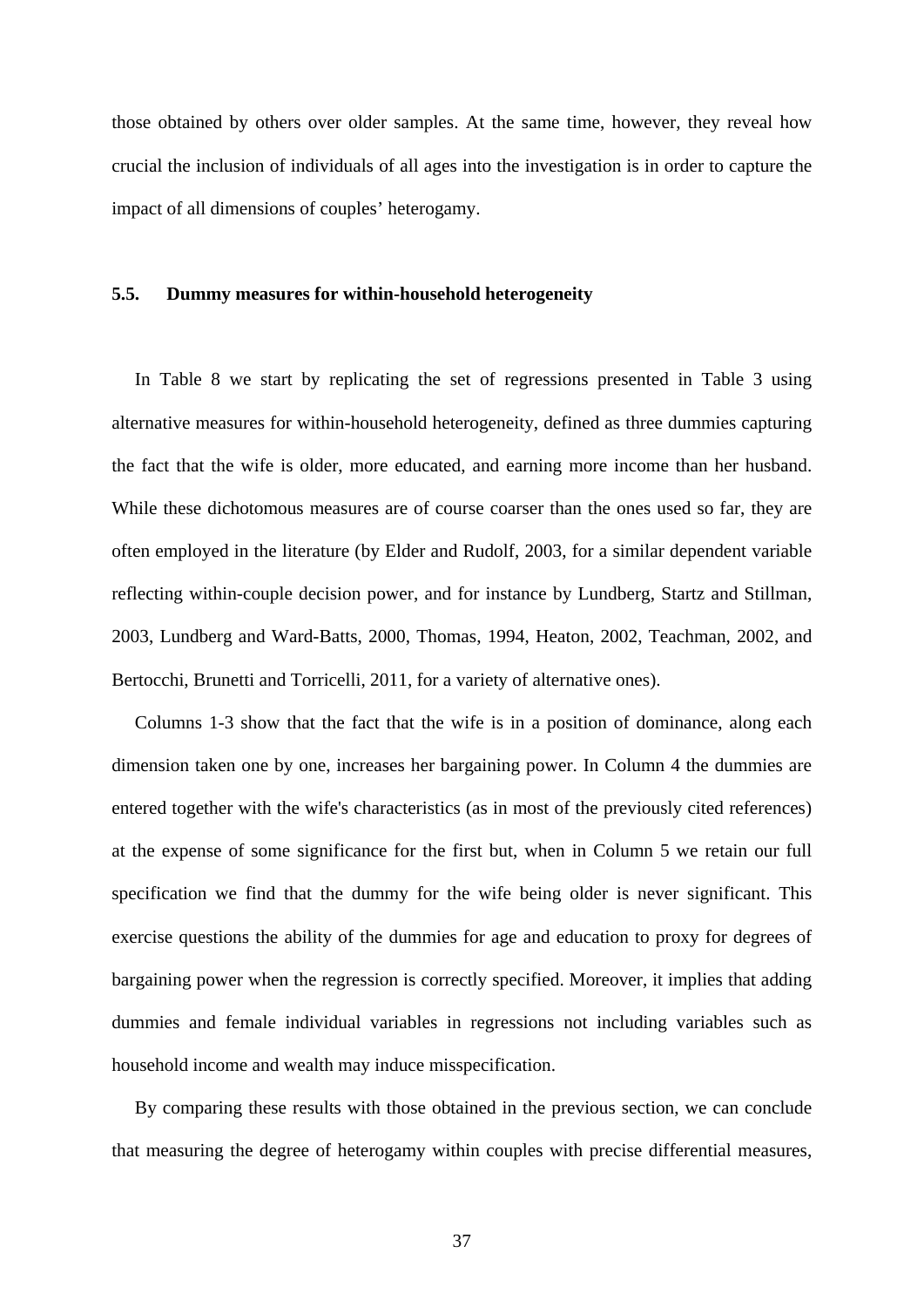those obtained by others over older samples. At the same time, however, they reveal how crucial the inclusion of individuals of all ages into the investigation is in order to capture the impact of all dimensions of couples' heterogamy.

#### **5.5. Dummy measures for within-household heterogeneity**

 In Table 8 we start by replicating the set of regressions presented in Table 3 using alternative measures for within-household heterogeneity, defined as three dummies capturing the fact that the wife is older, more educated, and earning more income than her husband. While these dichotomous measures are of course coarser than the ones used so far, they are often employed in the literature (by Elder and Rudolf, 2003, for a similar dependent variable reflecting within-couple decision power, and for instance by Lundberg, Startz and Stillman, 2003, Lundberg and Ward-Batts, 2000, Thomas, 1994, Heaton, 2002, Teachman, 2002, and Bertocchi, Brunetti and Torricelli, 2011, for a variety of alternative ones).

 Columns 1-3 show that the fact that the wife is in a position of dominance, along each dimension taken one by one, increases her bargaining power. In Column 4 the dummies are entered together with the wife's characteristics (as in most of the previously cited references) at the expense of some significance for the first but, when in Column 5 we retain our full specification we find that the dummy for the wife being older is never significant. This exercise questions the ability of the dummies for age and education to proxy for degrees of bargaining power when the regression is correctly specified. Moreover, it implies that adding dummies and female individual variables in regressions not including variables such as household income and wealth may induce misspecification.

 By comparing these results with those obtained in the previous section, we can conclude that measuring the degree of heterogamy within couples with precise differential measures,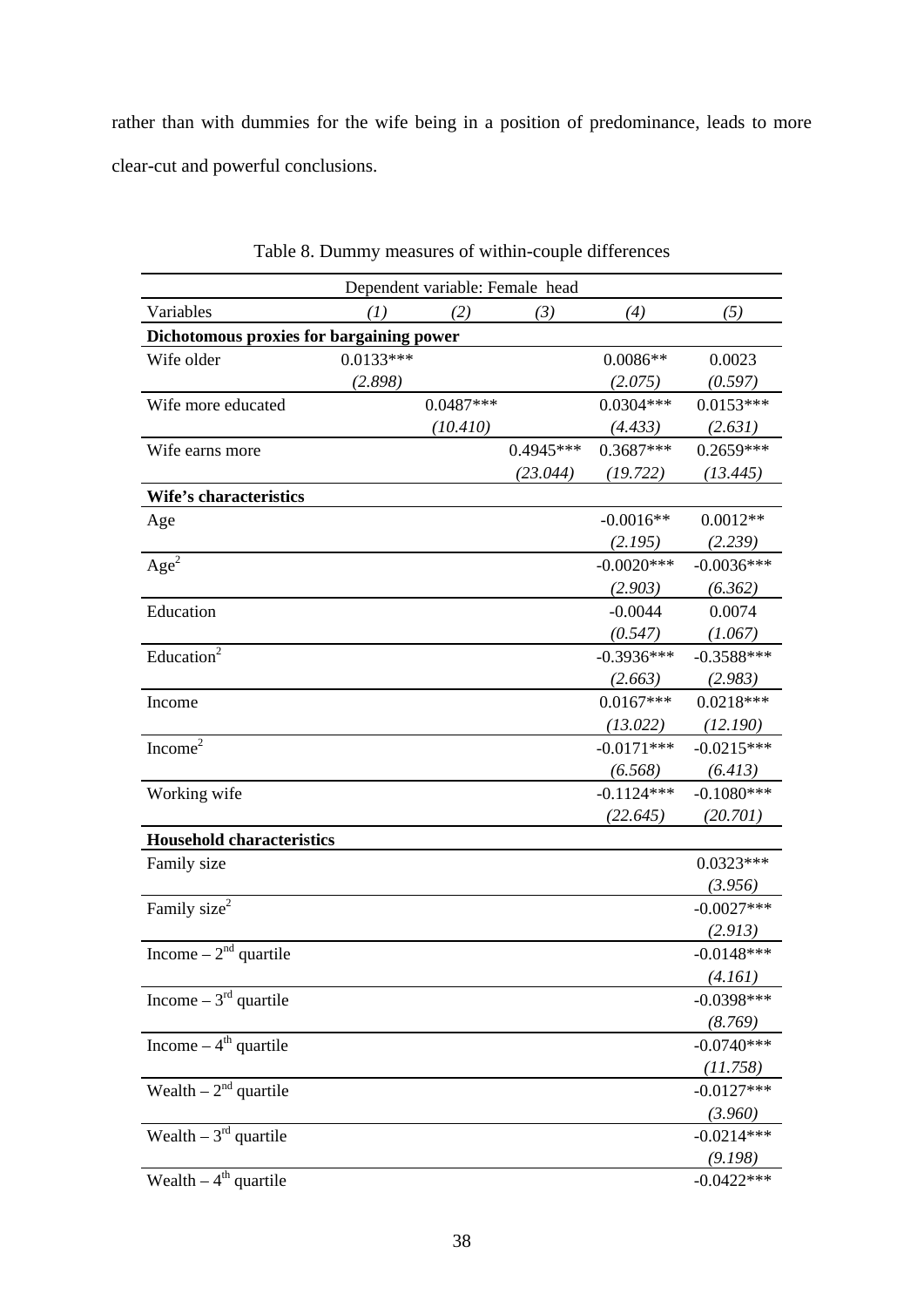rather than with dummies for the wife being in a position of predominance, leads to more clear-cut and powerful conclusions.

|                                          |             | Dependent variable: Female head |             |              |               |
|------------------------------------------|-------------|---------------------------------|-------------|--------------|---------------|
| Variables                                | (1)         | (2)                             | (3)         | (4)          | (5)           |
| Dichotomous proxies for bargaining power |             |                                 |             |              |               |
| Wife older                               | $0.0133***$ |                                 |             | $0.0086**$   | 0.0023        |
|                                          | (2.898)     |                                 |             | (2.075)      | (0.597)       |
| Wife more educated                       |             | $0.0487***$                     |             | $0.0304***$  | $0.0153***$   |
|                                          |             | (10.410)                        |             | (4.433)      | (2.631)       |
| Wife earns more                          |             |                                 | $0.4945***$ | $0.3687***$  | $0.2659***$   |
|                                          |             |                                 | (23.044)    | (19.722)     | (13.445)      |
| Wife's characteristics                   |             |                                 |             |              |               |
| Age                                      |             |                                 |             | $-0.0016**$  | $0.0012**$    |
|                                          |             |                                 |             | (2.195)      | (2.239)       |
| Age <sup>2</sup>                         |             |                                 |             | $-0.0020***$ | $-0.0036***$  |
|                                          |             |                                 |             | (2.903)      | (6.362)       |
| Education                                |             |                                 |             | $-0.0044$    | 0.0074        |
|                                          |             |                                 |             | (0.547)      | (1.067)       |
| Education <sup>2</sup>                   |             |                                 |             | $-0.3936***$ | $-0.3588***$  |
|                                          |             |                                 |             | (2.663)      | (2.983)       |
| Income                                   |             |                                 |             | $0.0167***$  | $0.0218***$   |
|                                          |             |                                 |             | (13.022)     | (12.190)      |
| Income <sup>2</sup>                      |             |                                 |             | $-0.0171***$ | $-0.0215***$  |
|                                          |             |                                 |             | (6.568)      | (6.413)       |
| Working wife                             |             |                                 |             | $-0.1124***$ | $-0.1080$ *** |
|                                          |             |                                 |             | (22.645)     | (20.701)      |
| <b>Household characteristics</b>         |             |                                 |             |              |               |
| Family size                              |             |                                 |             |              | $0.0323***$   |
|                                          |             |                                 |             |              | (3.956)       |
| Family size <sup>2</sup>                 |             |                                 |             |              | $-0.0027***$  |
|                                          |             |                                 |             |              | (2.913)       |
| Income $-2^{nd}$ quartile                |             |                                 |             |              | $-0.0148***$  |
|                                          |             |                                 |             |              | (4.161)       |
| Income $-3^{rd}$ quartile                |             |                                 |             |              | $-0.0398***$  |
|                                          |             |                                 |             |              | (8.769)       |
| Income $-4$ <sup>th</sup> quartile       |             |                                 |             |              | $-0.0740***$  |
|                                          |             |                                 |             |              | (11.758)      |
| Wealth $-2^{nd}$ quartile                |             |                                 |             |              | $-0.0127***$  |
|                                          |             |                                 |             |              | (3.960)       |
| Wealth $-3^{rd}$ quartile                |             |                                 |             |              | $-0.0214***$  |
|                                          |             |                                 |             |              | (9.198)       |
| Wealth $-4$ <sup>th</sup> quartile       |             |                                 |             |              | $-0.0422***$  |

Table 8. Dummy measures of within-couple differences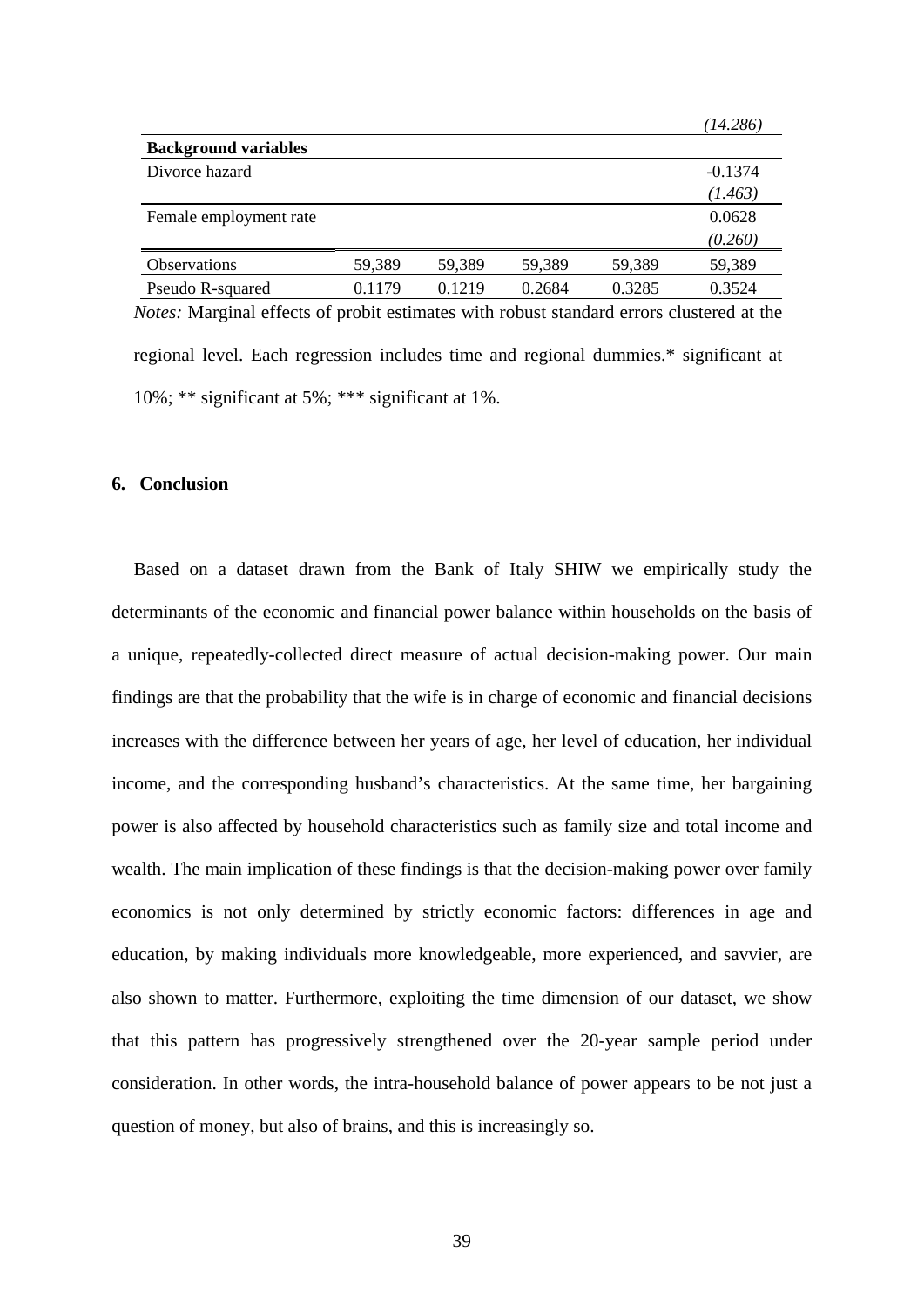|                             |        |        |        |        | (14.286)  |
|-----------------------------|--------|--------|--------|--------|-----------|
| <b>Background variables</b> |        |        |        |        |           |
| Divorce hazard              |        |        |        |        | $-0.1374$ |
|                             |        |        |        |        | (1.463)   |
| Female employment rate      |        |        |        |        | 0.0628    |
|                             |        |        |        |        | (0.260)   |
| <b>Observations</b>         | 59,389 | 59,389 | 59,389 | 59,389 | 59,389    |
| Pseudo R-squared            | 0.1179 | 0.1219 | 0.2684 | 0.3285 | 0.3524    |

*Notes:* Marginal effects of probit estimates with robust standard errors clustered at the regional level. Each regression includes time and regional dummies.\* significant at 10%; \*\* significant at 5%; \*\*\* significant at 1%.

#### **6. Conclusion**

Based on a dataset drawn from the Bank of Italy SHIW we empirically study the determinants of the economic and financial power balance within households on the basis of a unique, repeatedly-collected direct measure of actual decision-making power. Our main findings are that the probability that the wife is in charge of economic and financial decisions increases with the difference between her years of age, her level of education, her individual income, and the corresponding husband's characteristics. At the same time, her bargaining power is also affected by household characteristics such as family size and total income and wealth. The main implication of these findings is that the decision-making power over family economics is not only determined by strictly economic factors: differences in age and education, by making individuals more knowledgeable, more experienced, and savvier, are also shown to matter. Furthermore, exploiting the time dimension of our dataset, we show that this pattern has progressively strengthened over the 20-year sample period under consideration. In other words, the intra-household balance of power appears to be not just a question of money, but also of brains, and this is increasingly so.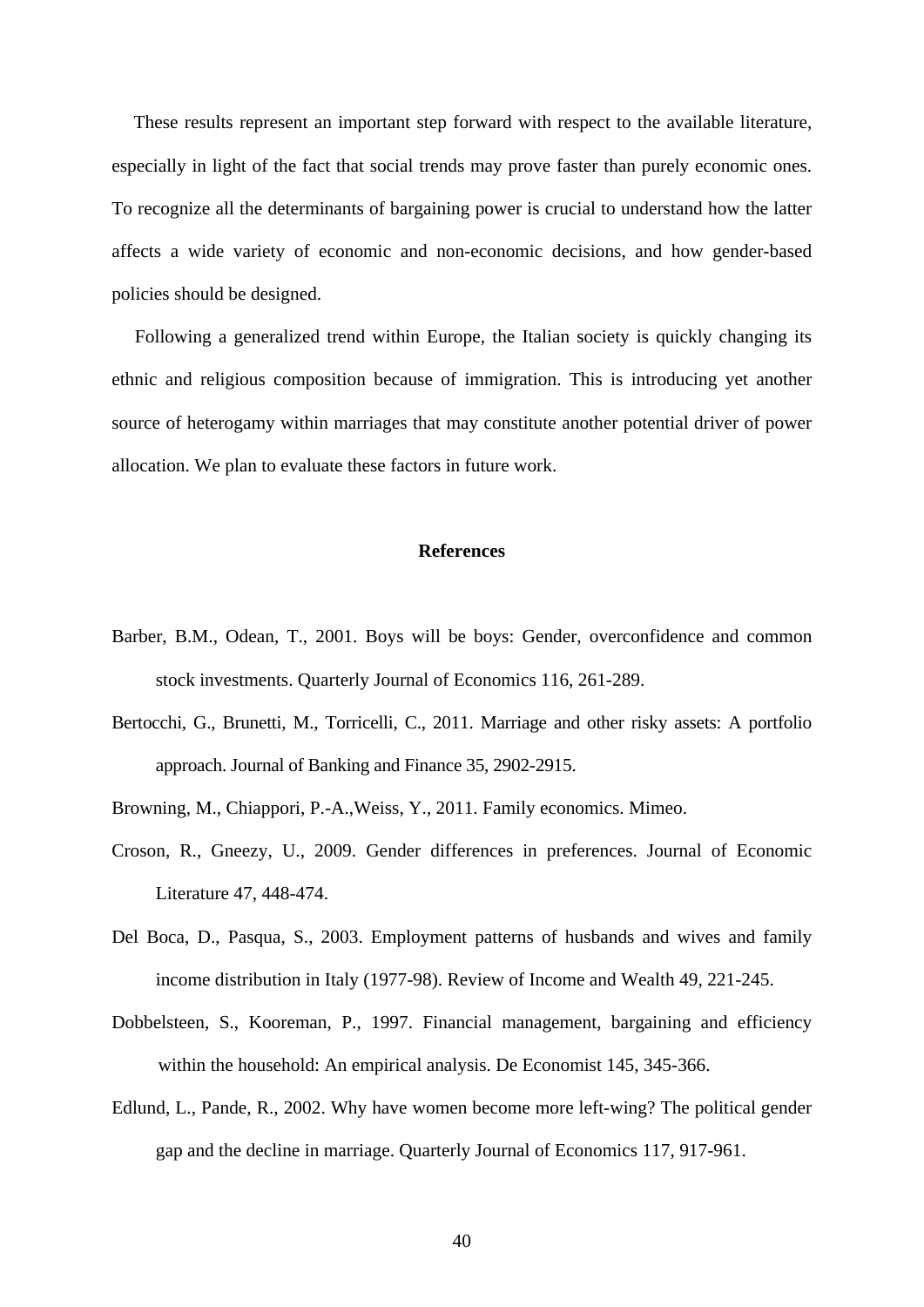These results represent an important step forward with respect to the available literature, especially in light of the fact that social trends may prove faster than purely economic ones. To recognize all the determinants of bargaining power is crucial to understand how the latter affects a wide variety of economic and non-economic decisions, and how gender-based policies should be designed.

 Following a generalized trend within Europe, the Italian society is quickly changing its ethnic and religious composition because of immigration. This is introducing yet another source of heterogamy within marriages that may constitute another potential driver of power allocation. We plan to evaluate these factors in future work.

#### **References**

- Barber, B.M., Odean, T., 2001. Boys will be boys: Gender, overconfidence and common stock investments. Quarterly Journal of Economics 116, 261-289.
- Bertocchi, G., Brunetti, M., Torricelli, C., 2011. Marriage and other risky assets: A portfolio approach. Journal of Banking and Finance 35, 2902-2915.
- Browning, M., Chiappori, P.-A.,Weiss, Y., 2011. Family economics. Mimeo.
- Croson, R., Gneezy, U., 2009. Gender differences in preferences. Journal of Economic Literature 47, 448-474.
- Del Boca, D., Pasqua, S., 2003. Employment patterns of husbands and wives and family income distribution in Italy (1977-98). Review of Income and Wealth 49, 221-245.
- Dobbelsteen, S., Kooreman, P., 1997. Financial management, bargaining and efficiency within the household: An empirical analysis. De Economist 145, 345-366.
- Edlund, L., Pande, R., 2002. Why have women become more left-wing? The political gender gap and the decline in marriage. Quarterly Journal of Economics 117, 917-961.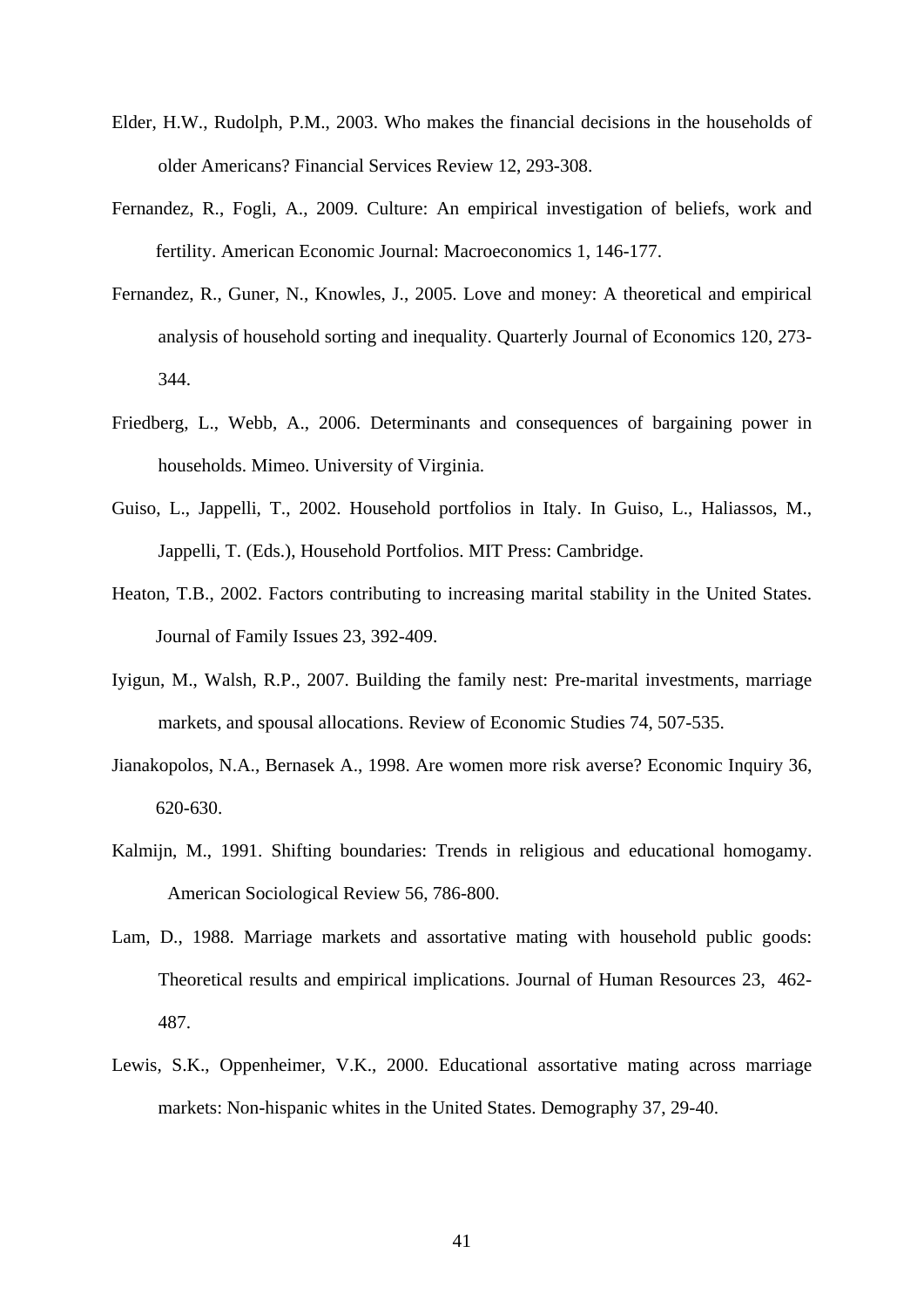- Elder, H.W., Rudolph, P.M., 2003. Who makes the financial decisions in the households of older Americans? Financial Services Review 12, 293-308.
- Fernandez, R., Fogli, A., 2009. Culture: An empirical investigation of beliefs, work and fertility. American Economic Journal: Macroeconomics 1, 146-177.
- Fernandez, R., Guner, N., Knowles, J., 2005. Love and money: A theoretical and empirical analysis of household sorting and inequality. Quarterly Journal of Economics 120, 273- 344.
- Friedberg, L., Webb, A., 2006. Determinants and consequences of bargaining power in households. Mimeo. University of Virginia.
- Guiso, L., Jappelli, T., 2002. Household portfolios in Italy. In Guiso, L., Haliassos, M., Jappelli, T. (Eds.), Household Portfolios. MIT Press: Cambridge.
- Heaton, T.B., 2002. Factors contributing to increasing marital stability in the United States. Journal of Family Issues 23, 392-409.
- Iyigun, M., Walsh, R.P., 2007. Building the family nest: Pre-marital investments, marriage markets, and spousal allocations. Review of Economic Studies 74, 507-535.
- Jianakopolos, N.A., Bernasek A., 1998. Are women more risk averse? Economic Inquiry 36, 620-630.
- Kalmijn, M., 1991. Shifting boundaries: Trends in religious and educational homogamy. American Sociological Review 56, 786-800.
- Lam, D., 1988. Marriage markets and assortative mating with household public goods: Theoretical results and empirical implications. Journal of Human Resources 23, 462- 487.
- Lewis, S.K., Oppenheimer, V.K., 2000. Educational assortative mating across marriage markets: Non-hispanic whites in the United States. Demography 37, 29-40.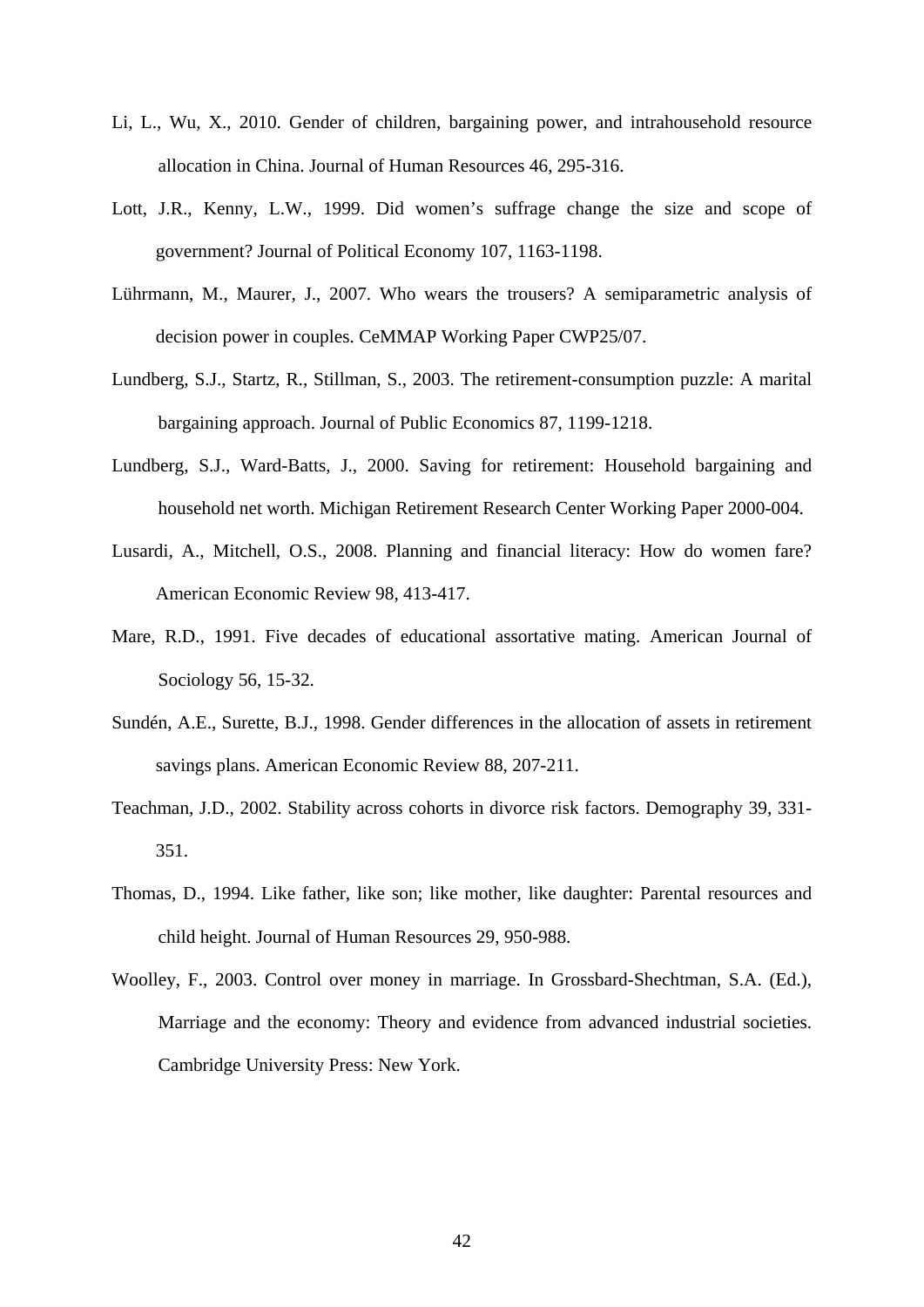- Li, L., Wu, X., 2010. Gender of children, bargaining power, and intrahousehold resource allocation in China. Journal of Human Resources 46, 295-316.
- Lott, J.R., Kenny, L.W., 1999. Did women's suffrage change the size and scope of government? Journal of Political Economy 107, 1163-1198.
- Lührmann, M., Maurer, J., 2007. Who wears the trousers? A semiparametric analysis of decision power in couples. CeMMAP Working Paper CWP25/07.
- Lundberg, S.J., Startz, R., Stillman, S., 2003. The retirement-consumption puzzle: A marital bargaining approach. Journal of Public Economics 87, 1199-1218.
- Lundberg, S.J., Ward-Batts, J., 2000. Saving for retirement: Household bargaining and household net worth. Michigan Retirement Research Center Working Paper 2000-004.
- Lusardi, A., Mitchell, O.S., 2008. Planning and financial literacy: How do women fare? American Economic Review 98, 413-417.
- Mare, R.D., 1991. Five decades of educational assortative mating. American Journal of Sociology 56, 15-32.
- Sundén, A.E., Surette, B.J., 1998. Gender differences in the allocation of assets in retirement savings plans. American Economic Review 88, 207-211.
- Teachman, J.D., 2002. Stability across cohorts in divorce risk factors. Demography 39, 331- 351.
- Thomas, D., 1994. Like father, like son; like mother, like daughter: Parental resources and child height. Journal of Human Resources 29, 950-988.
- Woolley, F., 2003. Control over money in marriage. In Grossbard-Shechtman, S.A. (Ed.), Marriage and the economy: Theory and evidence from advanced industrial societies. Cambridge University Press: New York.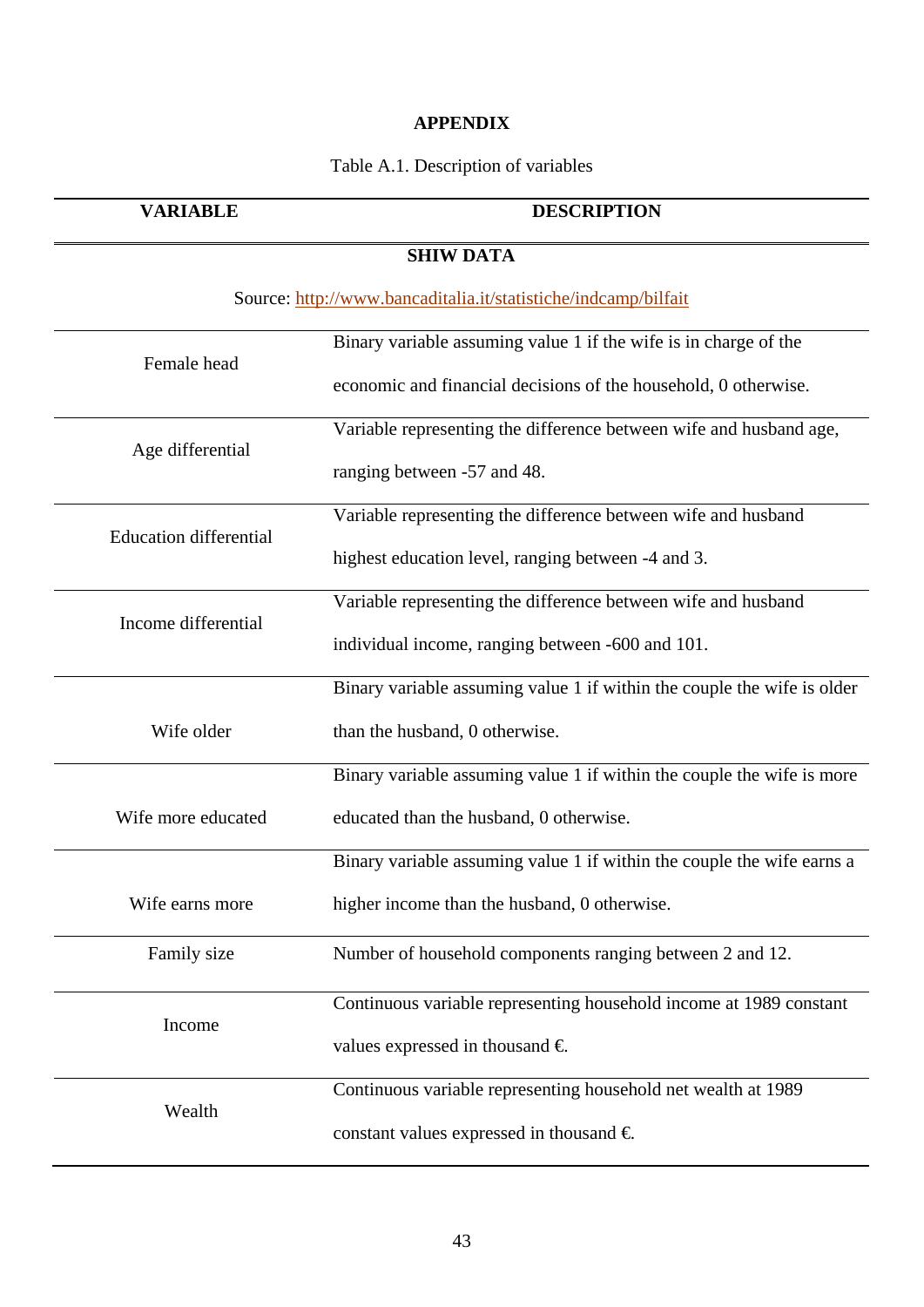#### **APPENDIX**

## Table A.1. Description of variables

# **VARIABLE DESCRIPTION**

## **SHIW DATA**

### Source: http://www.bancaditalia.it/statistiche/indcamp/bilfait

| Female head                   | Binary variable assuming value 1 if the wife is in charge of the        |
|-------------------------------|-------------------------------------------------------------------------|
|                               | economic and financial decisions of the household, 0 otherwise.         |
| Age differential              | Variable representing the difference between wife and husband age,      |
|                               | ranging between -57 and 48.                                             |
| <b>Education differential</b> | Variable representing the difference between wife and husband           |
|                               | highest education level, ranging between -4 and 3.                      |
| Income differential           | Variable representing the difference between wife and husband           |
|                               | individual income, ranging between -600 and 101.                        |
|                               | Binary variable assuming value 1 if within the couple the wife is older |
| Wife older                    | than the husband, 0 otherwise.                                          |
|                               | Binary variable assuming value 1 if within the couple the wife is more  |
| Wife more educated            | educated than the husband, 0 otherwise.                                 |
|                               | Binary variable assuming value 1 if within the couple the wife earns a  |
| Wife earns more               | higher income than the husband, 0 otherwise.                            |
| Family size                   | Number of household components ranging between 2 and 12.                |
| Income                        | Continuous variable representing household income at 1989 constant      |
|                               | values expressed in thousand $\in$                                      |
| Wealth                        | Continuous variable representing household net wealth at 1989           |
|                               | constant values expressed in thousand $\in$                             |
|                               |                                                                         |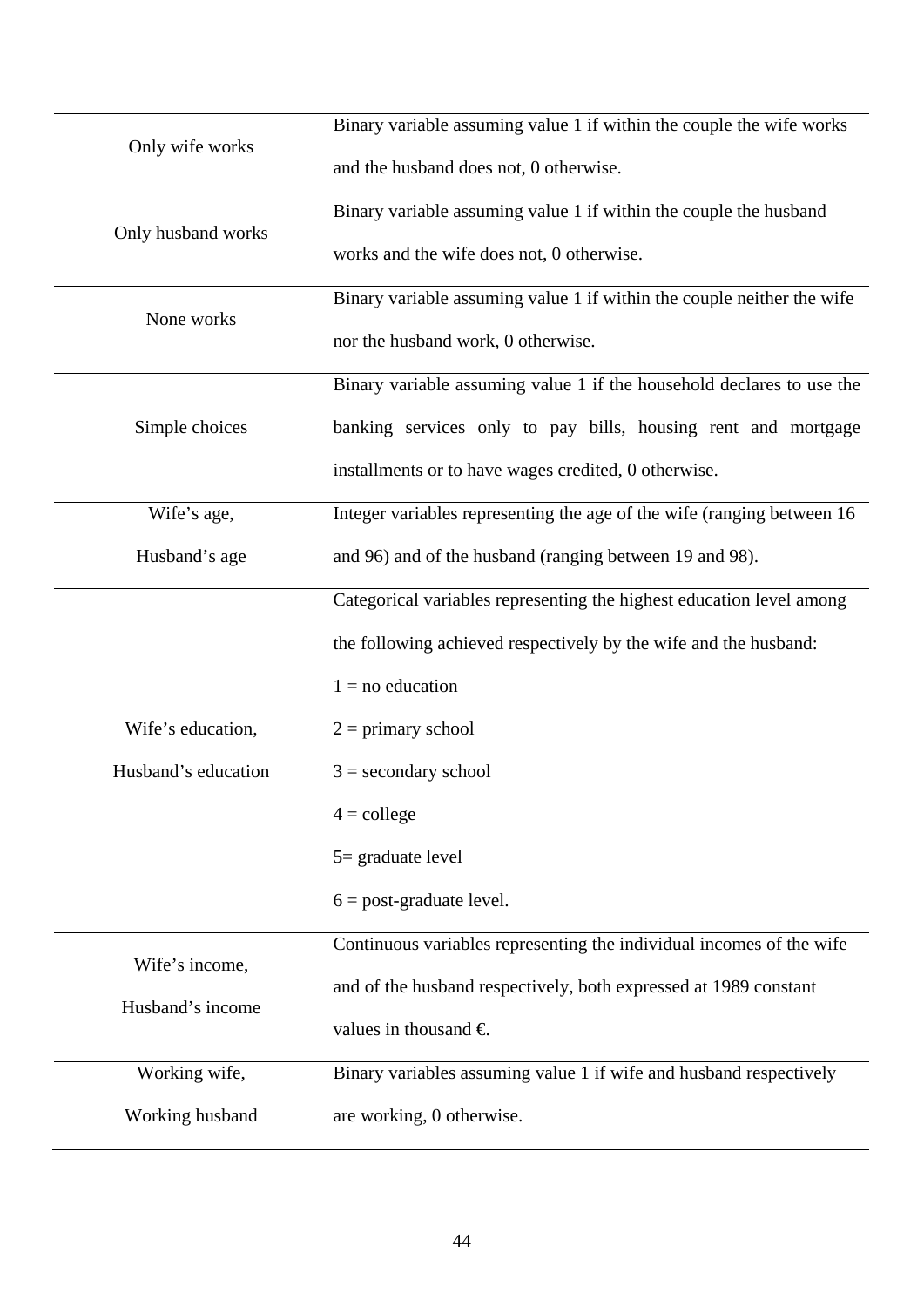| Only wife works     | Binary variable assuming value 1 if within the couple the wife works   |
|---------------------|------------------------------------------------------------------------|
|                     | and the husband does not, 0 otherwise.                                 |
| Only husband works  | Binary variable assuming value 1 if within the couple the husband      |
|                     | works and the wife does not, 0 otherwise.                              |
| None works          | Binary variable assuming value 1 if within the couple neither the wife |
|                     | nor the husband work, 0 otherwise.                                     |
|                     | Binary variable assuming value 1 if the household declares to use the  |
| Simple choices      | banking services only to pay bills, housing rent and mortgage          |
|                     | installments or to have wages credited, 0 otherwise.                   |
| Wife's age,         | Integer variables representing the age of the wife (ranging between 16 |
| Husband's age       | and 96) and of the husband (ranging between 19 and 98).                |
|                     | Categorical variables representing the highest education level among   |
|                     | the following achieved respectively by the wife and the husband:       |
|                     | $1 = no$ education                                                     |
| Wife's education,   | $2 = primary school$                                                   |
| Husband's education | $3 =$ secondary school                                                 |
|                     | $4 = \text{college}$                                                   |
|                     | $5 =$ graduate level                                                   |
|                     | $6 =$ post-graduate level.                                             |
| Wife's income,      | Continuous variables representing the individual incomes of the wife   |
| Husband's income    | and of the husband respectively, both expressed at 1989 constant       |
|                     | values in thousand $\in$                                               |
| Working wife,       | Binary variables assuming value 1 if wife and husband respectively     |
| Working husband     | are working, 0 otherwise.                                              |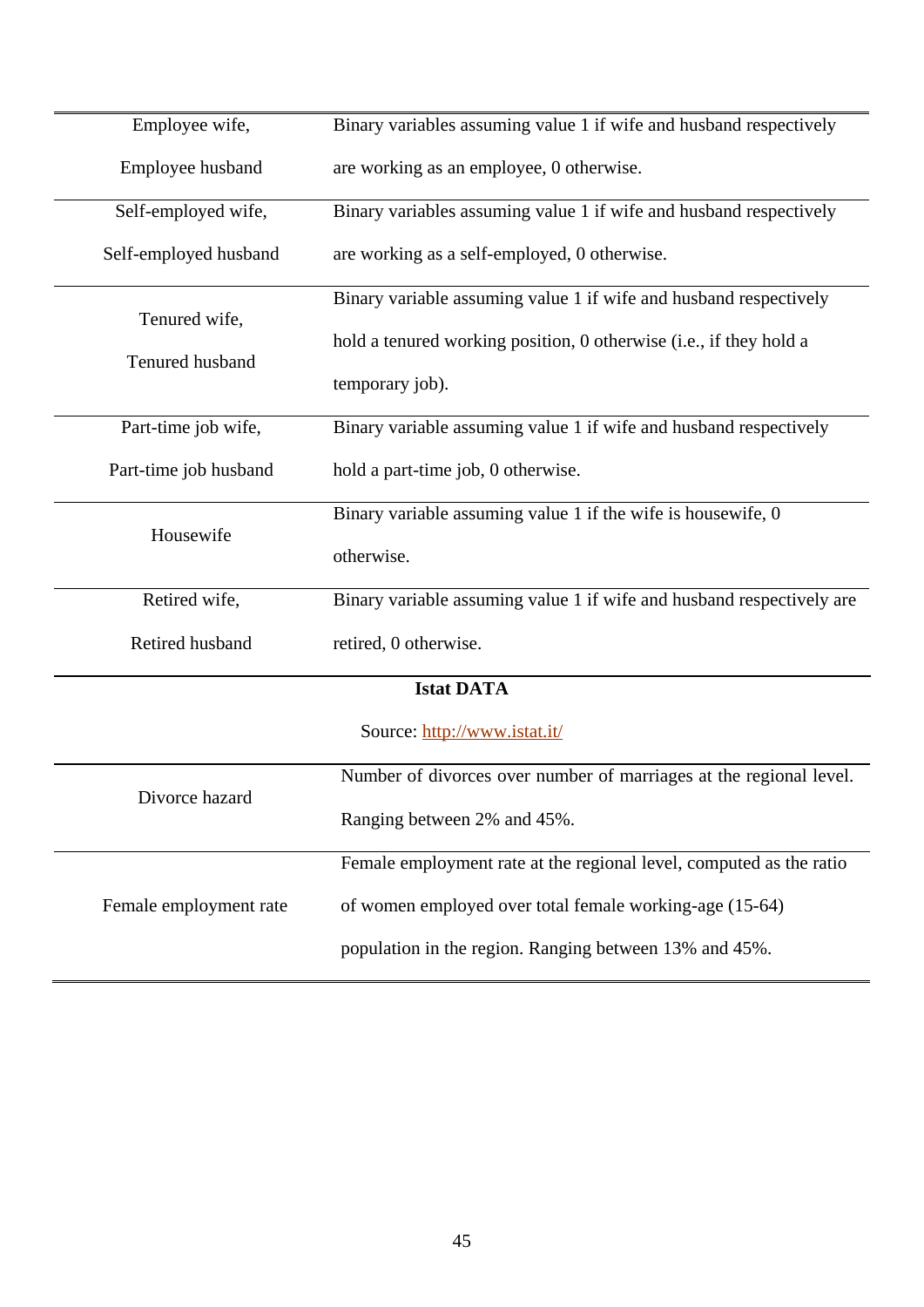| Employee wife,                   | Binary variables assuming value 1 if wife and husband respectively    |
|----------------------------------|-----------------------------------------------------------------------|
| Employee husband                 | are working as an employee, 0 otherwise.                              |
| Self-employed wife,              | Binary variables assuming value 1 if wife and husband respectively    |
| Self-employed husband            | are working as a self-employed, 0 otherwise.                          |
|                                  | Binary variable assuming value 1 if wife and husband respectively     |
| Tenured wife,<br>Tenured husband | hold a tenured working position, 0 otherwise (i.e., if they hold a    |
|                                  | temporary job).                                                       |
| Part-time job wife,              | Binary variable assuming value 1 if wife and husband respectively     |
| Part-time job husband            | hold a part-time job, 0 otherwise.                                    |
| Housewife                        | Binary variable assuming value 1 if the wife is housewife, 0          |
|                                  | otherwise.                                                            |
| Retired wife,                    | Binary variable assuming value 1 if wife and husband respectively are |
| Retired husband                  | retired, 0 otherwise.                                                 |
|                                  | <b>Istat DATA</b>                                                     |
|                                  | Source: http://www.istat.it/                                          |
| Divorce hazard                   | Number of divorces over number of marriages at the regional level.    |
|                                  | Ranging between 2% and 45%.                                           |
|                                  | Female employment rate at the regional level, computed as the ratio   |
| Female employment rate           | of women employed over total female working-age (15-64)               |
|                                  | population in the region. Ranging between 13% and 45%.                |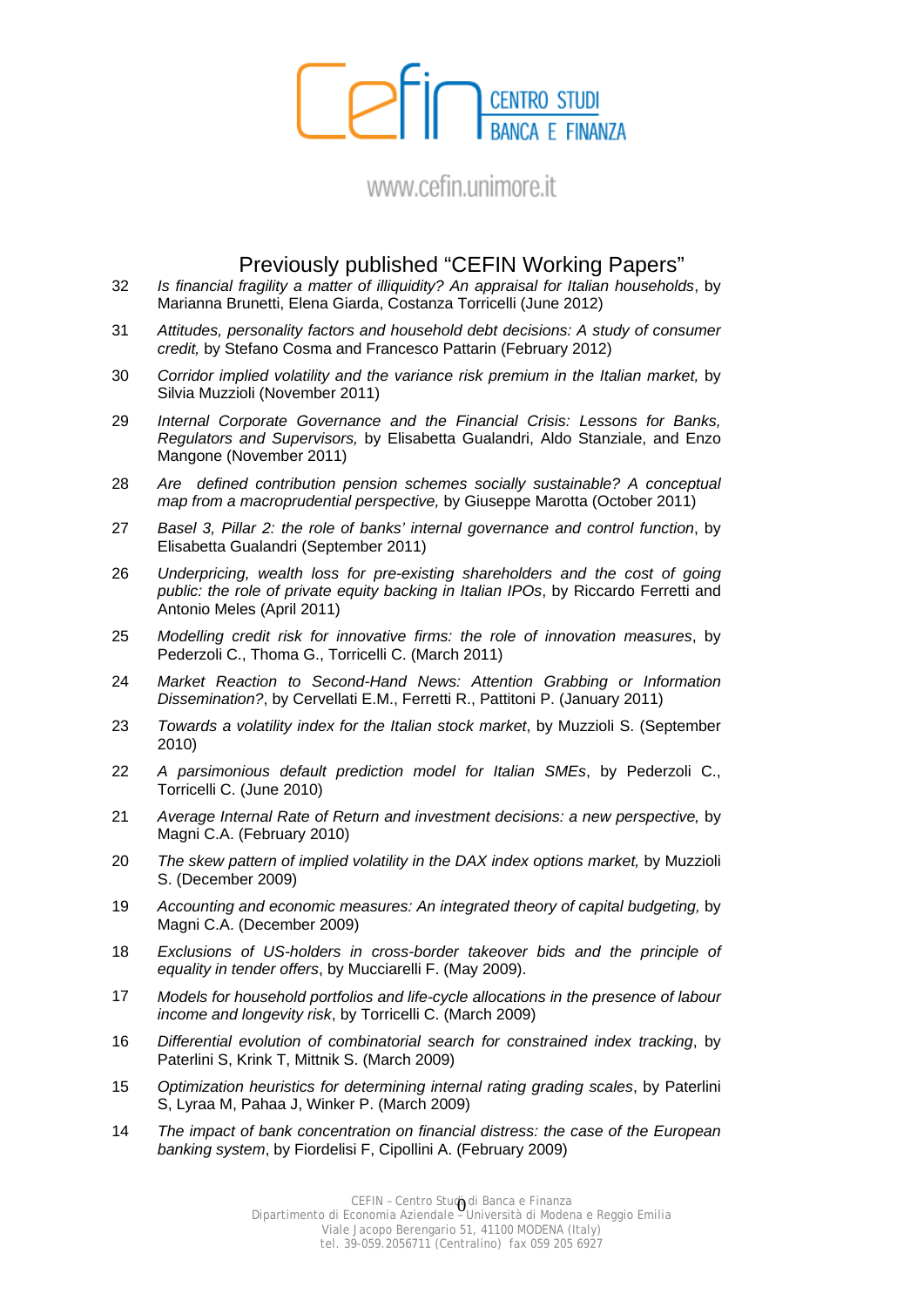

## www.cefin.unimore.it

### Previously published "CEFIN Working Papers"

- 32 *Is financial fragility a matter of illiquidity? An appraisal for Italian households*, by Marianna Brunetti, Elena Giarda, Costanza Torricelli (June 2012)
- 31 *Attitudes, personality factors and household debt decisions: A study of consumer credit,* by Stefano Cosma and Francesco Pattarin (February 2012)
- 30 *Corridor implied volatility and the variance risk premium in the Italian market,* by Silvia Muzzioli (November 2011)
- 29 *Internal Corporate Governance and the Financial Crisis: Lessons for Banks, Regulators and Supervisors,* by Elisabetta Gualandri, Aldo Stanziale, and Enzo Mangone (November 2011)
- 28 *Are defined contribution pension schemes socially sustainable? A conceptual map from a macroprudential perspective,* by Giuseppe Marotta (October 2011)
- 27 *Basel 3, Pillar 2: the role of banks' internal governance and control function*, by Elisabetta Gualandri (September 2011)
- 26 *Underpricing, wealth loss for pre-existing shareholders and the cost of going public: the role of private equity backing in Italian IPOs*, by Riccardo Ferretti and Antonio Meles (April 2011)
- 25 *Modelling credit risk for innovative firms: the role of innovation measures*, by Pederzoli C., Thoma G., Torricelli C. (March 2011)
- 24 *Market Reaction to Second-Hand News: Attention Grabbing or Information Dissemination?*, by Cervellati E.M., Ferretti R., Pattitoni P. (January 2011)
- 23 *Towards a volatility index for the Italian stock market*, by Muzzioli S. (September 2010)
- 22 *A parsimonious default prediction model for Italian SMEs*, by Pederzoli C., Torricelli C. (June 2010)
- 21 *Average Internal Rate of Return and investment decisions: a new perspective,* by Magni C.A. (February 2010)
- 20 *The skew pattern of implied volatility in the DAX index options market,* by Muzzioli S. (December 2009)
- 19 *Accounting and economic measures: An integrated theory of capital budgeting,* by Magni C.A. (December 2009)
- 18 *Exclusions of US-holders in cross-border takeover bids and the principle of equality in tender offers*, by Mucciarelli F. (May 2009).
- 17 *Models for household portfolios and life-cycle allocations in the presence of labour income and longevity risk*, by Torricelli C. (March 2009)
- 16 *Differential evolution of combinatorial search for constrained index tracking*, by Paterlini S, Krink T, Mittnik S. (March 2009)
- 15 *Optimization heuristics for determining internal rating grading scales*, by Paterlini S, Lyraa M, Pahaa J, Winker P. (March 2009)
- 14 *The impact of bank concentration on financial distress: the case of the European banking system*, by Fiordelisi F, Cipollini A. (February 2009)